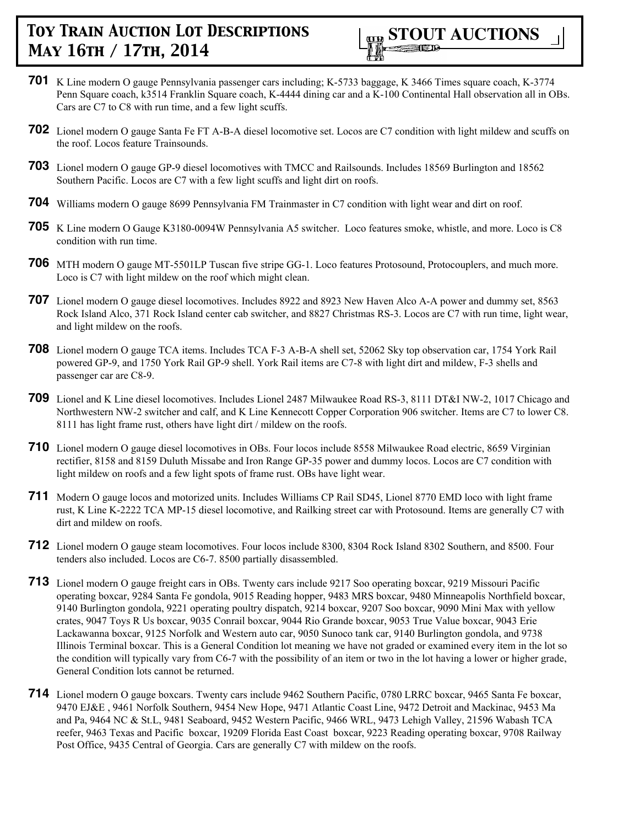

- **701** K Line modern O gauge Pennsylvania passenger cars including; K-5733 baggage, K 3466 Times square coach, K-3774 Penn Square coach, k3514 Franklin Square coach, K-4444 dining car and a K-100 Continental Hall observation all in OBs. Cars are C7 to C8 with run time, and a few light scuffs.
- **702** Lionel modern O gauge Santa Fe FT A-B-A diesel locomotive set. Locos are C7 condition with light mildew and scuffs on the roof. Locos feature Trainsounds.
- **703** Lionel modern O gauge GP-9 diesel locomotives with TMCC and Railsounds. Includes 18569 Burlington and 18562 Southern Pacific. Locos are C7 with a few light scuffs and light dirt on roofs.
- **704** Williams modern O gauge 8699 Pennsylvania FM Trainmaster in C7 condition with light wear and dirt on roof.
- **705** K Line modern O Gauge K3180-0094W Pennsylvania A5 switcher. Loco features smoke, whistle, and more. Loco is C8 condition with run time.
- **706** MTH modern O gauge MT-5501LP Tuscan five stripe GG-1. Loco features Protosound, Protocouplers, and much more. Loco is C7 with light mildew on the roof which might clean.
- **707** Lionel modern O gauge diesel locomotives. Includes 8922 and 8923 New Haven Alco A-A power and dummy set, 8563 Rock Island Alco, 371 Rock Island center cab switcher, and 8827 Christmas RS-3. Locos are C7 with run time, light wear, and light mildew on the roofs.
- **708** Lionel modern O gauge TCA items. Includes TCA F-3 A-B-A shell set, 52062 Sky top observation car, 1754 York Rail powered GP-9, and 1750 York Rail GP-9 shell. York Rail items are C7-8 with light dirt and mildew, F-3 shells and passenger car are C8-9.
- **709** Lionel and K Line diesel locomotives. Includes Lionel 2487 Milwaukee Road RS-3, 8111 DT&I NW-2, 1017 Chicago and Northwestern NW-2 switcher and calf, and K Line Kennecott Copper Corporation 906 switcher. Items are C7 to lower C8. 8111 has light frame rust, others have light dirt / mildew on the roofs.
- **710** Lionel modern O gauge diesel locomotives in OBs. Four locos include 8558 Milwaukee Road electric, 8659 Virginian rectifier, 8158 and 8159 Duluth Missabe and Iron Range GP-35 power and dummy locos. Locos are C7 condition with light mildew on roofs and a few light spots of frame rust. OBs have light wear.
- **711** Modern O gauge locos and motorized units. Includes Williams CP Rail SD45, Lionel 8770 EMD loco with light frame rust, K Line K-2222 TCA MP-15 diesel locomotive, and Railking street car with Protosound. Items are generally C7 with dirt and mildew on roofs.
- **712** Lionel modern O gauge steam locomotives. Four locos include 8300, 8304 Rock Island 8302 Southern, and 8500. Four tenders also included. Locos are C6-7. 8500 partially disassembled.
- **713** Lionel modern O gauge freight cars in OBs. Twenty cars include 9217 Soo operating boxcar, 9219 Missouri Pacific operating boxcar, 9284 Santa Fe gondola, 9015 Reading hopper, 9483 MRS boxcar, 9480 Minneapolis Northfield boxcar, 9140 Burlington gondola, 9221 operating poultry dispatch, 9214 boxcar, 9207 Soo boxcar, 9090 Mini Max with yellow crates, 9047 Toys R Us boxcar, 9035 Conrail boxcar, 9044 Rio Grande boxcar, 9053 True Value boxcar, 9043 Erie Lackawanna boxcar, 9125 Norfolk and Western auto car, 9050 Sunoco tank car, 9140 Burlington gondola, and 9738 Illinois Terminal boxcar. This is a General Condition lot meaning we have not graded or examined every item in the lot so the condition will typically vary from C6-7 with the possibility of an item or two in the lot having a lower or higher grade, General Condition lots cannot be returned.
- **714** Lionel modern O gauge boxcars. Twenty cars include 9462 Southern Pacific, 0780 LRRC boxcar, 9465 Santa Fe boxcar, 9470 EJ&E , 9461 Norfolk Southern, 9454 New Hope, 9471 Atlantic Coast Line, 9472 Detroit and Mackinac, 9453 Ma and Pa, 9464 NC & St.L, 9481 Seaboard, 9452 Western Pacific, 9466 WRL, 9473 Lehigh Valley, 21596 Wabash TCA reefer, 9463 Texas and Pacific boxcar, 19209 Florida East Coast boxcar, 9223 Reading operating boxcar, 9708 Railway Post Office, 9435 Central of Georgia. Cars are generally C7 with mildew on the roofs.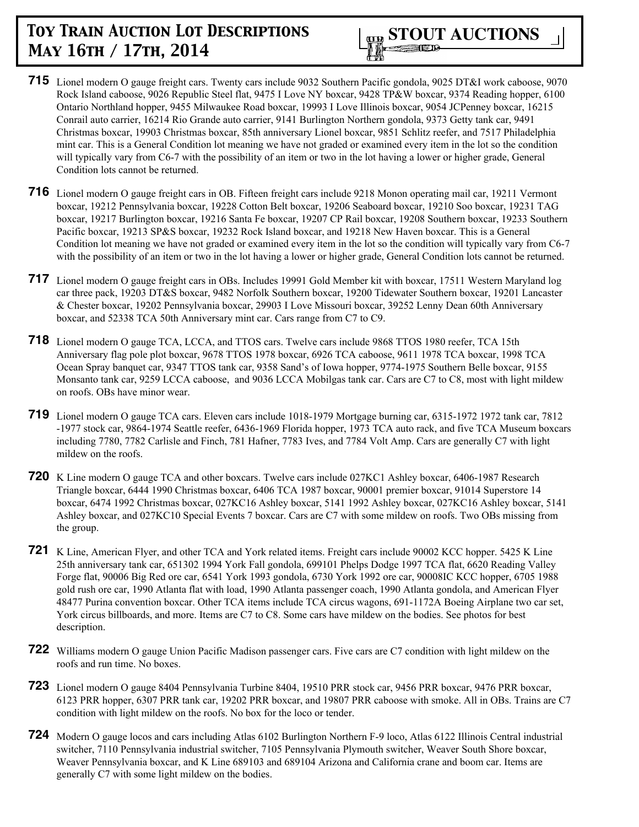

- **715** Lionel modern O gauge freight cars. Twenty cars include 9032 Southern Pacific gondola, 9025 DT&I work caboose, 9070 Rock Island caboose, 9026 Republic Steel flat, 9475 I Love NY boxcar, 9428 TP&W boxcar, 9374 Reading hopper, 6100 Ontario Northland hopper, 9455 Milwaukee Road boxcar, 19993 I Love Illinois boxcar, 9054 JCPenney boxcar, 16215 Conrail auto carrier, 16214 Rio Grande auto carrier, 9141 Burlington Northern gondola, 9373 Getty tank car, 9491 Christmas boxcar, 19903 Christmas boxcar, 85th anniversary Lionel boxcar, 9851 Schlitz reefer, and 7517 Philadelphia mint car. This is a General Condition lot meaning we have not graded or examined every item in the lot so the condition will typically vary from C6-7 with the possibility of an item or two in the lot having a lower or higher grade, General Condition lots cannot be returned.
- **716** Lionel modern O gauge freight cars in OB. Fifteen freight cars include 9218 Monon operating mail car, 19211 Vermont boxcar, 19212 Pennsylvania boxcar, 19228 Cotton Belt boxcar, 19206 Seaboard boxcar, 19210 Soo boxcar, 19231 TAG boxcar, 19217 Burlington boxcar, 19216 Santa Fe boxcar, 19207 CP Rail boxcar, 19208 Southern boxcar, 19233 Southern Pacific boxcar, 19213 SP&S boxcar, 19232 Rock Island boxcar, and 19218 New Haven boxcar. This is a General Condition lot meaning we have not graded or examined every item in the lot so the condition will typically vary from C6-7 with the possibility of an item or two in the lot having a lower or higher grade, General Condition lots cannot be returned.
- **717** Lionel modern O gauge freight cars in OBs. Includes 19991 Gold Member kit with boxcar, 17511 Western Maryland log car three pack, 19203 DT&S boxcar, 9482 Norfolk Southern boxcar, 19200 Tidewater Southern boxcar, 19201 Lancaster & Chester boxcar, 19202 Pennsylvania boxcar, 29903 I Love Missouri boxcar, 39252 Lenny Dean 60th Anniversary boxcar, and 52338 TCA 50th Anniversary mint car. Cars range from C7 to C9.
- **718** Lionel modern O gauge TCA, LCCA, and TTOS cars. Twelve cars include 9868 TTOS 1980 reefer, TCA 15th Anniversary flag pole plot boxcar, 9678 TTOS 1978 boxcar, 6926 TCA caboose, 9611 1978 TCA boxcar, 1998 TCA Ocean Spray banquet car, 9347 TTOS tank car, 9358 Sand's of Iowa hopper, 9774-1975 Southern Belle boxcar, 9155 Monsanto tank car, 9259 LCCA caboose, and 9036 LCCA Mobilgas tank car. Cars are C7 to C8, most with light mildew on roofs. OBs have minor wear.
- **719** Lionel modern O gauge TCA cars. Eleven cars include 1018-1979 Mortgage burning car, 6315-1972 1972 tank car, 7812 -1977 stock car, 9864-1974 Seattle reefer, 6436-1969 Florida hopper, 1973 TCA auto rack, and five TCA Museum boxcars including 7780, 7782 Carlisle and Finch, 781 Hafner, 7783 Ives, and 7784 Volt Amp. Cars are generally C7 with light mildew on the roofs.
- **720** K Line modern O gauge TCA and other boxcars. Twelve cars include 027KC1 Ashley boxcar, 6406-1987 Research Triangle boxcar, 6444 1990 Christmas boxcar, 6406 TCA 1987 boxcar, 90001 premier boxcar, 91014 Superstore 14 boxcar, 6474 1992 Christmas boxcar, 027KC16 Ashley boxcar, 5141 1992 Ashley boxcar, 027KC16 Ashley boxcar, 5141 Ashley boxcar, and 027KC10 Special Events 7 boxcar. Cars are C7 with some mildew on roofs. Two OBs missing from the group.
- **721** K Line, American Flyer, and other TCA and York related items. Freight cars include 90002 KCC hopper. 5425 K Line 25th anniversary tank car, 651302 1994 York Fall gondola, 699101 Phelps Dodge 1997 TCA flat, 6620 Reading Valley Forge flat, 90006 Big Red ore car, 6541 York 1993 gondola, 6730 York 1992 ore car, 90008IC KCC hopper, 6705 1988 gold rush ore car, 1990 Atlanta flat with load, 1990 Atlanta passenger coach, 1990 Atlanta gondola, and American Flyer 48477 Purina convention boxcar. Other TCA items include TCA circus wagons, 691-1172A Boeing Airplane two car set, York circus billboards, and more. Items are C7 to C8. Some cars have mildew on the bodies. See photos for best description.
- **722** Williams modern O gauge Union Pacific Madison passenger cars. Five cars are C7 condition with light mildew on the roofs and run time. No boxes.
- **723** Lionel modern O gauge 8404 Pennsylvania Turbine 8404, 19510 PRR stock car, 9456 PRR boxcar, 9476 PRR boxcar, 6123 PRR hopper, 6307 PRR tank car, 19202 PRR boxcar, and 19807 PRR caboose with smoke. All in OBs. Trains are C7 condition with light mildew on the roofs. No box for the loco or tender.
- **724** Modern O gauge locos and cars including Atlas 6102 Burlington Northern F-9 loco, Atlas 6122 Illinois Central industrial switcher, 7110 Pennsylvania industrial switcher, 7105 Pennsylvania Plymouth switcher, Weaver South Shore boxcar, Weaver Pennsylvania boxcar, and K Line 689103 and 689104 Arizona and California crane and boom car. Items are generally C7 with some light mildew on the bodies.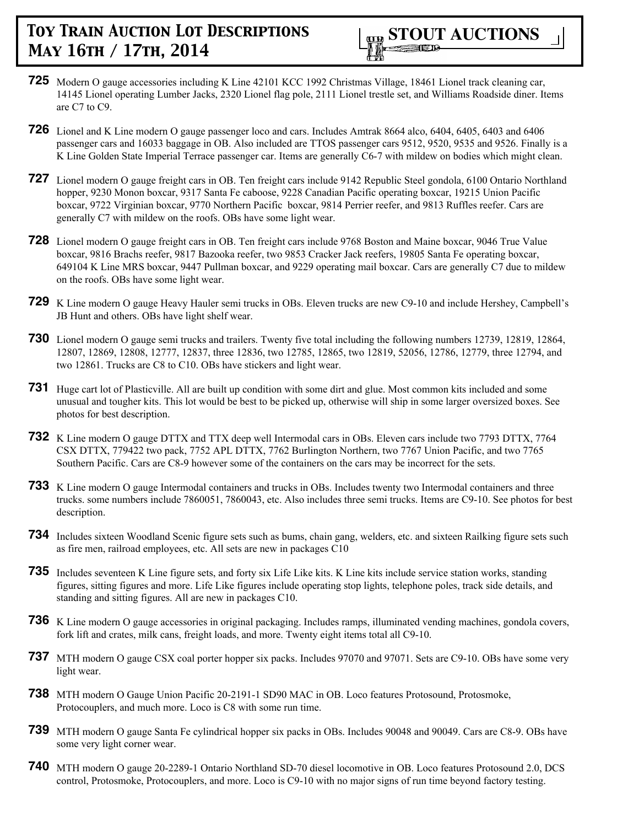

- **725** Modern O gauge accessories including K Line 42101 KCC 1992 Christmas Village, 18461 Lionel track cleaning car, 14145 Lionel operating Lumber Jacks, 2320 Lionel flag pole, 2111 Lionel trestle set, and Williams Roadside diner. Items are C7 to C9.
- **726** Lionel and K Line modern O gauge passenger loco and cars. Includes Amtrak 8664 alco, 6404, 6405, 6403 and 6406 passenger cars and 16033 baggage in OB. Also included are TTOS passenger cars 9512, 9520, 9535 and 9526. Finally is a K Line Golden State Imperial Terrace passenger car. Items are generally C6-7 with mildew on bodies which might clean.
- **727** Lionel modern O gauge freight cars in OB. Ten freight cars include 9142 Republic Steel gondola, 6100 Ontario Northland hopper, 9230 Monon boxcar, 9317 Santa Fe caboose, 9228 Canadian Pacific operating boxcar, 19215 Union Pacific boxcar, 9722 Virginian boxcar, 9770 Northern Pacific boxcar, 9814 Perrier reefer, and 9813 Ruffles reefer. Cars are generally C7 with mildew on the roofs. OBs have some light wear.
- **728** Lionel modern O gauge freight cars in OB. Ten freight cars include 9768 Boston and Maine boxcar, 9046 True Value boxcar, 9816 Brachs reefer, 9817 Bazooka reefer, two 9853 Cracker Jack reefers, 19805 Santa Fe operating boxcar, 649104 K Line MRS boxcar, 9447 Pullman boxcar, and 9229 operating mail boxcar. Cars are generally C7 due to mildew on the roofs. OBs have some light wear.
- **729** K Line modern O gauge Heavy Hauler semi trucks in OBs. Eleven trucks are new C9-10 and include Hershey, Campbell's JB Hunt and others. OBs have light shelf wear.
- **730** Lionel modern O gauge semi trucks and trailers. Twenty five total including the following numbers 12739, 12819, 12864, 12807, 12869, 12808, 12777, 12837, three 12836, two 12785, 12865, two 12819, 52056, 12786, 12779, three 12794, and two 12861. Trucks are C8 to C10. OBs have stickers and light wear.
- **731** Huge cart lot of Plasticville. All are built up condition with some dirt and glue. Most common kits included and some unusual and tougher kits. This lot would be best to be picked up, otherwise will ship in some larger oversized boxes. See photos for best description.
- **732** K Line modern O gauge DTTX and TTX deep well Intermodal cars in OBs. Eleven cars include two 7793 DTTX, 7764 CSX DTTX, 779422 two pack, 7752 APL DTTX, 7762 Burlington Northern, two 7767 Union Pacific, and two 7765 Southern Pacific. Cars are C8-9 however some of the containers on the cars may be incorrect for the sets.
- **733** K Line modern O gauge Intermodal containers and trucks in OBs. Includes twenty two Intermodal containers and three trucks. some numbers include 7860051, 7860043, etc. Also includes three semi trucks. Items are C9-10. See photos for best description.
- **734** Includes sixteen Woodland Scenic figure sets such as bums, chain gang, welders, etc. and sixteen Railking figure sets such as fire men, railroad employees, etc. All sets are new in packages C10
- **735** Includes seventeen K Line figure sets, and forty six Life Like kits. K Line kits include service station works, standing figures, sitting figures and more. Life Like figures include operating stop lights, telephone poles, track side details, and standing and sitting figures. All are new in packages C10.
- **736** K Line modern O gauge accessories in original packaging. Includes ramps, illuminated vending machines, gondola covers, fork lift and crates, milk cans, freight loads, and more. Twenty eight items total all C9-10.
- **737** MTH modern O gauge CSX coal porter hopper six packs. Includes 97070 and 97071. Sets are C9-10. OBs have some very light wear.
- **738** MTH modern O Gauge Union Pacific 20-2191-1 SD90 MAC in OB. Loco features Protosound, Protosmoke, Protocouplers, and much more. Loco is C8 with some run time.
- **739** MTH modern O gauge Santa Fe cylindrical hopper six packs in OBs. Includes 90048 and 90049. Cars are C8-9. OBs have some very light corner wear.
- **740** MTH modern O gauge 20-2289-1 Ontario Northland SD-70 diesel locomotive in OB. Loco features Protosound 2.0, DCS control, Protosmoke, Protocouplers, and more. Loco is C9-10 with no major signs of run time beyond factory testing.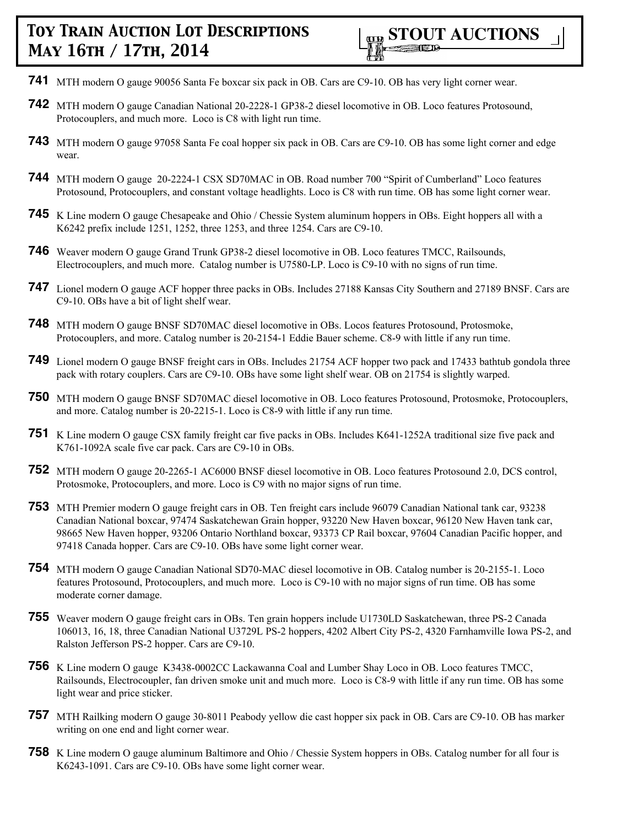- **741** MTH modern O gauge 90056 Santa Fe boxcar six pack in OB. Cars are C9-10. OB has very light corner wear.
- **742** MTH modern O gauge Canadian National 20-2228-1 GP38-2 diesel locomotive in OB. Loco features Protosound, Protocouplers, and much more. Loco is C8 with light run time.
- **743** MTH modern O gauge 97058 Santa Fe coal hopper six pack in OB. Cars are C9-10. OB has some light corner and edge wear.
- **744** MTH modern O gauge 20-2224-1 CSX SD70MAC in OB. Road number 700 "Spirit of Cumberland" Loco features Protosound, Protocouplers, and constant voltage headlights. Loco is C8 with run time. OB has some light corner wear.
- **745** K Line modern O gauge Chesapeake and Ohio / Chessie System aluminum hoppers in OBs. Eight hoppers all with a K6242 prefix include 1251, 1252, three 1253, and three 1254. Cars are C9-10.
- **746** Weaver modern O gauge Grand Trunk GP38-2 diesel locomotive in OB. Loco features TMCC, Railsounds, Electrocouplers, and much more. Catalog number is U7580-LP. Loco is C9-10 with no signs of run time.
- **747** Lionel modern O gauge ACF hopper three packs in OBs. Includes 27188 Kansas City Southern and 27189 BNSF. Cars are C9-10. OBs have a bit of light shelf wear.
- **748** MTH modern O gauge BNSF SD70MAC diesel locomotive in OBs. Locos features Protosound, Protosmoke, Protocouplers, and more. Catalog number is 20-2154-1 Eddie Bauer scheme. C8-9 with little if any run time.
- **749** Lionel modern O gauge BNSF freight cars in OBs. Includes 21754 ACF hopper two pack and 17433 bathtub gondola three pack with rotary couplers. Cars are C9-10. OBs have some light shelf wear. OB on 21754 is slightly warped.
- **750** MTH modern O gauge BNSF SD70MAC diesel locomotive in OB. Loco features Protosound, Protosmoke, Protocouplers, and more. Catalog number is 20-2215-1. Loco is C8-9 with little if any run time.
- **751** K Line modern O gauge CSX family freight car five packs in OBs. Includes K641-1252A traditional size five pack and K761-1092A scale five car pack. Cars are C9-10 in OBs.
- **752** MTH modern O gauge 20-2265-1 AC6000 BNSF diesel locomotive in OB. Loco features Protosound 2.0, DCS control, Protosmoke, Protocouplers, and more. Loco is C9 with no major signs of run time.
- **753** MTH Premier modern O gauge freight cars in OB. Ten freight cars include 96079 Canadian National tank car, 93238 Canadian National boxcar, 97474 Saskatchewan Grain hopper, 93220 New Haven boxcar, 96120 New Haven tank car, 98665 New Haven hopper, 93206 Ontario Northland boxcar, 93373 CP Rail boxcar, 97604 Canadian Pacific hopper, and 97418 Canada hopper. Cars are C9-10. OBs have some light corner wear.
- **754** MTH modern O gauge Canadian National SD70-MAC diesel locomotive in OB. Catalog number is 20-2155-1. Loco features Protosound, Protocouplers, and much more. Loco is C9-10 with no major signs of run time. OB has some moderate corner damage.
- **755** Weaver modern O gauge freight cars in OBs. Ten grain hoppers include U1730LD Saskatchewan, three PS-2 Canada 106013, 16, 18, three Canadian National U3729L PS-2 hoppers, 4202 Albert City PS-2, 4320 Farnhamville Iowa PS-2, and Ralston Jefferson PS-2 hopper. Cars are C9-10.
- **756** K Line modern O gauge K3438-0002CC Lackawanna Coal and Lumber Shay Loco in OB. Loco features TMCC, Railsounds, Electrocoupler, fan driven smoke unit and much more. Loco is C8-9 with little if any run time. OB has some light wear and price sticker.
- **757** MTH Railking modern O gauge 30-8011 Peabody yellow die cast hopper six pack in OB. Cars are C9-10. OB has marker writing on one end and light corner wear.
- **758** K Line modern O gauge aluminum Baltimore and Ohio / Chessie System hoppers in OBs. Catalog number for all four is K6243-1091. Cars are C9-10. OBs have some light corner wear.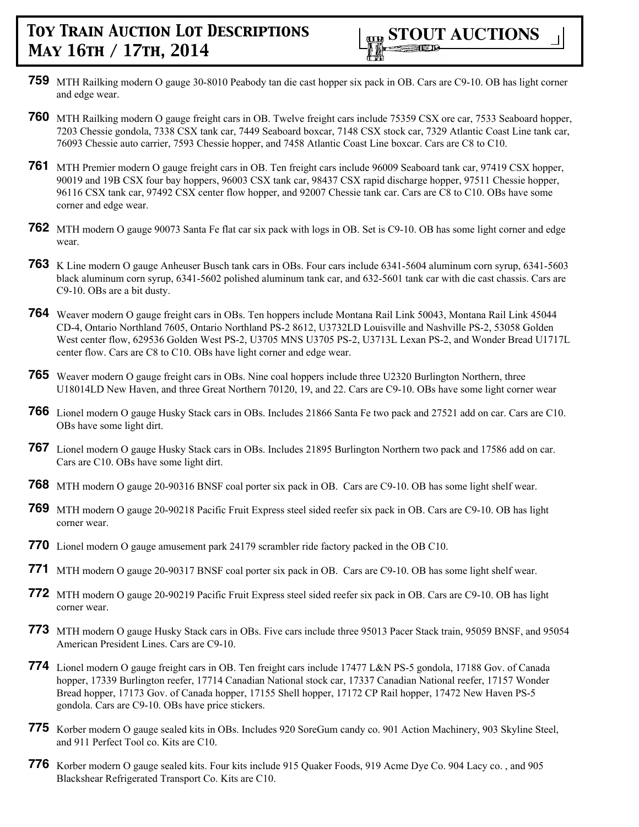- **759** MTH Railking modern O gauge 30-8010 Peabody tan die cast hopper six pack in OB. Cars are C9-10. OB has light corner and edge wear.
- **760** MTH Railking modern O gauge freight cars in OB. Twelve freight cars include 75359 CSX ore car, 7533 Seaboard hopper, 7203 Chessie gondola, 7338 CSX tank car, 7449 Seaboard boxcar, 7148 CSX stock car, 7329 Atlantic Coast Line tank car, 76093 Chessie auto carrier, 7593 Chessie hopper, and 7458 Atlantic Coast Line boxcar. Cars are C8 to C10.
- **761** MTH Premier modern O gauge freight cars in OB. Ten freight cars include 96009 Seaboard tank car, 97419 CSX hopper, 90019 and 19B CSX four bay hoppers, 96003 CSX tank car, 98437 CSX rapid discharge hopper, 97511 Chessie hopper, 96116 CSX tank car, 97492 CSX center flow hopper, and 92007 Chessie tank car. Cars are C8 to C10. OBs have some corner and edge wear.
- **762** MTH modern O gauge 90073 Santa Fe flat car six pack with logs in OB. Set is C9-10. OB has some light corner and edge wear.
- **763** K Line modern O gauge Anheuser Busch tank cars in OBs. Four cars include 6341-5604 aluminum corn syrup, 6341-5603 black aluminum corn syrup, 6341-5602 polished aluminum tank car, and 632-5601 tank car with die cast chassis. Cars are C9-10. OBs are a bit dusty.
- **764** Weaver modern O gauge freight cars in OBs. Ten hoppers include Montana Rail Link 50043, Montana Rail Link 45044 CD-4, Ontario Northland 7605, Ontario Northland PS-2 8612, U3732LD Louisville and Nashville PS-2, 53058 Golden West center flow, 629536 Golden West PS-2, U3705 MNS U3705 PS-2, U3713L Lexan PS-2, and Wonder Bread U1717L center flow. Cars are C8 to C10. OBs have light corner and edge wear.
- **765** Weaver modern O gauge freight cars in OBs. Nine coal hoppers include three U2320 Burlington Northern, three U18014LD New Haven, and three Great Northern 70120, 19, and 22. Cars are C9-10. OBs have some light corner wear
- **766** Lionel modern O gauge Husky Stack cars in OBs. Includes 21866 Santa Fe two pack and 27521 add on car. Cars are C10. OBs have some light dirt.
- **767** Lionel modern O gauge Husky Stack cars in OBs. Includes 21895 Burlington Northern two pack and 17586 add on car. Cars are C10. OBs have some light dirt.
- **768** MTH modern O gauge 20-90316 BNSF coal porter six pack in OB. Cars are C9-10. OB has some light shelf wear.
- **769** MTH modern O gauge 20-90218 Pacific Fruit Express steel sided reefer six pack in OB. Cars are C9-10. OB has light corner wear.
- **770** Lionel modern O gauge amusement park 24179 scrambler ride factory packed in the OB C10.
- **771** MTH modern O gauge 20-90317 BNSF coal porter six pack in OB. Cars are C9-10. OB has some light shelf wear.
- **772** MTH modern O gauge 20-90219 Pacific Fruit Express steel sided reefer six pack in OB. Cars are C9-10. OB has light corner wear.
- **773** MTH modern O gauge Husky Stack cars in OBs. Five cars include three 95013 Pacer Stack train, 95059 BNSF, and 95054 American President Lines. Cars are C9-10.
- **774** Lionel modern O gauge freight cars in OB. Ten freight cars include 17477 L&N PS-5 gondola, 17188 Gov. of Canada hopper, 17339 Burlington reefer, 17714 Canadian National stock car, 17337 Canadian National reefer, 17157 Wonder Bread hopper, 17173 Gov. of Canada hopper, 17155 Shell hopper, 17172 CP Rail hopper, 17472 New Haven PS-5 gondola. Cars are C9-10. OBs have price stickers.
- **775** Korber modern O gauge sealed kits in OBs. Includes 920 SoreGum candy co. 901 Action Machinery, 903 Skyline Steel, and 911 Perfect Tool co. Kits are C10.
- **776** Korber modern O gauge sealed kits. Four kits include 915 Quaker Foods, 919 Acme Dye Co. 904 Lacy co. , and 905 Blackshear Refrigerated Transport Co. Kits are C10.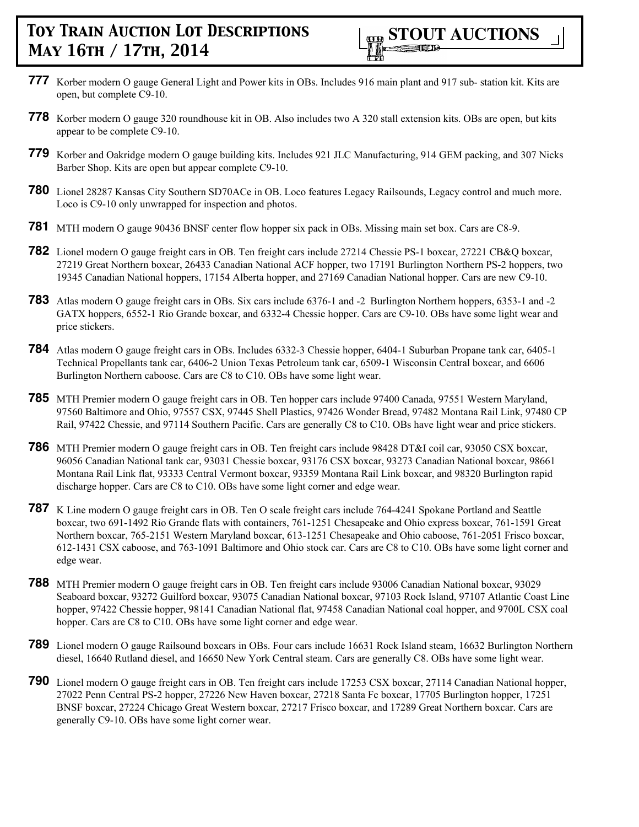- **777** Korber modern O gauge General Light and Power kits in OBs. Includes 916 main plant and 917 sub- station kit. Kits are open, but complete C9-10.
- **778** Korber modern O gauge 320 roundhouse kit in OB. Also includes two A 320 stall extension kits. OBs are open, but kits appear to be complete C9-10.
- **779** Korber and Oakridge modern O gauge building kits. Includes 921 JLC Manufacturing, 914 GEM packing, and 307 Nicks Barber Shop. Kits are open but appear complete C9-10.
- **780** Lionel 28287 Kansas City Southern SD70ACe in OB. Loco features Legacy Railsounds, Legacy control and much more. Loco is C9-10 only unwrapped for inspection and photos.
- **781** MTH modern O gauge 90436 BNSF center flow hopper six pack in OBs. Missing main set box. Cars are C8-9.
- **782** Lionel modern O gauge freight cars in OB. Ten freight cars include 27214 Chessie PS-1 boxcar, 27221 CB&Q boxcar, 27219 Great Northern boxcar, 26433 Canadian National ACF hopper, two 17191 Burlington Northern PS-2 hoppers, two 19345 Canadian National hoppers, 17154 Alberta hopper, and 27169 Canadian National hopper. Cars are new C9-10.
- **783** Atlas modern O gauge freight cars in OBs. Six cars include 6376-1 and -2 Burlington Northern hoppers, 6353-1 and -2 GATX hoppers, 6552-1 Rio Grande boxcar, and 6332-4 Chessie hopper. Cars are C9-10. OBs have some light wear and price stickers.
- **784** Atlas modern O gauge freight cars in OBs. Includes 6332-3 Chessie hopper, 6404-1 Suburban Propane tank car, 6405-1 Technical Propellants tank car, 6406-2 Union Texas Petroleum tank car, 6509-1 Wisconsin Central boxcar, and 6606 Burlington Northern caboose. Cars are C8 to C10. OBs have some light wear.
- **785** MTH Premier modern O gauge freight cars in OB. Ten hopper cars include 97400 Canada, 97551 Western Maryland, 97560 Baltimore and Ohio, 97557 CSX, 97445 Shell Plastics, 97426 Wonder Bread, 97482 Montana Rail Link, 97480 CP Rail, 97422 Chessie, and 97114 Southern Pacific. Cars are generally C8 to C10. OBs have light wear and price stickers.
- **786** MTH Premier modern O gauge freight cars in OB. Ten freight cars include 98428 DT&I coil car, 93050 CSX boxcar, 96056 Canadian National tank car, 93031 Chessie boxcar, 93176 CSX boxcar, 93273 Canadian National boxcar, 98661 Montana Rail Link flat, 93333 Central Vermont boxcar, 93359 Montana Rail Link boxcar, and 98320 Burlington rapid discharge hopper. Cars are C8 to C10. OBs have some light corner and edge wear.
- **787** K Line modern O gauge freight cars in OB. Ten O scale freight cars include 764-4241 Spokane Portland and Seattle boxcar, two 691-1492 Rio Grande flats with containers, 761-1251 Chesapeake and Ohio express boxcar, 761-1591 Great Northern boxcar, 765-2151 Western Maryland boxcar, 613-1251 Chesapeake and Ohio caboose, 761-2051 Frisco boxcar, 612-1431 CSX caboose, and 763-1091 Baltimore and Ohio stock car. Cars are C8 to C10. OBs have some light corner and edge wear.
- **788** MTH Premier modern O gauge freight cars in OB. Ten freight cars include 93006 Canadian National boxcar, 93029 Seaboard boxcar, 93272 Guilford boxcar, 93075 Canadian National boxcar, 97103 Rock Island, 97107 Atlantic Coast Line hopper, 97422 Chessie hopper, 98141 Canadian National flat, 97458 Canadian National coal hopper, and 9700L CSX coal hopper. Cars are C8 to C10. OBs have some light corner and edge wear.
- **789** Lionel modern O gauge Railsound boxcars in OBs. Four cars include 16631 Rock Island steam, 16632 Burlington Northern diesel, 16640 Rutland diesel, and 16650 New York Central steam. Cars are generally C8. OBs have some light wear.
- **790** Lionel modern O gauge freight cars in OB. Ten freight cars include 17253 CSX boxcar, 27114 Canadian National hopper, 27022 Penn Central PS-2 hopper, 27226 New Haven boxcar, 27218 Santa Fe boxcar, 17705 Burlington hopper, 17251 BNSF boxcar, 27224 Chicago Great Western boxcar, 27217 Frisco boxcar, and 17289 Great Northern boxcar. Cars are generally C9-10. OBs have some light corner wear.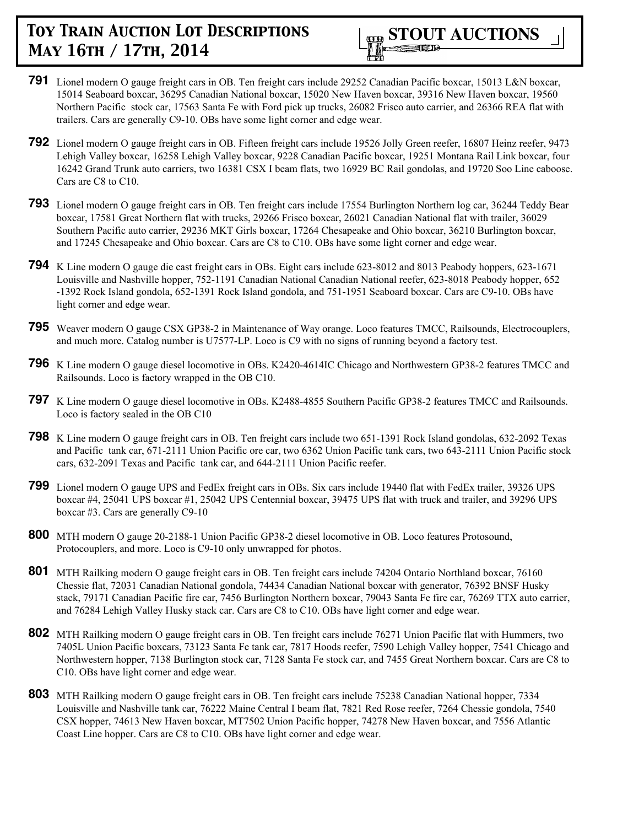

- **791** Lionel modern O gauge freight cars in OB. Ten freight cars include 29252 Canadian Pacific boxcar, 15013 L&N boxcar, 15014 Seaboard boxcar, 36295 Canadian National boxcar, 15020 New Haven boxcar, 39316 New Haven boxcar, 19560 Northern Pacific stock car, 17563 Santa Fe with Ford pick up trucks, 26082 Frisco auto carrier, and 26366 REA flat with trailers. Cars are generally C9-10. OBs have some light corner and edge wear.
- **792** Lionel modern O gauge freight cars in OB. Fifteen freight cars include 19526 Jolly Green reefer, 16807 Heinz reefer, 9473 Lehigh Valley boxcar, 16258 Lehigh Valley boxcar, 9228 Canadian Pacific boxcar, 19251 Montana Rail Link boxcar, four 16242 Grand Trunk auto carriers, two 16381 CSX I beam flats, two 16929 BC Rail gondolas, and 19720 Soo Line caboose. Cars are C8 to C10.
- **793** Lionel modern O gauge freight cars in OB. Ten freight cars include 17554 Burlington Northern log car, 36244 Teddy Bear boxcar, 17581 Great Northern flat with trucks, 29266 Frisco boxcar, 26021 Canadian National flat with trailer, 36029 Southern Pacific auto carrier, 29236 MKT Girls boxcar, 17264 Chesapeake and Ohio boxcar, 36210 Burlington boxcar, and 17245 Chesapeake and Ohio boxcar. Cars are C8 to C10. OBs have some light corner and edge wear.
- **794** K Line modern O gauge die cast freight cars in OBs. Eight cars include 623-8012 and 8013 Peabody hoppers, 623-1671 Louisville and Nashville hopper, 752-1191 Canadian National Canadian National reefer, 623-8018 Peabody hopper, 652 -1392 Rock Island gondola, 652-1391 Rock Island gondola, and 751-1951 Seaboard boxcar. Cars are C9-10. OBs have light corner and edge wear.
- **795** Weaver modern O gauge CSX GP38-2 in Maintenance of Way orange. Loco features TMCC, Railsounds, Electrocouplers, and much more. Catalog number is U7577-LP. Loco is C9 with no signs of running beyond a factory test.
- **796** K Line modern O gauge diesel locomotive in OBs. K2420-4614IC Chicago and Northwestern GP38-2 features TMCC and Railsounds. Loco is factory wrapped in the OB C10.
- **797** K Line modern O gauge diesel locomotive in OBs. K2488-4855 Southern Pacific GP38-2 features TMCC and Railsounds. Loco is factory sealed in the OB C10
- **798** K Line modern O gauge freight cars in OB. Ten freight cars include two 651-1391 Rock Island gondolas, 632-2092 Texas and Pacific tank car, 671-2111 Union Pacific ore car, two 6362 Union Pacific tank cars, two 643-2111 Union Pacific stock cars, 632-2091 Texas and Pacific tank car, and 644-2111 Union Pacific reefer.
- **799** Lionel modern O gauge UPS and FedEx freight cars in OBs. Six cars include 19440 flat with FedEx trailer, 39326 UPS boxcar #4, 25041 UPS boxcar #1, 25042 UPS Centennial boxcar, 39475 UPS flat with truck and trailer, and 39296 UPS boxcar #3. Cars are generally C9-10
- **800** MTH modern O gauge 20-2188-1 Union Pacific GP38-2 diesel locomotive in OB. Loco features Protosound, Protocouplers, and more. Loco is C9-10 only unwrapped for photos.
- **801** MTH Railking modern O gauge freight cars in OB. Ten freight cars include 74204 Ontario Northland boxcar, 76160 Chessie flat, 72031 Canadian National gondola, 74434 Canadian National boxcar with generator, 76392 BNSF Husky stack, 79171 Canadian Pacific fire car, 7456 Burlington Northern boxcar, 79043 Santa Fe fire car, 76269 TTX auto carrier, and 76284 Lehigh Valley Husky stack car. Cars are C8 to C10. OBs have light corner and edge wear.
- **802** MTH Railking modern O gauge freight cars in OB. Ten freight cars include 76271 Union Pacific flat with Hummers, two 7405L Union Pacific boxcars, 73123 Santa Fe tank car, 7817 Hoods reefer, 7590 Lehigh Valley hopper, 7541 Chicago and Northwestern hopper, 7138 Burlington stock car, 7128 Santa Fe stock car, and 7455 Great Northern boxcar. Cars are C8 to C10. OBs have light corner and edge wear.
- **803** MTH Railking modern O gauge freight cars in OB. Ten freight cars include 75238 Canadian National hopper, 7334 Louisville and Nashville tank car, 76222 Maine Central I beam flat, 7821 Red Rose reefer, 7264 Chessie gondola, 7540 CSX hopper, 74613 New Haven boxcar, MT7502 Union Pacific hopper, 74278 New Haven boxcar, and 7556 Atlantic Coast Line hopper. Cars are C8 to C10. OBs have light corner and edge wear.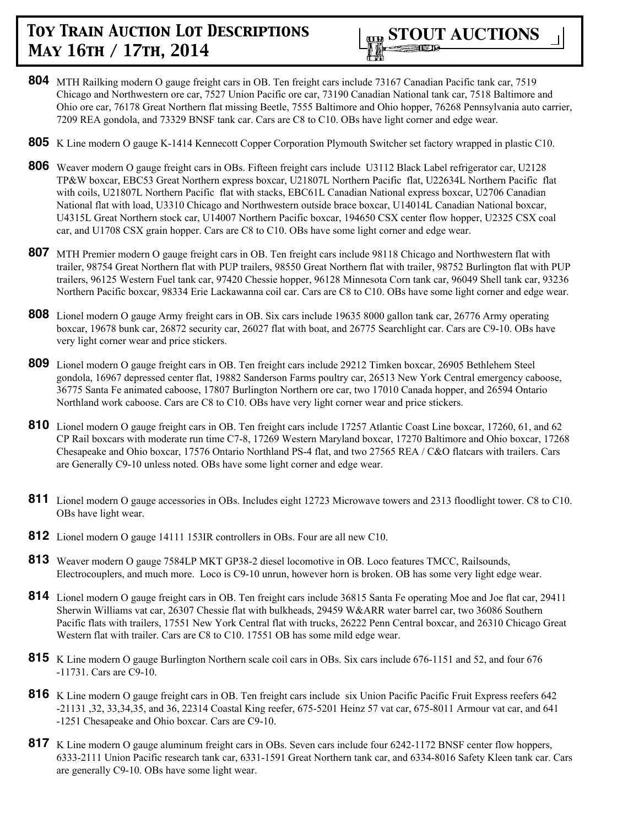

- **804** MTH Railking modern O gauge freight cars in OB. Ten freight cars include 73167 Canadian Pacific tank car, 7519 Chicago and Northwestern ore car, 7527 Union Pacific ore car, 73190 Canadian National tank car, 7518 Baltimore and Ohio ore car, 76178 Great Northern flat missing Beetle, 7555 Baltimore and Ohio hopper, 76268 Pennsylvania auto carrier, 7209 REA gondola, and 73329 BNSF tank car. Cars are C8 to C10. OBs have light corner and edge wear.
- **805** K Line modern O gauge K-1414 Kennecott Copper Corporation Plymouth Switcher set factory wrapped in plastic C10.
- **806** Weaver modern O gauge freight cars in OBs. Fifteen freight cars include U3112 Black Label refrigerator car, U2128 TP&W boxcar, EBC53 Great Northern express boxcar, U21807L Northern Pacific flat, U22634L Northern Pacific flat with coils, U21807L Northern Pacific flat with stacks, EBC61L Canadian National express boxcar, U2706 Canadian National flat with load, U3310 Chicago and Northwestern outside brace boxcar, U14014L Canadian National boxcar, U4315L Great Northern stock car, U14007 Northern Pacific boxcar, 194650 CSX center flow hopper, U2325 CSX coal car, and U1708 CSX grain hopper. Cars are C8 to C10. OBs have some light corner and edge wear.
- **807** MTH Premier modern O gauge freight cars in OB. Ten freight cars include 98118 Chicago and Northwestern flat with trailer, 98754 Great Northern flat with PUP trailers, 98550 Great Northern flat with trailer, 98752 Burlington flat with PUP trailers, 96125 Western Fuel tank car, 97420 Chessie hopper, 96128 Minnesota Corn tank car, 96049 Shell tank car, 93236 Northern Pacific boxcar, 98334 Erie Lackawanna coil car. Cars are C8 to C10. OBs have some light corner and edge wear.
- **808** Lionel modern O gauge Army freight cars in OB. Six cars include 19635 8000 gallon tank car, 26776 Army operating boxcar, 19678 bunk car, 26872 security car, 26027 flat with boat, and 26775 Searchlight car. Cars are C9-10. OBs have very light corner wear and price stickers.
- **809** Lionel modern O gauge freight cars in OB. Ten freight cars include 29212 Timken boxcar, 26905 Bethlehem Steel gondola, 16967 depressed center flat, 19882 Sanderson Farms poultry car, 26513 New York Central emergency caboose, 36775 Santa Fe animated caboose, 17807 Burlington Northern ore car, two 17010 Canada hopper, and 26594 Ontario Northland work caboose. Cars are C8 to C10. OBs have very light corner wear and price stickers.
- **810** Lionel modern O gauge freight cars in OB. Ten freight cars include 17257 Atlantic Coast Line boxcar, 17260, 61, and 62 CP Rail boxcars with moderate run time C7-8, 17269 Western Maryland boxcar, 17270 Baltimore and Ohio boxcar, 17268 Chesapeake and Ohio boxcar, 17576 Ontario Northland PS-4 flat, and two 27565 REA / C&O flatcars with trailers. Cars are Generally C9-10 unless noted. OBs have some light corner and edge wear.
- **811** Lionel modern O gauge accessories in OBs. Includes eight 12723 Microwave towers and 2313 floodlight tower. C8 to C10. OBs have light wear.
- **812** Lionel modern O gauge 14111 153IR controllers in OBs. Four are all new C10.
- **813** Weaver modern O gauge 7584LP MKT GP38-2 diesel locomotive in OB. Loco features TMCC, Railsounds, Electrocouplers, and much more. Loco is C9-10 unrun, however horn is broken. OB has some very light edge wear.
- **814** Lionel modern O gauge freight cars in OB. Ten freight cars include 36815 Santa Fe operating Moe and Joe flat car, 29411 Sherwin Williams vat car, 26307 Chessie flat with bulkheads, 29459 W&ARR water barrel car, two 36086 Southern Pacific flats with trailers, 17551 New York Central flat with trucks, 26222 Penn Central boxcar, and 26310 Chicago Great Western flat with trailer. Cars are C8 to C10. 17551 OB has some mild edge wear.
- **815** K Line modern O gauge Burlington Northern scale coil cars in OBs. Six cars include 676-1151 and 52, and four 676 -11731. Cars are C9-10.
- **816** K Line modern O gauge freight cars in OB. Ten freight cars include six Union Pacific Pacific Fruit Express reefers 642 -21131 ,32, 33,34,35, and 36, 22314 Coastal King reefer, 675-5201 Heinz 57 vat car, 675-8011 Armour vat car, and 641 -1251 Chesapeake and Ohio boxcar. Cars are C9-10.
- **817** K Line modern O gauge aluminum freight cars in OBs. Seven cars include four 6242-1172 BNSF center flow hoppers, 6333-2111 Union Pacific research tank car, 6331-1591 Great Northern tank car, and 6334-8016 Safety Kleen tank car. Cars are generally C9-10. OBs have some light wear.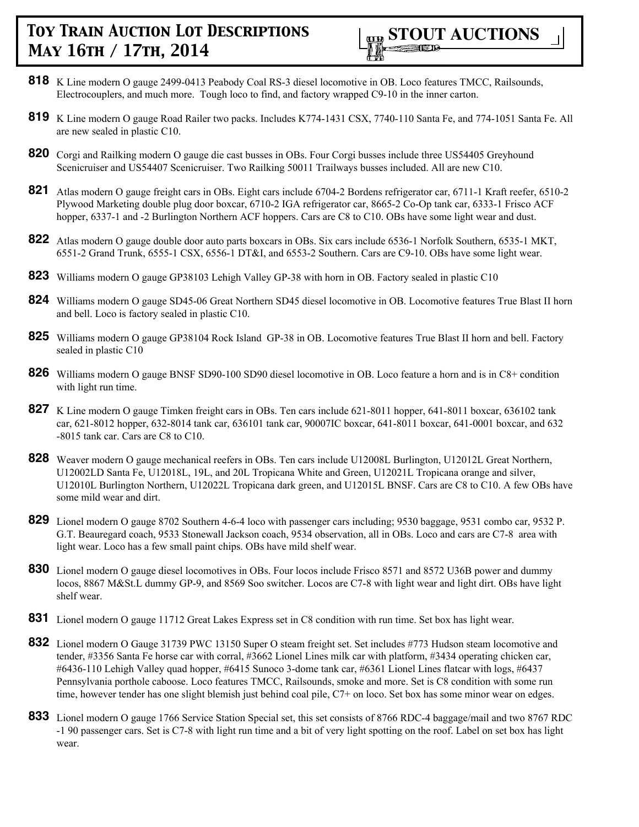

- **818** K Line modern O gauge 2499-0413 Peabody Coal RS-3 diesel locomotive in OB. Loco features TMCC, Railsounds, Electrocouplers, and much more. Tough loco to find, and factory wrapped C9-10 in the inner carton.
- **819** K Line modern O gauge Road Railer two packs. Includes K774-1431 CSX, 7740-110 Santa Fe, and 774-1051 Santa Fe. All are new sealed in plastic C10.
- **820** Corgi and Railking modern O gauge die cast busses in OBs. Four Corgi busses include three US54405 Greyhound Scenicruiser and US54407 Scenicruiser. Two Railking 50011 Trailways busses included. All are new C10.
- **821** Atlas modern O gauge freight cars in OBs. Eight cars include 6704-2 Bordens refrigerator car, 6711-1 Kraft reefer, 6510-2 Plywood Marketing double plug door boxcar, 6710-2 IGA refrigerator car, 8665-2 Co-Op tank car, 6333-1 Frisco ACF hopper, 6337-1 and -2 Burlington Northern ACF hoppers. Cars are C8 to C10. OBs have some light wear and dust.
- **822** Atlas modern O gauge double door auto parts boxcars in OBs. Six cars include 6536-1 Norfolk Southern, 6535-1 MKT, 6551-2 Grand Trunk, 6555-1 CSX, 6556-1 DT&I, and 6553-2 Southern. Cars are C9-10. OBs have some light wear.
- **823** Williams modern O gauge GP38103 Lehigh Valley GP-38 with horn in OB. Factory sealed in plastic C10
- **824** Williams modern O gauge SD45-06 Great Northern SD45 diesel locomotive in OB. Locomotive features True Blast II horn and bell. Loco is factory sealed in plastic C10.
- **825** Williams modern O gauge GP38104 Rock Island GP-38 in OB. Locomotive features True Blast II horn and bell. Factory sealed in plastic C10
- **826** Williams modern O gauge BNSF SD90-100 SD90 diesel locomotive in OB. Loco feature a horn and is in C8+ condition with light run time.
- **827** K Line modern O gauge Timken freight cars in OBs. Ten cars include 621-8011 hopper, 641-8011 boxcar, 636102 tank car, 621-8012 hopper, 632-8014 tank car, 636101 tank car, 90007IC boxcar, 641-8011 boxcar, 641-0001 boxcar, and 632 -8015 tank car. Cars are C8 to C10.
- **828** Weaver modern O gauge mechanical reefers in OBs. Ten cars include U12008L Burlington, U12012L Great Northern, U12002LD Santa Fe, U12018L, 19L, and 20L Tropicana White and Green, U12021L Tropicana orange and silver, U12010L Burlington Northern, U12022L Tropicana dark green, and U12015L BNSF. Cars are C8 to C10. A few OBs have some mild wear and dirt.
- **829** Lionel modern O gauge 8702 Southern 4-6-4 loco with passenger cars including; 9530 baggage, 9531 combo car, 9532 P. G.T. Beauregard coach, 9533 Stonewall Jackson coach, 9534 observation, all in OBs. Loco and cars are C7-8 area with light wear. Loco has a few small paint chips. OBs have mild shelf wear.
- **830** Lionel modern O gauge diesel locomotives in OBs. Four locos include Frisco 8571 and 8572 U36B power and dummy locos, 8867 M&St.L dummy GP-9, and 8569 Soo switcher. Locos are C7-8 with light wear and light dirt. OBs have light shelf wear.
- **831** Lionel modern O gauge 11712 Great Lakes Express set in C8 condition with run time. Set box has light wear.
- **832** Lionel modern O Gauge 31739 PWC 13150 Super O steam freight set. Set includes #773 Hudson steam locomotive and tender, #3356 Santa Fe horse car with corral, #3662 Lionel Lines milk car with platform, #3434 operating chicken car, #6436-110 Lehigh Valley quad hopper, #6415 Sunoco 3-dome tank car, #6361 Lionel Lines flatcar with logs, #6437 Pennsylvania porthole caboose. Loco features TMCC, Railsounds, smoke and more. Set is C8 condition with some run time, however tender has one slight blemish just behind coal pile, C7+ on loco. Set box has some minor wear on edges.
- **833** Lionel modern O gauge 1766 Service Station Special set, this set consists of 8766 RDC-4 baggage/mail and two 8767 RDC -1 90 passenger cars. Set is C7-8 with light run time and a bit of very light spotting on the roof. Label on set box has light wear.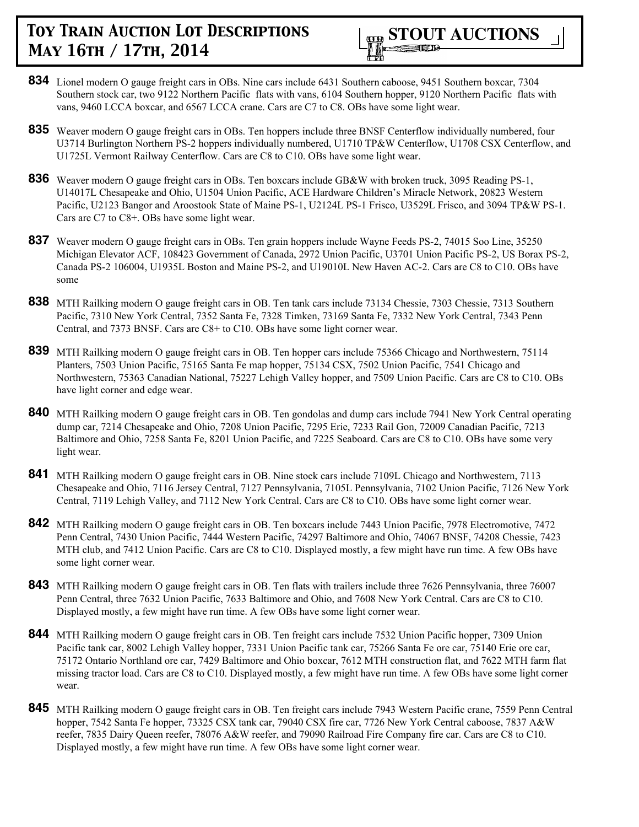

- **834** Lionel modern O gauge freight cars in OBs. Nine cars include 6431 Southern caboose, 9451 Southern boxcar, 7304 Southern stock car, two 9122 Northern Pacific flats with vans, 6104 Southern hopper, 9120 Northern Pacific flats with vans, 9460 LCCA boxcar, and 6567 LCCA crane. Cars are C7 to C8. OBs have some light wear.
- **835** Weaver modern O gauge freight cars in OBs. Ten hoppers include three BNSF Centerflow individually numbered, four U3714 Burlington Northern PS-2 hoppers individually numbered, U1710 TP&W Centerflow, U1708 CSX Centerflow, and U1725L Vermont Railway Centerflow. Cars are C8 to C10. OBs have some light wear.
- **836** Weaver modern O gauge freight cars in OBs. Ten boxcars include GB&W with broken truck, 3095 Reading PS-1, U14017L Chesapeake and Ohio, U1504 Union Pacific, ACE Hardware Children's Miracle Network, 20823 Western Pacific, U2123 Bangor and Aroostook State of Maine PS-1, U2124L PS-1 Frisco, U3529L Frisco, and 3094 TP&W PS-1. Cars are C7 to C8+. OBs have some light wear.
- **837** Weaver modern O gauge freight cars in OBs. Ten grain hoppers include Wayne Feeds PS-2, 74015 Soo Line, 35250 Michigan Elevator ACF, 108423 Government of Canada, 2972 Union Pacific, U3701 Union Pacific PS-2, US Borax PS-2, Canada PS-2 106004, U1935L Boston and Maine PS-2, and U19010L New Haven AC-2. Cars are C8 to C10. OBs have some
- **838** MTH Railking modern O gauge freight cars in OB. Ten tank cars include 73134 Chessie, 7303 Chessie, 7313 Southern Pacific, 7310 New York Central, 7352 Santa Fe, 7328 Timken, 73169 Santa Fe, 7332 New York Central, 7343 Penn Central, and 7373 BNSF. Cars are C8+ to C10. OBs have some light corner wear.
- **839** MTH Railking modern O gauge freight cars in OB. Ten hopper cars include 75366 Chicago and Northwestern, 75114 Planters, 7503 Union Pacific, 75165 Santa Fe map hopper, 75134 CSX, 7502 Union Pacific, 7541 Chicago and Northwestern, 75363 Canadian National, 75227 Lehigh Valley hopper, and 7509 Union Pacific. Cars are C8 to C10. OBs have light corner and edge wear.
- **840** MTH Railking modern O gauge freight cars in OB. Ten gondolas and dump cars include 7941 New York Central operating dump car, 7214 Chesapeake and Ohio, 7208 Union Pacific, 7295 Erie, 7233 Rail Gon, 72009 Canadian Pacific, 7213 Baltimore and Ohio, 7258 Santa Fe, 8201 Union Pacific, and 7225 Seaboard. Cars are C8 to C10. OBs have some very light wear.
- **841** MTH Railking modern O gauge freight cars in OB. Nine stock cars include 7109L Chicago and Northwestern, 7113 Chesapeake and Ohio, 7116 Jersey Central, 7127 Pennsylvania, 7105L Pennsylvania, 7102 Union Pacific, 7126 New York Central, 7119 Lehigh Valley, and 7112 New York Central. Cars are C8 to C10. OBs have some light corner wear.
- **842** MTH Railking modern O gauge freight cars in OB. Ten boxcars include 7443 Union Pacific, 7978 Electromotive, 7472 Penn Central, 7430 Union Pacific, 7444 Western Pacific, 74297 Baltimore and Ohio, 74067 BNSF, 74208 Chessie, 7423 MTH club, and 7412 Union Pacific. Cars are C8 to C10. Displayed mostly, a few might have run time. A few OBs have some light corner wear.
- **843** MTH Railking modern O gauge freight cars in OB. Ten flats with trailers include three 7626 Pennsylvania, three 76007 Penn Central, three 7632 Union Pacific, 7633 Baltimore and Ohio, and 7608 New York Central. Cars are C8 to C10. Displayed mostly, a few might have run time. A few OBs have some light corner wear.
- **844** MTH Railking modern O gauge freight cars in OB. Ten freight cars include 7532 Union Pacific hopper, 7309 Union Pacific tank car, 8002 Lehigh Valley hopper, 7331 Union Pacific tank car, 75266 Santa Fe ore car, 75140 Erie ore car, 75172 Ontario Northland ore car, 7429 Baltimore and Ohio boxcar, 7612 MTH construction flat, and 7622 MTH farm flat missing tractor load. Cars are C8 to C10. Displayed mostly, a few might have run time. A few OBs have some light corner wear.
- **845** MTH Railking modern O gauge freight cars in OB. Ten freight cars include 7943 Western Pacific crane, 7559 Penn Central hopper, 7542 Santa Fe hopper, 73325 CSX tank car, 79040 CSX fire car, 7726 New York Central caboose, 7837 A&W reefer, 7835 Dairy Queen reefer, 78076 A&W reefer, and 79090 Railroad Fire Company fire car. Cars are C8 to C10. Displayed mostly, a few might have run time. A few OBs have some light corner wear.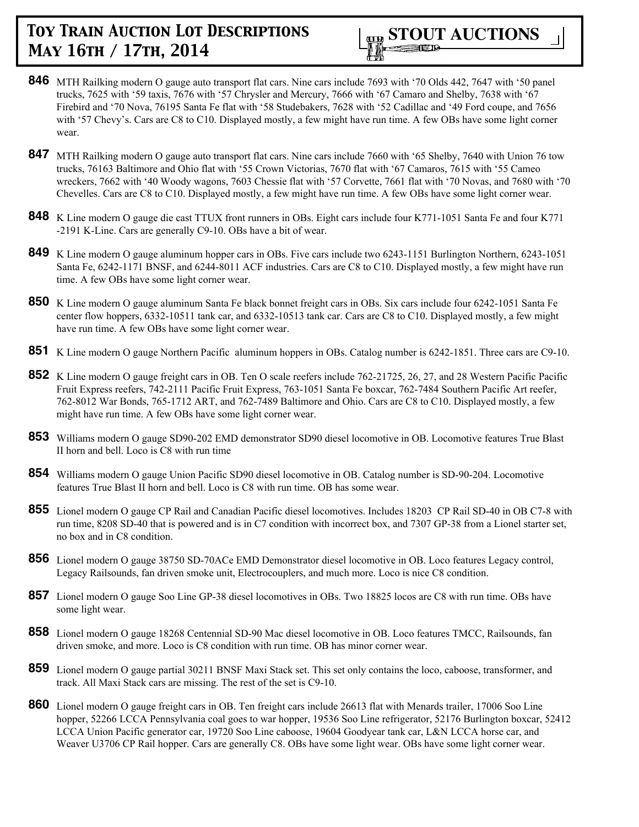- **846** MTH Railking modern O gauge auto transport flat cars. Nine cars include 7693 with '70 Olds 442, 7647 with '50 panel trucks, 7625 with '59 taxis, 7676 with '57 Chrysler and Mercury, 7666 with '67 Camaro and Shelby, 7638 with '67 Firebird and '70 Nova, 76195 Santa Fe flat with '58 Studebakers, 7628 with '52 Cadillac and '49 Ford coupe, and 7656 with '57 Chevy's. Cars are C8 to C10. Displayed mostly, a few might have run time. A few OBs have some light corner wear.
- **847** MTH Railking modern O gauge auto transport flat cars. Nine cars include 7660 with '65 Shelby, 7640 with Union 76 tow trucks, 76163 Baltimore and Ohio flat with '55 Crown Victorias, 7670 flat with '67 Camaros, 7615 with '55 Cameo wreckers, 7662 with '40 Woody wagons, 7603 Chessie flat with '57 Corvette, 7661 flat with '70 Novas, and 7680 with '70 Chevelles. Cars are C8 to C10. Displayed mostly, a few might have run time. A few OBs have some light corner wear.
- **848** K Line modern O gauge die cast TTUX front runners in OBs. Eight cars include four K771-1051 Santa Fe and four K771 -2191 K-Line. Cars are generally C9-10. OBs have a bit of wear.
- **849** K Line modern O gauge aluminum hopper cars in OBs. Five cars include two 6243-1151 Burlington Northern, 6243-1051 Santa Fe, 6242-1171 BNSF, and 6244-8011 ACF industries. Cars are C8 to C10. Displayed mostly, a few might have run time. A few OBs have some light corner wear.
- **850** K Line modern O gauge aluminum Santa Fe black bonnet freight cars in OBs. Six cars include four 6242-1051 Santa Fe center flow hoppers, 6332-10511 tank car, and 6332-10513 tank car. Cars are C8 to C10. Displayed mostly, a few might have run time. A few OBs have some light corner wear.
- **851** K Line modern O gauge Northern Pacific aluminum hoppers in OBs. Catalog number is 6242-1851. Three cars are C9-10.
- **852** K Line modern O gauge freight cars in OB. Ten O scale reefers include 762-21725, 26, 27, and 28 Western Pacific Pacific Fruit Express reefers, 742-2111 Pacific Fruit Express, 763-1051 Santa Fe boxcar, 762-7484 Southern Pacific Art reefer, 762-8012 War Bonds, 765-1712 ART, and 762-7489 Baltimore and Ohio. Cars are C8 to C10. Displayed mostly, a few might have run time. A few OBs have some light corner wear.
- **853** Williams modern O gauge SD90-202 EMD demonstrator SD90 diesel locomotive in OB. Locomotive features True Blast II horn and bell. Loco is C8 with run time
- **854** Williams modern O gauge Union Pacific SD90 diesel locomotive in OB. Catalog number is SD-90-204. Locomotive features True Blast II horn and bell. Loco is C8 with run time. OB has some wear.
- **855** Lionel modern O gauge CP Rail and Canadian Pacific diesel locomotives. Includes 18203 CP Rail SD-40 in OB C7-8 with run time, 8208 SD-40 that is powered and is in C7 condition with incorrect box, and 7307 GP-38 from a Lionel starter set, no box and in C8 condition.
- **856** Lionel modern O gauge 38750 SD-70ACe EMD Demonstrator diesel locomotive in OB. Loco features Legacy control, Legacy Railsounds, fan driven smoke unit, Electrocouplers, and much more. Loco is nice C8 condition.
- **857** Lionel modern O gauge Soo Line GP-38 diesel locomotives in OBs. Two 18825 locos are C8 with run time. OBs have some light wear.
- **858** Lionel modern O gauge 18268 Centennial SD-90 Mac diesel locomotive in OB. Loco features TMCC, Railsounds, fan driven smoke, and more. Loco is C8 condition with run time. OB has minor corner wear.
- **859** Lionel modern O gauge partial 30211 BNSF Maxi Stack set. This set only contains the loco, caboose, transformer, and track. All Maxi Stack cars are missing. The rest of the set is C9-10.
- **860** Lionel modern O gauge freight cars in OB. Ten freight cars include 26613 flat with Menards trailer, 17006 Soo Line hopper, 52266 LCCA Pennsylvania coal goes to war hopper, 19536 Soo Line refrigerator, 52176 Burlington boxcar, 52412 LCCA Union Pacific generator car, 19720 Soo Line caboose, 19604 Goodyear tank car, L&N LCCA horse car, and Weaver U3706 CP Rail hopper. Cars are generally C8. OBs have some light wear. OBs have some light corner wear.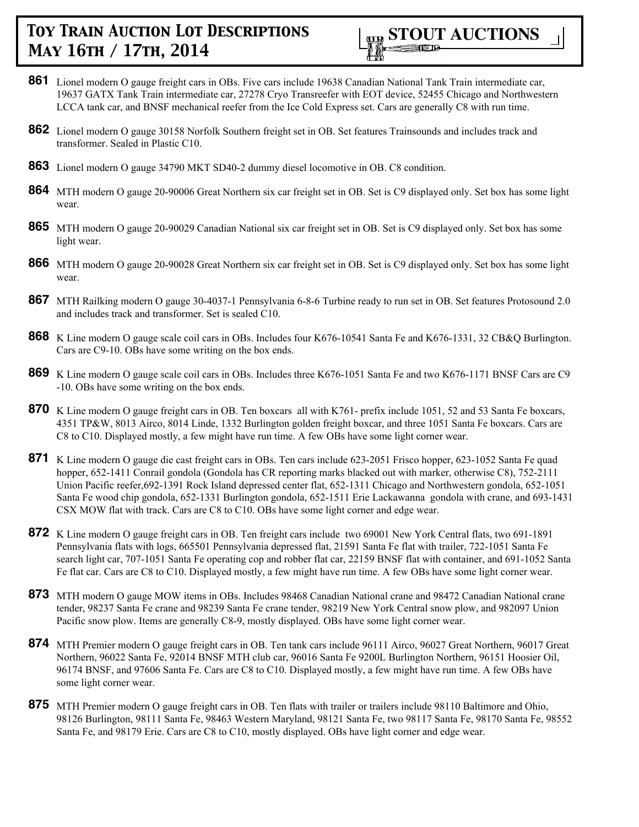

- **861** Lionel modern O gauge freight cars in OBs. Five cars include 19638 Canadian National Tank Train intermediate car, 19637 GATX Tank Train intermediate car, 27278 Cryo Transreefer with EOT device, 52455 Chicago and Northwestern LCCA tank car, and BNSF mechanical reefer from the Ice Cold Express set. Cars are generally C8 with run time.
- **862** Lionel modern O gauge 30158 Norfolk Southern freight set in OB. Set features Trainsounds and includes track and transformer. Sealed in Plastic C10.
- **863** Lionel modern O gauge 34790 MKT SD40-2 dummy diesel locomotive in OB. C8 condition.
- **864** MTH modern O gauge 20-90006 Great Northern six car freight set in OB. Set is C9 displayed only. Set box has some light wear.
- **865** MTH modern O gauge 20-90029 Canadian National six car freight set in OB. Set is C9 displayed only. Set box has some light wear.
- **866** MTH modern O gauge 20-90028 Great Northern six car freight set in OB. Set is C9 displayed only. Set box has some light wear.
- **867** MTH Railking modern O gauge 30-4037-1 Pennsylvania 6-8-6 Turbine ready to run set in OB. Set features Protosound 2.0 and includes track and transformer. Set is sealed C10.
- **868** K Line modern O gauge scale coil cars in OBs. Includes four K676-10541 Santa Fe and K676-1331, 32 CB&Q Burlington. Cars are C9-10. OBs have some writing on the box ends.
- **869** K Line modern O gauge scale coil cars in OBs. Includes three K676-1051 Santa Fe and two K676-1171 BNSF Cars are C9 -10. OBs have some writing on the box ends.
- **870** K Line modern O gauge freight cars in OB. Ten boxcars all with K761- prefix include 1051, 52 and 53 Santa Fe boxcars, 4351 TP&W, 8013 Airco, 8014 Linde, 1332 Burlington golden freight boxcar, and three 1051 Santa Fe boxcars. Cars are C8 to C10. Displayed mostly, a few might have run time. A few OBs have some light corner wear.
- **871** K Line modern O gauge die cast freight cars in OBs. Ten cars include 623-2051 Frisco hopper, 623-1052 Santa Fe quad hopper, 652-1411 Conrail gondola (Gondola has CR reporting marks blacked out with marker, otherwise C8), 752-2111 Union Pacific reefer,692-1391 Rock Island depressed center flat, 652-1311 Chicago and Northwestern gondola, 652-1051 Santa Fe wood chip gondola, 652-1331 Burlington gondola, 652-1511 Erie Lackawanna gondola with crane, and 693-1431 CSX MOW flat with track. Cars are C8 to C10. OBs have some light corner and edge wear.
- **872** K Line modern O gauge freight cars in OB. Ten freight cars include two 69001 New York Central flats, two 691-1891 Pennsylvania flats with logs, 665501 Pennsylvania depressed flat, 21591 Santa Fe flat with trailer, 722-1051 Santa Fe search light car, 707-1051 Santa Fe operating cop and robber flat car, 22159 BNSF flat with container, and 691-1052 Santa Fe flat car. Cars are C8 to C10. Displayed mostly, a few might have run time. A few OBs have some light corner wear.
- **873** MTH modern O gauge MOW items in OBs. Includes 98468 Canadian National crane and 98472 Canadian National crane tender, 98237 Santa Fe crane and 98239 Santa Fe crane tender, 98219 New York Central snow plow, and 982097 Union Pacific snow plow. Items are generally C8-9, mostly displayed. OBs have some light corner wear.
- **874** MTH Premier modern O gauge freight cars in OB. Ten tank cars include 96111 Airco, 96027 Great Northern, 96017 Great Northern, 96022 Santa Fe, 92014 BNSF MTH club car, 96016 Santa Fe 9200L Burlington Northern, 96151 Hoosier Oil, 96174 BNSF, and 97606 Santa Fe. Cars are C8 to C10. Displayed mostly, a few might have run time. A few OBs have some light corner wear.
- **875** MTH Premier modern O gauge freight cars in OB. Ten flats with trailer or trailers include 98110 Baltimore and Ohio, 98126 Burlington, 98111 Santa Fe, 98463 Western Maryland, 98121 Santa Fe, two 98117 Santa Fe, 98170 Santa Fe, 98552 Santa Fe, and 98179 Erie. Cars are C8 to C10, mostly displayed. OBs have light corner and edge wear.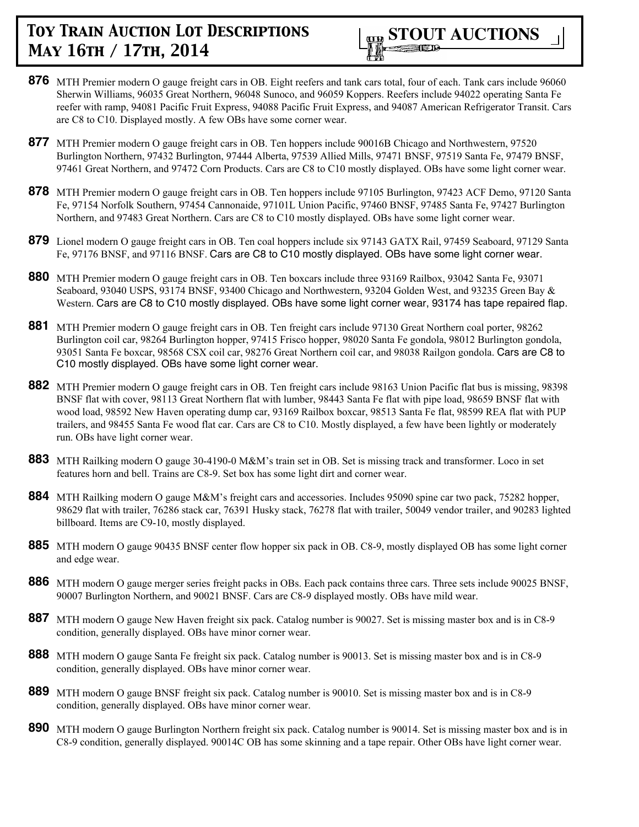

- **876** MTH Premier modern O gauge freight cars in OB. Eight reefers and tank cars total, four of each. Tank cars include 96060 Sherwin Williams, 96035 Great Northern, 96048 Sunoco, and 96059 Koppers. Reefers include 94022 operating Santa Fe reefer with ramp, 94081 Pacific Fruit Express, 94088 Pacific Fruit Express, and 94087 American Refrigerator Transit. Cars are C8 to C10. Displayed mostly. A few OBs have some corner wear.
- **877** MTH Premier modern O gauge freight cars in OB. Ten hoppers include 90016B Chicago and Northwestern, 97520 Burlington Northern, 97432 Burlington, 97444 Alberta, 97539 Allied Mills, 97471 BNSF, 97519 Santa Fe, 97479 BNSF, 97461 Great Northern, and 97472 Corn Products. Cars are C8 to C10 mostly displayed. OBs have some light corner wear.
- **878** MTH Premier modern O gauge freight cars in OB. Ten hoppers include 97105 Burlington, 97423 ACF Demo, 97120 Santa Fe, 97154 Norfolk Southern, 97454 Cannonaide, 97101L Union Pacific, 97460 BNSF, 97485 Santa Fe, 97427 Burlington Northern, and 97483 Great Northern. Cars are C8 to C10 mostly displayed. OBs have some light corner wear.
- **879** Lionel modern O gauge freight cars in OB. Ten coal hoppers include six 97143 GATX Rail, 97459 Seaboard, 97129 Santa Fe, 97176 BNSF, and 97116 BNSF. Cars are C8 to C10 mostly displayed. OBs have some light corner wear.
- **880** MTH Premier modern O gauge freight cars in OB. Ten boxcars include three 93169 Railbox, 93042 Santa Fe, 93071 Seaboard, 93040 USPS, 93174 BNSF, 93400 Chicago and Northwestern, 93204 Golden West, and 93235 Green Bay & Western. Cars are C8 to C10 mostly displayed. OBs have some light corner wear, 93174 has tape repaired flap.
- **881** MTH Premier modern O gauge freight cars in OB. Ten freight cars include 97130 Great Northern coal porter, 98262 Burlington coil car, 98264 Burlington hopper, 97415 Frisco hopper, 98020 Santa Fe gondola, 98012 Burlington gondola, 93051 Santa Fe boxcar, 98568 CSX coil car, 98276 Great Northern coil car, and 98038 Railgon gondola. Cars are C8 to C10 mostly displayed. OBs have some light corner wear.
- **882** MTH Premier modern O gauge freight cars in OB. Ten freight cars include 98163 Union Pacific flat bus is missing, 98398 BNSF flat with cover, 98113 Great Northern flat with lumber, 98443 Santa Fe flat with pipe load, 98659 BNSF flat with wood load, 98592 New Haven operating dump car, 93169 Railbox boxcar, 98513 Santa Fe flat, 98599 REA flat with PUP trailers, and 98455 Santa Fe wood flat car. Cars are C8 to C10. Mostly displayed, a few have been lightly or moderately run. OBs have light corner wear.
- **883** MTH Railking modern O gauge 30-4190-0 M&M's train set in OB. Set is missing track and transformer. Loco in set features horn and bell. Trains are C8-9. Set box has some light dirt and corner wear.
- **884** MTH Railking modern O gauge M&M's freight cars and accessories. Includes 95090 spine car two pack, 75282 hopper, 98629 flat with trailer, 76286 stack car, 76391 Husky stack, 76278 flat with trailer, 50049 vendor trailer, and 90283 lighted billboard. Items are C9-10, mostly displayed.
- **885** MTH modern O gauge 90435 BNSF center flow hopper six pack in OB. C8-9, mostly displayed OB has some light corner and edge wear.
- **886** MTH modern O gauge merger series freight packs in OBs. Each pack contains three cars. Three sets include 90025 BNSF, 90007 Burlington Northern, and 90021 BNSF. Cars are C8-9 displayed mostly. OBs have mild wear.
- **887** MTH modern O gauge New Haven freight six pack. Catalog number is 90027. Set is missing master box and is in C8-9 condition, generally displayed. OBs have minor corner wear.
- **888** MTH modern O gauge Santa Fe freight six pack. Catalog number is 90013. Set is missing master box and is in C8-9 condition, generally displayed. OBs have minor corner wear.
- **889** MTH modern O gauge BNSF freight six pack. Catalog number is 90010. Set is missing master box and is in C8-9 condition, generally displayed. OBs have minor corner wear.
- **890** MTH modern O gauge Burlington Northern freight six pack. Catalog number is 90014. Set is missing master box and is in C8-9 condition, generally displayed. 90014C OB has some skinning and a tape repair. Other OBs have light corner wear.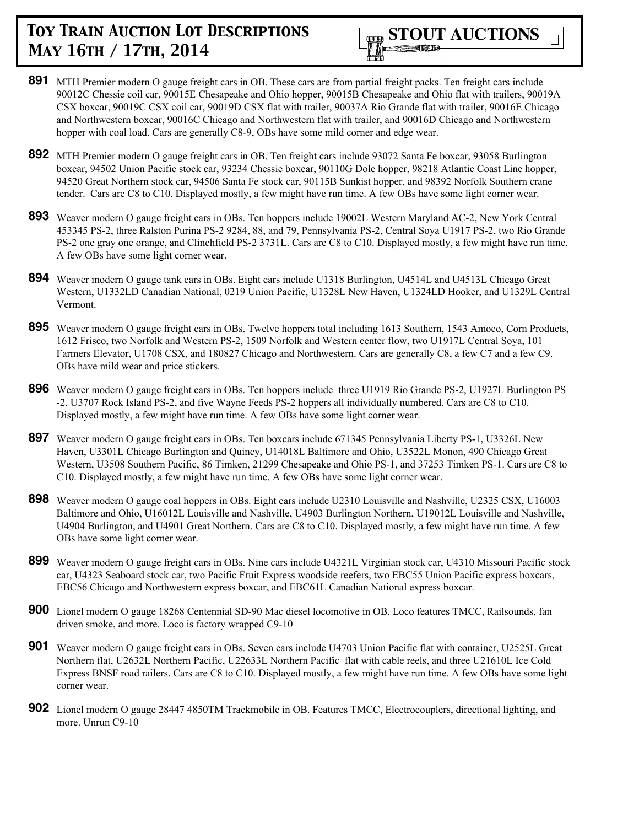- **891** MTH Premier modern O gauge freight cars in OB. These cars are from partial freight packs. Ten freight cars include 90012C Chessie coil car, 90015E Chesapeake and Ohio hopper, 90015B Chesapeake and Ohio flat with trailers, 90019A CSX boxcar, 90019C CSX coil car, 90019D CSX flat with trailer, 90037A Rio Grande flat with trailer, 90016E Chicago and Northwestern boxcar, 90016C Chicago and Northwestern flat with trailer, and 90016D Chicago and Northwestern hopper with coal load. Cars are generally C8-9, OBs have some mild corner and edge wear.
- **892** MTH Premier modern O gauge freight cars in OB. Ten freight cars include 93072 Santa Fe boxcar, 93058 Burlington boxcar, 94502 Union Pacific stock car, 93234 Chessie boxcar, 90110G Dole hopper, 98218 Atlantic Coast Line hopper, 94520 Great Northern stock car, 94506 Santa Fe stock car, 90115B Sunkist hopper, and 98392 Norfolk Southern crane tender. Cars are C8 to C10. Displayed mostly, a few might have run time. A few OBs have some light corner wear.
- **893** Weaver modern O gauge freight cars in OBs. Ten hoppers include 19002L Western Maryland AC-2, New York Central 453345 PS-2, three Ralston Purina PS-2 9284, 88, and 79, Pennsylvania PS-2, Central Soya U1917 PS-2, two Rio Grande PS-2 one gray one orange, and Clinchfield PS-2 3731L. Cars are C8 to C10. Displayed mostly, a few might have run time. A few OBs have some light corner wear.
- **894** Weaver modern O gauge tank cars in OBs. Eight cars include U1318 Burlington, U4514L and U4513L Chicago Great Western, U1332LD Canadian National, 0219 Union Pacific, U1328L New Haven, U1324LD Hooker, and U1329L Central Vermont.
- **895** Weaver modern O gauge freight cars in OBs. Twelve hoppers total including 1613 Southern, 1543 Amoco, Corn Products, 1612 Frisco, two Norfolk and Western PS-2, 1509 Norfolk and Western center flow, two U1917L Central Soya, 101 Farmers Elevator, U1708 CSX, and 180827 Chicago and Northwestern. Cars are generally C8, a few C7 and a few C9. OBs have mild wear and price stickers.
- **896** Weaver modern O gauge freight cars in OBs. Ten hoppers include three U1919 Rio Grande PS-2, U1927L Burlington PS -2. U3707 Rock Island PS-2, and five Wayne Feeds PS-2 hoppers all individually numbered. Cars are C8 to C10. Displayed mostly, a few might have run time. A few OBs have some light corner wear.
- **897** Weaver modern O gauge freight cars in OBs. Ten boxcars include 671345 Pennsylvania Liberty PS-1, U3326L New Haven, U3301L Chicago Burlington and Quincy, U14018L Baltimore and Ohio, U3522L Monon, 490 Chicago Great Western, U3508 Southern Pacific, 86 Timken, 21299 Chesapeake and Ohio PS-1, and 37253 Timken PS-1. Cars are C8 to C10. Displayed mostly, a few might have run time. A few OBs have some light corner wear.
- **898** Weaver modern O gauge coal hoppers in OBs. Eight cars include U2310 Louisville and Nashville, U2325 CSX, U16003 Baltimore and Ohio, U16012L Louisville and Nashville, U4903 Burlington Northern, U19012L Louisville and Nashville, U4904 Burlington, and U4901 Great Northern. Cars are C8 to C10. Displayed mostly, a few might have run time. A few OBs have some light corner wear.
- **899** Weaver modern O gauge freight cars in OBs. Nine cars include U4321L Virginian stock car, U4310 Missouri Pacific stock car, U4323 Seaboard stock car, two Pacific Fruit Express woodside reefers, two EBC55 Union Pacific express boxcars, EBC56 Chicago and Northwestern express boxcar, and EBC61L Canadian National express boxcar.
- **900** Lionel modern O gauge 18268 Centennial SD-90 Mac diesel locomotive in OB. Loco features TMCC, Railsounds, fan driven smoke, and more. Loco is factory wrapped C9-10
- **901** Weaver modern O gauge freight cars in OBs. Seven cars include U4703 Union Pacific flat with container, U2525L Great Northern flat, U2632L Northern Pacific, U22633L Northern Pacific flat with cable reels, and three U21610L Ice Cold Express BNSF road railers. Cars are C8 to C10. Displayed mostly, a few might have run time. A few OBs have some light corner wear.
- **902** Lionel modern O gauge 28447 4850TM Trackmobile in OB. Features TMCC, Electrocouplers, directional lighting, and more. Unrun C9-10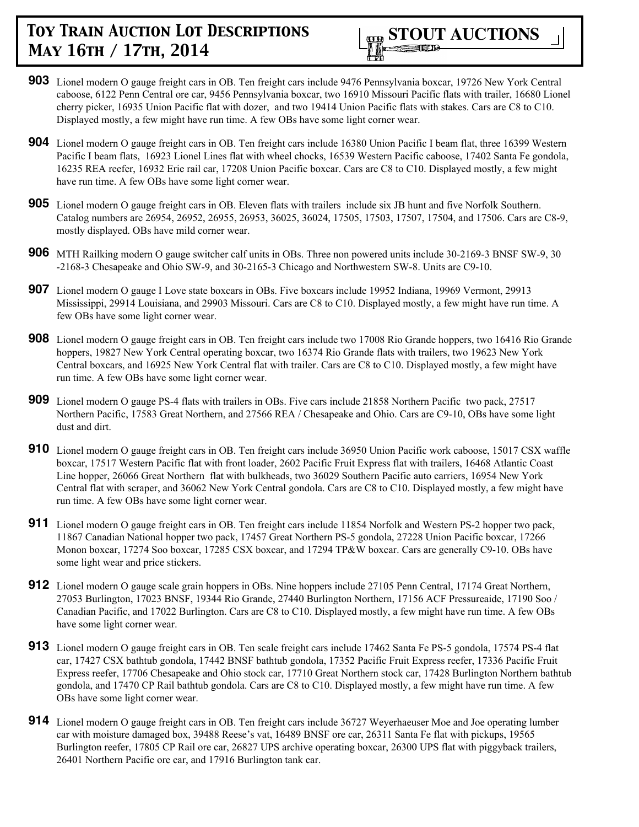

- **903** Lionel modern O gauge freight cars in OB. Ten freight cars include 9476 Pennsylvania boxcar, 19726 New York Central caboose, 6122 Penn Central ore car, 9456 Pennsylvania boxcar, two 16910 Missouri Pacific flats with trailer, 16680 Lionel cherry picker, 16935 Union Pacific flat with dozer, and two 19414 Union Pacific flats with stakes. Cars are C8 to C10. Displayed mostly, a few might have run time. A few OBs have some light corner wear.
- **904** Lionel modern O gauge freight cars in OB. Ten freight cars include 16380 Union Pacific I beam flat, three 16399 Western Pacific I beam flats, 16923 Lionel Lines flat with wheel chocks, 16539 Western Pacific caboose, 17402 Santa Fe gondola, 16235 REA reefer, 16932 Erie rail car, 17208 Union Pacific boxcar. Cars are C8 to C10. Displayed mostly, a few might have run time. A few OBs have some light corner wear.
- **905** Lionel modern O gauge freight cars in OB. Eleven flats with trailers include six JB hunt and five Norfolk Southern. Catalog numbers are 26954, 26952, 26955, 26953, 36025, 36024, 17505, 17503, 17507, 17504, and 17506. Cars are C8-9, mostly displayed. OBs have mild corner wear.
- **906** MTH Railking modern O gauge switcher calf units in OBs. Three non powered units include 30-2169-3 BNSF SW-9, 30 -2168-3 Chesapeake and Ohio SW-9, and 30-2165-3 Chicago and Northwestern SW-8. Units are C9-10.
- **907** Lionel modern O gauge I Love state boxcars in OBs. Five boxcars include 19952 Indiana, 19969 Vermont, 29913 Mississippi, 29914 Louisiana, and 29903 Missouri. Cars are C8 to C10. Displayed mostly, a few might have run time. A few OBs have some light corner wear.
- **908** Lionel modern O gauge freight cars in OB. Ten freight cars include two 17008 Rio Grande hoppers, two 16416 Rio Grande hoppers, 19827 New York Central operating boxcar, two 16374 Rio Grande flats with trailers, two 19623 New York Central boxcars, and 16925 New York Central flat with trailer. Cars are C8 to C10. Displayed mostly, a few might have run time. A few OBs have some light corner wear.
- **909** Lionel modern O gauge PS-4 flats with trailers in OBs. Five cars include 21858 Northern Pacific two pack, 27517 Northern Pacific, 17583 Great Northern, and 27566 REA / Chesapeake and Ohio. Cars are C9-10, OBs have some light dust and dirt.
- **910** Lionel modern O gauge freight cars in OB. Ten freight cars include 36950 Union Pacific work caboose, 15017 CSX waffle boxcar, 17517 Western Pacific flat with front loader, 2602 Pacific Fruit Express flat with trailers, 16468 Atlantic Coast Line hopper, 26066 Great Northern flat with bulkheads, two 36029 Southern Pacific auto carriers, 16954 New York Central flat with scraper, and 36062 New York Central gondola. Cars are C8 to C10. Displayed mostly, a few might have run time. A few OBs have some light corner wear.
- **911** Lionel modern O gauge freight cars in OB. Ten freight cars include 11854 Norfolk and Western PS-2 hopper two pack, 11867 Canadian National hopper two pack, 17457 Great Northern PS-5 gondola, 27228 Union Pacific boxcar, 17266 Monon boxcar, 17274 Soo boxcar, 17285 CSX boxcar, and 17294 TP&W boxcar. Cars are generally C9-10. OBs have some light wear and price stickers.
- **912** Lionel modern O gauge scale grain hoppers in OBs. Nine hoppers include 27105 Penn Central, 17174 Great Northern, 27053 Burlington, 17023 BNSF, 19344 Rio Grande, 27440 Burlington Northern, 17156 ACF Pressureaide, 17190 Soo / Canadian Pacific, and 17022 Burlington. Cars are C8 to C10. Displayed mostly, a few might have run time. A few OBs have some light corner wear.
- **913** Lionel modern O gauge freight cars in OB. Ten scale freight cars include 17462 Santa Fe PS-5 gondola, 17574 PS-4 flat car, 17427 CSX bathtub gondola, 17442 BNSF bathtub gondola, 17352 Pacific Fruit Express reefer, 17336 Pacific Fruit Express reefer, 17706 Chesapeake and Ohio stock car, 17710 Great Northern stock car, 17428 Burlington Northern bathtub gondola, and 17470 CP Rail bathtub gondola. Cars are C8 to C10. Displayed mostly, a few might have run time. A few OBs have some light corner wear.
- **914** Lionel modern O gauge freight cars in OB. Ten freight cars include 36727 Weyerhaeuser Moe and Joe operating lumber car with moisture damaged box, 39488 Reese's vat, 16489 BNSF ore car, 26311 Santa Fe flat with pickups, 19565 Burlington reefer, 17805 CP Rail ore car, 26827 UPS archive operating boxcar, 26300 UPS flat with piggyback trailers, 26401 Northern Pacific ore car, and 17916 Burlington tank car.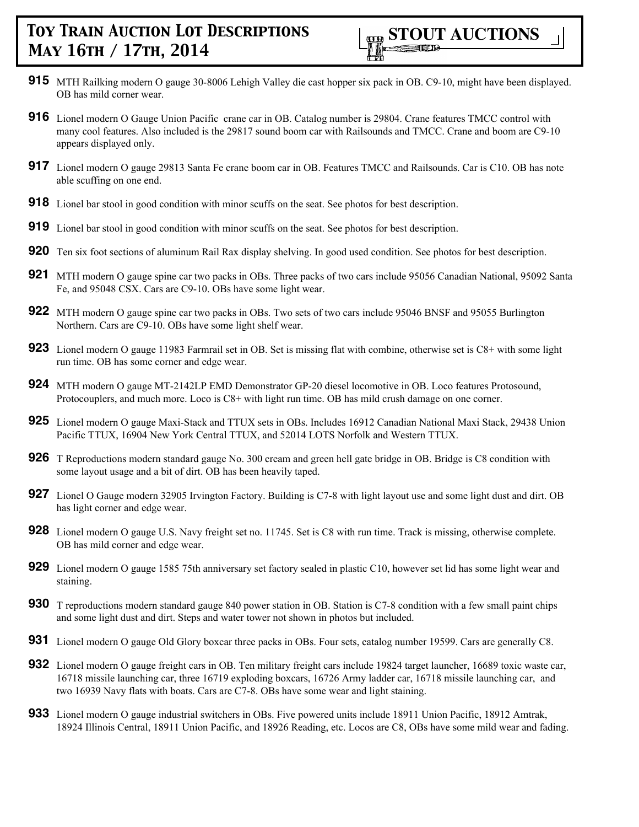- **915** MTH Railking modern O gauge 30-8006 Lehigh Valley die cast hopper six pack in OB. C9-10, might have been displayed. OB has mild corner wear.
- **916** Lionel modern O Gauge Union Pacific crane car in OB. Catalog number is 29804. Crane features TMCC control with many cool features. Also included is the 29817 sound boom car with Railsounds and TMCC. Crane and boom are C9-10 appears displayed only.
- **917** Lionel modern O gauge 29813 Santa Fe crane boom car in OB. Features TMCC and Railsounds. Car is C10. OB has note able scuffing on one end.
- **918** Lionel bar stool in good condition with minor scuffs on the seat. See photos for best description.
- **919** Lionel bar stool in good condition with minor scuffs on the seat. See photos for best description.
- **920** Ten six foot sections of aluminum Rail Rax display shelving. In good used condition. See photos for best description.
- **921** MTH modern O gauge spine car two packs in OBs. Three packs of two cars include 95056 Canadian National, 95092 Santa Fe, and 95048 CSX. Cars are C9-10. OBs have some light wear.
- **922** MTH modern O gauge spine car two packs in OBs. Two sets of two cars include 95046 BNSF and 95055 Burlington Northern. Cars are C9-10. OBs have some light shelf wear.
- **923** Lionel modern O gauge 11983 Farmrail set in OB. Set is missing flat with combine, otherwise set is C8+ with some light run time. OB has some corner and edge wear.
- **924** MTH modern O gauge MT-2142LP EMD Demonstrator GP-20 diesel locomotive in OB. Loco features Protosound, Protocouplers, and much more. Loco is C8+ with light run time. OB has mild crush damage on one corner.
- **925** Lionel modern O gauge Maxi-Stack and TTUX sets in OBs. Includes 16912 Canadian National Maxi Stack, 29438 Union Pacific TTUX, 16904 New York Central TTUX, and 52014 LOTS Norfolk and Western TTUX.
- **926** T Reproductions modern standard gauge No. 300 cream and green hell gate bridge in OB. Bridge is C8 condition with some layout usage and a bit of dirt. OB has been heavily taped.
- **927** Lionel O Gauge modern 32905 Irvington Factory. Building is C7-8 with light layout use and some light dust and dirt. OB has light corner and edge wear.
- **928** Lionel modern O gauge U.S. Navy freight set no. 11745. Set is C8 with run time. Track is missing, otherwise complete. OB has mild corner and edge wear.
- **929** Lionel modern O gauge 1585 75th anniversary set factory sealed in plastic C10, however set lid has some light wear and staining.
- **930** T reproductions modern standard gauge 840 power station in OB. Station is C7-8 condition with a few small paint chips and some light dust and dirt. Steps and water tower not shown in photos but included.
- **931** Lionel modern O gauge Old Glory boxcar three packs in OBs. Four sets, catalog number 19599. Cars are generally C8.
- **932** Lionel modern O gauge freight cars in OB. Ten military freight cars include 19824 target launcher, 16689 toxic waste car, 16718 missile launching car, three 16719 exploding boxcars, 16726 Army ladder car, 16718 missile launching car, and two 16939 Navy flats with boats. Cars are C7-8. OBs have some wear and light staining.
- **933** Lionel modern O gauge industrial switchers in OBs. Five powered units include 18911 Union Pacific, 18912 Amtrak, 18924 Illinois Central, 18911 Union Pacific, and 18926 Reading, etc. Locos are C8, OBs have some mild wear and fading.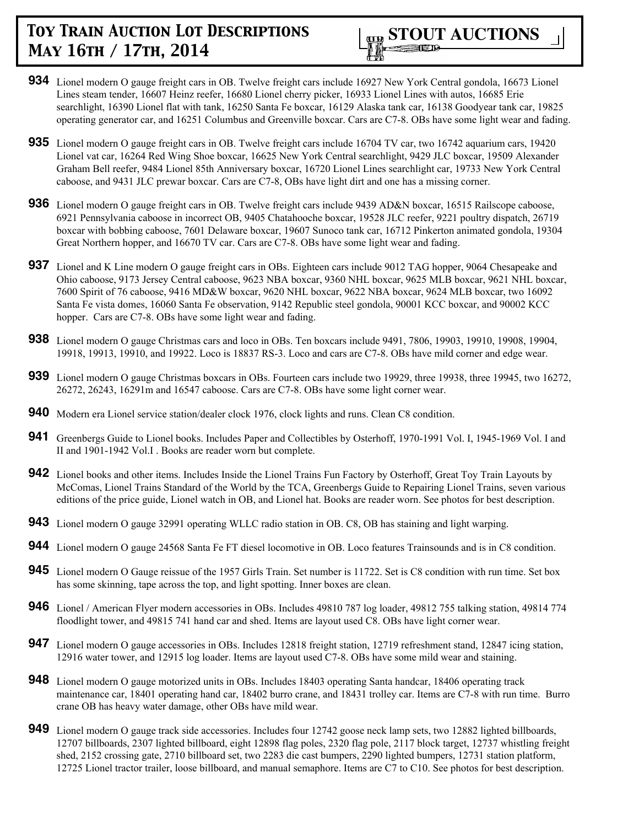

- **934** Lionel modern O gauge freight cars in OB. Twelve freight cars include 16927 New York Central gondola, 16673 Lionel Lines steam tender, 16607 Heinz reefer, 16680 Lionel cherry picker, 16933 Lionel Lines with autos, 16685 Erie searchlight, 16390 Lionel flat with tank, 16250 Santa Fe boxcar, 16129 Alaska tank car, 16138 Goodyear tank car, 19825 operating generator car, and 16251 Columbus and Greenville boxcar. Cars are C7-8. OBs have some light wear and fading.
- **935** Lionel modern O gauge freight cars in OB. Twelve freight cars include 16704 TV car, two 16742 aquarium cars, 19420 Lionel vat car, 16264 Red Wing Shoe boxcar, 16625 New York Central searchlight, 9429 JLC boxcar, 19509 Alexander Graham Bell reefer, 9484 Lionel 85th Anniversary boxcar, 16720 Lionel Lines searchlight car, 19733 New York Central caboose, and 9431 JLC prewar boxcar. Cars are C7-8, OBs have light dirt and one has a missing corner.
- **936** Lionel modern O gauge freight cars in OB. Twelve freight cars include 9439 AD&N boxcar, 16515 Railscope caboose, 6921 Pennsylvania caboose in incorrect OB, 9405 Chatahooche boxcar, 19528 JLC reefer, 9221 poultry dispatch, 26719 boxcar with bobbing caboose, 7601 Delaware boxcar, 19607 Sunoco tank car, 16712 Pinkerton animated gondola, 19304 Great Northern hopper, and 16670 TV car. Cars are C7-8. OBs have some light wear and fading.
- **937** Lionel and K Line modern O gauge freight cars in OBs. Eighteen cars include 9012 TAG hopper, 9064 Chesapeake and Ohio caboose, 9173 Jersey Central caboose, 9623 NBA boxcar, 9360 NHL boxcar, 9625 MLB boxcar, 9621 NHL boxcar, 7600 Spirit of 76 caboose, 9416 MD&W boxcar, 9620 NHL boxcar, 9622 NBA boxcar, 9624 MLB boxcar, two 16092 Santa Fe vista domes, 16060 Santa Fe observation, 9142 Republic steel gondola, 90001 KCC boxcar, and 90002 KCC hopper. Cars are C7-8. OBs have some light wear and fading.
- **938** Lionel modern O gauge Christmas cars and loco in OBs. Ten boxcars include 9491, 7806, 19903, 19910, 19908, 19904, 19918, 19913, 19910, and 19922. Loco is 18837 RS-3. Loco and cars are C7-8. OBs have mild corner and edge wear.
- **939** Lionel modern O gauge Christmas boxcars in OBs. Fourteen cars include two 19929, three 19938, three 19945, two 16272, 26272, 26243, 16291m and 16547 caboose. Cars are C7-8. OBs have some light corner wear.
- **940** Modern era Lionel service station/dealer clock 1976, clock lights and runs. Clean C8 condition.
- **941** Greenbergs Guide to Lionel books. Includes Paper and Collectibles by Osterhoff, 1970-1991 Vol. I, 1945-1969 Vol. I and II and 1901-1942 Vol.I . Books are reader worn but complete.
- **942** Lionel books and other items. Includes Inside the Lionel Trains Fun Factory by Osterhoff, Great Toy Train Layouts by McComas, Lionel Trains Standard of the World by the TCA, Greenbergs Guide to Repairing Lionel Trains, seven various editions of the price guide, Lionel watch in OB, and Lionel hat. Books are reader worn. See photos for best description.
- **943** Lionel modern O gauge 32991 operating WLLC radio station in OB. C8, OB has staining and light warping.
- **944** Lionel modern O gauge 24568 Santa Fe FT diesel locomotive in OB. Loco features Trainsounds and is in C8 condition.
- **945** Lionel modern O Gauge reissue of the 1957 Girls Train. Set number is 11722. Set is C8 condition with run time. Set box has some skinning, tape across the top, and light spotting. Inner boxes are clean.
- **946** Lionel / American Flyer modern accessories in OBs. Includes 49810 787 log loader, 49812 755 talking station, 49814 774 floodlight tower, and 49815 741 hand car and shed. Items are layout used C8. OBs have light corner wear.
- **947** Lionel modern O gauge accessories in OBs. Includes 12818 freight station, 12719 refreshment stand, 12847 icing station, 12916 water tower, and 12915 log loader. Items are layout used C7-8. OBs have some mild wear and staining.
- **948** Lionel modern O gauge motorized units in OBs. Includes 18403 operating Santa handcar, 18406 operating track maintenance car, 18401 operating hand car, 18402 burro crane, and 18431 trolley car. Items are C7-8 with run time. Burro crane OB has heavy water damage, other OBs have mild wear.
- **949** Lionel modern O gauge track side accessories. Includes four 12742 goose neck lamp sets, two 12882 lighted billboards, 12707 billboards, 2307 lighted billboard, eight 12898 flag poles, 2320 flag pole, 2117 block target, 12737 whistling freight shed, 2152 crossing gate, 2710 billboard set, two 2283 die cast bumpers, 2290 lighted bumpers, 12731 station platform, 12725 Lionel tractor trailer, loose billboard, and manual semaphore. Items are C7 to C10. See photos for best description.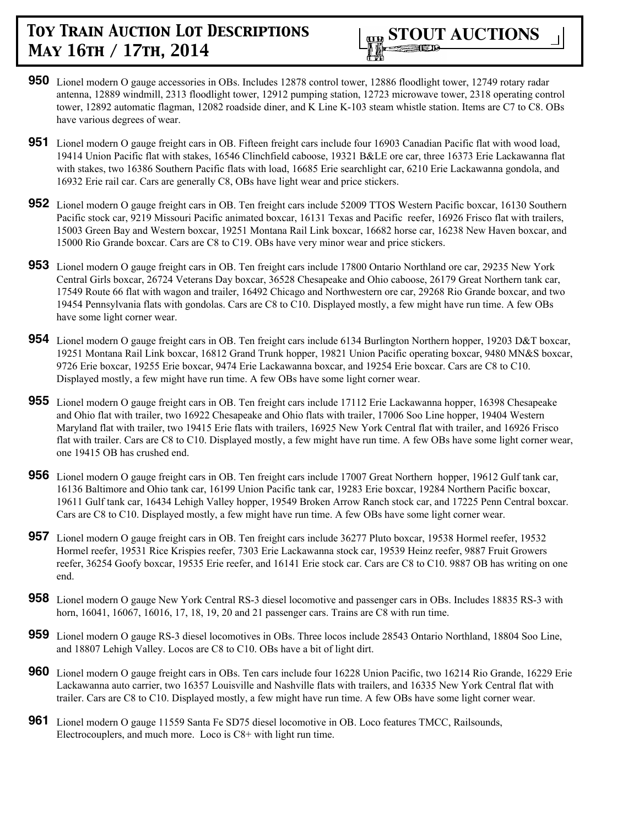

- **950** Lionel modern O gauge accessories in OBs. Includes 12878 control tower, 12886 floodlight tower, 12749 rotary radar antenna, 12889 windmill, 2313 floodlight tower, 12912 pumping station, 12723 microwave tower, 2318 operating control tower, 12892 automatic flagman, 12082 roadside diner, and K Line K-103 steam whistle station. Items are C7 to C8. OBs have various degrees of wear.
- **951** Lionel modern O gauge freight cars in OB. Fifteen freight cars include four 16903 Canadian Pacific flat with wood load, 19414 Union Pacific flat with stakes, 16546 Clinchfield caboose, 19321 B&LE ore car, three 16373 Erie Lackawanna flat with stakes, two 16386 Southern Pacific flats with load, 16685 Erie searchlight car, 6210 Erie Lackawanna gondola, and 16932 Erie rail car. Cars are generally C8, OBs have light wear and price stickers.
- **952** Lionel modern O gauge freight cars in OB. Ten freight cars include 52009 TTOS Western Pacific boxcar, 16130 Southern Pacific stock car, 9219 Missouri Pacific animated boxcar, 16131 Texas and Pacific reefer, 16926 Frisco flat with trailers, 15003 Green Bay and Western boxcar, 19251 Montana Rail Link boxcar, 16682 horse car, 16238 New Haven boxcar, and 15000 Rio Grande boxcar. Cars are C8 to C19. OBs have very minor wear and price stickers.
- **953** Lionel modern O gauge freight cars in OB. Ten freight cars include 17800 Ontario Northland ore car, 29235 New York Central Girls boxcar, 26724 Veterans Day boxcar, 36528 Chesapeake and Ohio caboose, 26179 Great Northern tank car, 17549 Route 66 flat with wagon and trailer, 16492 Chicago and Northwestern ore car, 29268 Rio Grande boxcar, and two 19454 Pennsylvania flats with gondolas. Cars are C8 to C10. Displayed mostly, a few might have run time. A few OBs have some light corner wear.
- **954** Lionel modern O gauge freight cars in OB. Ten freight cars include 6134 Burlington Northern hopper, 19203 D&T boxcar, 19251 Montana Rail Link boxcar, 16812 Grand Trunk hopper, 19821 Union Pacific operating boxcar, 9480 MN&S boxcar, 9726 Erie boxcar, 19255 Erie boxcar, 9474 Erie Lackawanna boxcar, and 19254 Erie boxcar. Cars are C8 to C10. Displayed mostly, a few might have run time. A few OBs have some light corner wear.
- **955** Lionel modern O gauge freight cars in OB. Ten freight cars include 17112 Erie Lackawanna hopper, 16398 Chesapeake and Ohio flat with trailer, two 16922 Chesapeake and Ohio flats with trailer, 17006 Soo Line hopper, 19404 Western Maryland flat with trailer, two 19415 Erie flats with trailers, 16925 New York Central flat with trailer, and 16926 Frisco flat with trailer. Cars are C8 to C10. Displayed mostly, a few might have run time. A few OBs have some light corner wear, one 19415 OB has crushed end.
- **956** Lionel modern O gauge freight cars in OB. Ten freight cars include 17007 Great Northern hopper, 19612 Gulf tank car, 16136 Baltimore and Ohio tank car, 16199 Union Pacific tank car, 19283 Erie boxcar, 19284 Northern Pacific boxcar, 19611 Gulf tank car, 16434 Lehigh Valley hopper, 19549 Broken Arrow Ranch stock car, and 17225 Penn Central boxcar. Cars are C8 to C10. Displayed mostly, a few might have run time. A few OBs have some light corner wear.
- **957** Lionel modern O gauge freight cars in OB. Ten freight cars include 36277 Pluto boxcar, 19538 Hormel reefer, 19532 Hormel reefer, 19531 Rice Krispies reefer, 7303 Erie Lackawanna stock car, 19539 Heinz reefer, 9887 Fruit Growers reefer, 36254 Goofy boxcar, 19535 Erie reefer, and 16141 Erie stock car. Cars are C8 to C10. 9887 OB has writing on one end.
- **958** Lionel modern O gauge New York Central RS-3 diesel locomotive and passenger cars in OBs. Includes 18835 RS-3 with horn, 16041, 16067, 16016, 17, 18, 19, 20 and 21 passenger cars. Trains are C8 with run time.
- **959** Lionel modern O gauge RS-3 diesel locomotives in OBs. Three locos include 28543 Ontario Northland, 18804 Soo Line, and 18807 Lehigh Valley. Locos are C8 to C10. OBs have a bit of light dirt.
- **960** Lionel modern O gauge freight cars in OBs. Ten cars include four 16228 Union Pacific, two 16214 Rio Grande, 16229 Erie Lackawanna auto carrier, two 16357 Louisville and Nashville flats with trailers, and 16335 New York Central flat with trailer. Cars are C8 to C10. Displayed mostly, a few might have run time. A few OBs have some light corner wear.
- **961** Lionel modern O gauge 11559 Santa Fe SD75 diesel locomotive in OB. Loco features TMCC, Railsounds, Electrocouplers, and much more. Loco is C8+ with light run time.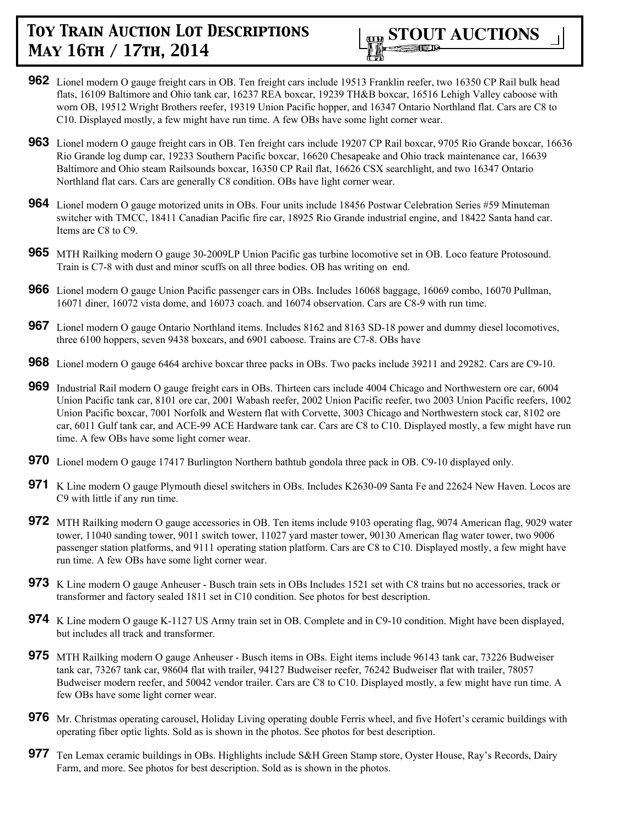

- **962** Lionel modern O gauge freight cars in OB. Ten freight cars include 19513 Franklin reefer, two 16350 CP Rail bulk head flats, 16109 Baltimore and Ohio tank car, 16237 REA boxcar, 19239 TH&B boxcar, 16516 Lehigh Valley caboose with worn OB, 19512 Wright Brothers reefer, 19319 Union Pacific hopper, and 16347 Ontario Northland flat. Cars are C8 to C10. Displayed mostly, a few might have run time. A few OBs have some light corner wear.
- **963** Lionel modern O gauge freight cars in OB. Ten freight cars include 19207 CP Rail boxcar, 9705 Rio Grande boxcar, 16636 Rio Grande log dump car, 19233 Southern Pacific boxcar, 16620 Chesapeake and Ohio track maintenance car, 16639 Baltimore and Ohio steam Railsounds boxcar, 16350 CP Rail flat, 16626 CSX searchlight, and two 16347 Ontario Northland flat cars. Cars are generally C8 condition. OBs have light corner wear.
- **964** Lionel modern O gauge motorized units in OBs. Four units include 18456 Postwar Celebration Series #59 Minuteman switcher with TMCC, 18411 Canadian Pacific fire car, 18925 Rio Grande industrial engine, and 18422 Santa hand car. Items are C8 to C9.
- **965** MTH Railking modern O gauge 30-2009LP Union Pacific gas turbine locomotive set in OB. Loco feature Protosound. Train is C7-8 with dust and minor scuffs on all three bodies. OB has writing on end.
- **966** Lionel modern O gauge Union Pacific passenger cars in OBs. Includes 16068 baggage, 16069 combo, 16070 Pullman, 16071 diner, 16072 vista dome, and 16073 coach. and 16074 observation. Cars are C8-9 with run time.
- **967** Lionel modern O gauge Ontario Northland items. Includes 8162 and 8163 SD-18 power and dummy diesel locomotives, three 6100 hoppers, seven 9438 boxcars, and 6901 caboose. Trains are C7-8. OBs have
- **968** Lionel modern O gauge 6464 archive boxcar three packs in OBs. Two packs include 39211 and 29282. Cars are C9-10.
- **969** Industrial Rail modern O gauge freight cars in OBs. Thirteen cars include 4004 Chicago and Northwestern ore car, 6004 Union Pacific tank car, 8101 ore car, 2001 Wabash reefer, 2002 Union Pacific reefer, two 2003 Union Pacific reefers, 1002 Union Pacific boxcar, 7001 Norfolk and Western flat with Corvette, 3003 Chicago and Northwestern stock car, 8102 ore car, 6011 Gulf tank car, and ACE-99 ACE Hardware tank car. Cars are C8 to C10. Displayed mostly, a few might have run time. A few OBs have some light corner wear.
- **970** Lionel modern O gauge 17417 Burlington Northern bathtub gondola three pack in OB. C9-10 displayed only.
- **971** K Line modern O gauge Plymouth diesel switchers in OBs. Includes K2630-09 Santa Fe and 22624 New Haven. Locos are C9 with little if any run time.
- **972** MTH Railking modern O gauge accessories in OB. Ten items include 9103 operating flag, 9074 American flag, 9029 water tower, 11040 sanding tower, 9011 switch tower, 11027 yard master tower, 90130 American flag water tower, two 9006 passenger station platforms, and 9111 operating station platform. Cars are C8 to C10. Displayed mostly, a few might have run time. A few OBs have some light corner wear.
- **973** K Line modern O gauge Anheuser Busch train sets in OBs Includes 1521 set with C8 trains but no accessories, track or transformer and factory sealed 1811 set in C10 condition. See photos for best description.
- **974** K Line modern O gauge K-1127 US Army train set in OB. Complete and in C9-10 condition. Might have been displayed, but includes all track and transformer.
- **975** MTH Railking modern O gauge Anheuser Busch items in OBs. Eight items include 96143 tank car, 73226 Budweiser tank car, 73267 tank car, 98604 flat with trailer, 94127 Budweiser reefer, 76242 Budweiser flat with trailer, 78057 Budweiser modern reefer, and 50042 vendor trailer. Cars are C8 to C10. Displayed mostly, a few might have run time. A few OBs have some light corner wear.
- **976** Mr. Christmas operating carousel, Holiday Living operating double Ferris wheel, and five Hofert's ceramic buildings with operating fiber optic lights. Sold as is shown in the photos. See photos for best description.
- **977** Ten Lemax ceramic buildings in OBs. Highlights include S&H Green Stamp store, Oyster House, Ray's Records, Dairy Farm, and more. See photos for best description. Sold as is shown in the photos.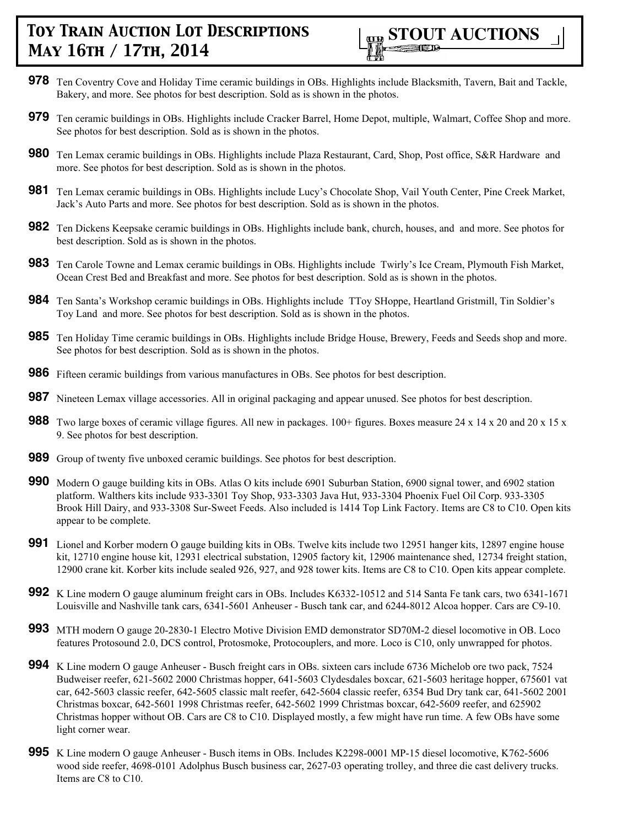

- **978** Ten Coventry Cove and Holiday Time ceramic buildings in OBs. Highlights include Blacksmith, Tavern, Bait and Tackle, Bakery, and more. See photos for best description. Sold as is shown in the photos.
- **979** Ten ceramic buildings in OBs. Highlights include Cracker Barrel, Home Depot, multiple, Walmart, Coffee Shop and more. See photos for best description. Sold as is shown in the photos.
- **980** Ten Lemax ceramic buildings in OBs. Highlights include Plaza Restaurant, Card, Shop, Post office, S&R Hardware and more. See photos for best description. Sold as is shown in the photos.
- **981** Ten Lemax ceramic buildings in OBs. Highlights include Lucy's Chocolate Shop, Vail Youth Center, Pine Creek Market, Jack's Auto Parts and more. See photos for best description. Sold as is shown in the photos.
- **982** Ten Dickens Keepsake ceramic buildings in OBs. Highlights include bank, church, houses, and and more. See photos for best description. Sold as is shown in the photos.
- **983** Ten Carole Towne and Lemax ceramic buildings in OBs. Highlights include Twirly's Ice Cream, Plymouth Fish Market, Ocean Crest Bed and Breakfast and more. See photos for best description. Sold as is shown in the photos.
- **984** Ten Santa's Workshop ceramic buildings in OBs. Highlights include TToy SHoppe, Heartland Gristmill, Tin Soldier's Toy Land and more. See photos for best description. Sold as is shown in the photos.
- **985** Ten Holiday Time ceramic buildings in OBs. Highlights include Bridge House, Brewery, Feeds and Seeds shop and more. See photos for best description. Sold as is shown in the photos.
- **986** Fifteen ceramic buildings from various manufactures in OBs. See photos for best description.
- **987** Nineteen Lemax village accessories. All in original packaging and appear unused. See photos for best description.
- **988** Two large boxes of ceramic village figures. All new in packages. 100+ figures. Boxes measure 24 x 14 x 20 and 20 x 15 x 9. See photos for best description.
- **989** Group of twenty five unboxed ceramic buildings. See photos for best description.
- **990** Modern O gauge building kits in OBs. Atlas O kits include 6901 Suburban Station, 6900 signal tower, and 6902 station platform. Walthers kits include 933-3301 Toy Shop, 933-3303 Java Hut, 933-3304 Phoenix Fuel Oil Corp. 933-3305 Brook Hill Dairy, and 933-3308 Sur-Sweet Feeds. Also included is 1414 Top Link Factory. Items are C8 to C10. Open kits appear to be complete.
- **991** Lionel and Korber modern O gauge building kits in OBs. Twelve kits include two 12951 hanger kits, 12897 engine house kit, 12710 engine house kit, 12931 electrical substation, 12905 factory kit, 12906 maintenance shed, 12734 freight station, 12900 crane kit. Korber kits include sealed 926, 927, and 928 tower kits. Items are C8 to C10. Open kits appear complete.
- **992** K Line modern O gauge aluminum freight cars in OBs. Includes K6332-10512 and 514 Santa Fe tank cars, two 6341-1671 Louisville and Nashville tank cars, 6341-5601 Anheuser - Busch tank car, and 6244-8012 Alcoa hopper. Cars are C9-10.
- **993** MTH modern O gauge 20-2830-1 Electro Motive Division EMD demonstrator SD70M-2 diesel locomotive in OB. Loco features Protosound 2.0, DCS control, Protosmoke, Protocouplers, and more. Loco is C10, only unwrapped for photos.
- **994** K Line modern O gauge Anheuser Busch freight cars in OBs. sixteen cars include 6736 Michelob ore two pack, 7524 Budweiser reefer, 621-5602 2000 Christmas hopper, 641-5603 Clydesdales boxcar, 621-5603 heritage hopper, 675601 vat car, 642-5603 classic reefer, 642-5605 classic malt reefer, 642-5604 classic reefer, 6354 Bud Dry tank car, 641-5602 2001 Christmas boxcar, 642-5601 1998 Christmas reefer, 642-5602 1999 Christmas boxcar, 642-5609 reefer, and 625902 Christmas hopper without OB. Cars are C8 to C10. Displayed mostly, a few might have run time. A few OBs have some light corner wear.
- **995** K Line modern O gauge Anheuser Busch items in OBs. Includes K2298-0001 MP-15 diesel locomotive, K762-5606 wood side reefer, 4698-0101 Adolphus Busch business car, 2627-03 operating trolley, and three die cast delivery trucks. Items are C8 to C10.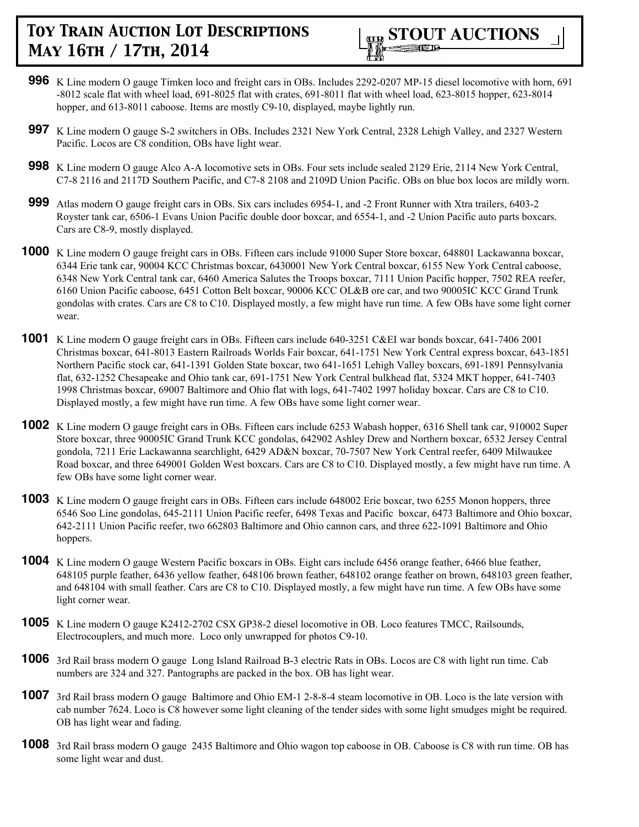

- **996** K Line modern O gauge Timken loco and freight cars in OBs. Includes 2292-0207 MP-15 diesel locomotive with horn, 691 -8012 scale flat with wheel load, 691-8025 flat with crates, 691-8011 flat with wheel load, 623-8015 hopper, 623-8014 hopper, and 613-8011 caboose. Items are mostly C9-10, displayed, maybe lightly run.
- **997** K Line modern O gauge S-2 switchers in OBs. Includes 2321 New York Central, 2328 Lehigh Valley, and 2327 Western Pacific. Locos are C8 condition, OBs have light wear.
- **998** K Line modern O gauge Alco A-A locomotive sets in OBs. Four sets include sealed 2129 Erie, 2114 New York Central, C7-8 2116 and 2117D Southern Pacific, and C7-8 2108 and 2109D Union Pacific. OBs on blue box locos are mildly worn.
- **999** Atlas modern O gauge freight cars in OBs. Six cars includes 6954-1, and -2 Front Runner with Xtra trailers, 6403-2 Royster tank car, 6506-1 Evans Union Pacific double door boxcar, and 6554-1, and -2 Union Pacific auto parts boxcars. Cars are C8-9, mostly displayed.
- **1000** K Line modern O gauge freight cars in OBs. Fifteen cars include 91000 Super Store boxcar, 648801 Lackawanna boxcar, 6344 Erie tank car, 90004 KCC Christmas boxcar, 6430001 New York Central boxcar, 6155 New York Central caboose, 6348 New York Central tank car, 6460 America Salutes the Troops boxcar, 7111 Union Pacific hopper, 7502 REA reefer, 6160 Union Pacific caboose, 6451 Cotton Belt boxcar, 90006 KCC OL&B ore car, and two 90005IC KCC Grand Trunk gondolas with crates. Cars are C8 to C10. Displayed mostly, a few might have run time. A few OBs have some light corner wear.
- **1001** K Line modern O gauge freight cars in OBs. Fifteen cars include 640-3251 C&EI war bonds boxcar, 641-7406 2001 Christmas boxcar, 641-8013 Eastern Railroads Worlds Fair boxcar, 641-1751 New York Central express boxcar, 643-1851 Northern Pacific stock car, 641-1391 Golden State boxcar, two 641-1651 Lehigh Valley boxcars, 691-1891 Pennsylvania flat, 632-1252 Chesapeake and Ohio tank car, 691-1751 New York Central bulkhead flat, 5324 MKT hopper, 641-7403 1998 Christmas boxcar, 69007 Baltimore and Ohio flat with logs, 641-7402 1997 holiday boxcar. Cars are C8 to C10. Displayed mostly, a few might have run time. A few OBs have some light corner wear.
- **1002** K Line modern O gauge freight cars in OBs. Fifteen cars include 6253 Wabash hopper, 6316 Shell tank car, 910002 Super Store boxcar, three 90005IC Grand Trunk KCC gondolas, 642902 Ashley Drew and Northern boxcar, 6532 Jersey Central gondola, 7211 Erie Lackawanna searchlight, 6429 AD&N boxcar, 70-7507 New York Central reefer, 6409 Milwaukee Road boxcar, and three 649001 Golden West boxcars. Cars are C8 to C10. Displayed mostly, a few might have run time. A few OBs have some light corner wear.
- **1003** K Line modern O gauge freight cars in OBs. Fifteen cars include 648002 Erie boxcar, two 6255 Monon hoppers, three 6546 Soo Line gondolas, 645-2111 Union Pacific reefer, 6498 Texas and Pacific boxcar, 6473 Baltimore and Ohio boxcar, 642-2111 Union Pacific reefer, two 662803 Baltimore and Ohio cannon cars, and three 622-1091 Baltimore and Ohio hoppers.
- **1004** K Line modern O gauge Western Pacific boxcars in OBs. Eight cars include 6456 orange feather, 6466 blue feather, 648105 purple feather, 6436 yellow feather, 648106 brown feather, 648102 orange feather on brown, 648103 green feather, and 648104 with small feather. Cars are C8 to C10. Displayed mostly, a few might have run time. A few OBs have some light corner wear.
- **1005** K Line modern O gauge K2412-2702 CSX GP38-2 diesel locomotive in OB. Loco features TMCC, Railsounds, Electrocouplers, and much more. Loco only unwrapped for photos C9-10.
- **1006** 3rd Rail brass modern O gauge Long Island Railroad B-3 electric Rats in OBs. Locos are C8 with light run time. Cab numbers are 324 and 327. Pantographs are packed in the box. OB has light wear.
- **1007** 3rd Rail brass modern O gauge Baltimore and Ohio EM-1 2-8-8-4 steam locomotive in OB. Loco is the late version with cab number 7624. Loco is C8 however some light cleaning of the tender sides with some light smudges might be required. OB has light wear and fading.
- **1008** 3rd Rail brass modern O gauge 2435 Baltimore and Ohio wagon top caboose in OB. Caboose is C8 with run time. OB has some light wear and dust.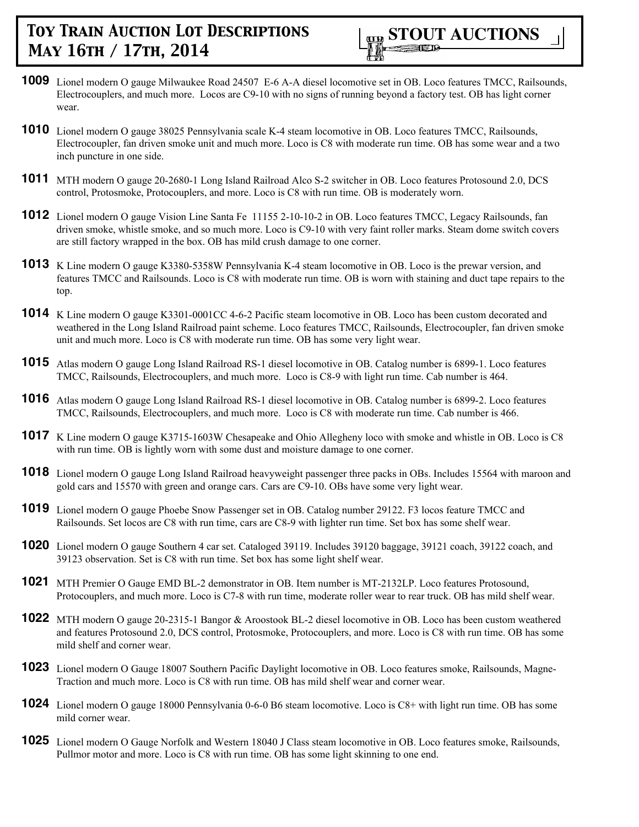

- **1009** Lionel modern O gauge Milwaukee Road 24507 E-6 A-A diesel locomotive set in OB. Loco features TMCC, Railsounds, Electrocouplers, and much more. Locos are C9-10 with no signs of running beyond a factory test. OB has light corner wear.
- **1010** Lionel modern O gauge 38025 Pennsylvania scale K-4 steam locomotive in OB. Loco features TMCC, Railsounds, Electrocoupler, fan driven smoke unit and much more. Loco is C8 with moderate run time. OB has some wear and a two inch puncture in one side.
- **1011** MTH modern O gauge 20-2680-1 Long Island Railroad Alco S-2 switcher in OB. Loco features Protosound 2.0, DCS control, Protosmoke, Protocouplers, and more. Loco is C8 with run time. OB is moderately worn.
- **1012** Lionel modern O gauge Vision Line Santa Fe 11155 2-10-10-2 in OB. Loco features TMCC, Legacy Railsounds, fan driven smoke, whistle smoke, and so much more. Loco is C9-10 with very faint roller marks. Steam dome switch covers are still factory wrapped in the box. OB has mild crush damage to one corner.
- **1013** K Line modern O gauge K3380-5358W Pennsylvania K-4 steam locomotive in OB. Loco is the prewar version, and features TMCC and Railsounds. Loco is C8 with moderate run time. OB is worn with staining and duct tape repairs to the top.
- **1014** K Line modern O gauge K3301-0001CC 4-6-2 Pacific steam locomotive in OB. Loco has been custom decorated and weathered in the Long Island Railroad paint scheme. Loco features TMCC, Railsounds, Electrocoupler, fan driven smoke unit and much more. Loco is C8 with moderate run time. OB has some very light wear.
- **1015** Atlas modern O gauge Long Island Railroad RS-1 diesel locomotive in OB. Catalog number is 6899-1. Loco features TMCC, Railsounds, Electrocouplers, and much more. Loco is C8-9 with light run time. Cab number is 464.
- **1016** Atlas modern O gauge Long Island Railroad RS-1 diesel locomotive in OB. Catalog number is 6899-2. Loco features TMCC, Railsounds, Electrocouplers, and much more. Loco is C8 with moderate run time. Cab number is 466.
- **1017** K Line modern O gauge K3715-1603W Chesapeake and Ohio Allegheny loco with smoke and whistle in OB. Loco is C8 with run time. OB is lightly worn with some dust and moisture damage to one corner.
- **1018** Lionel modern O gauge Long Island Railroad heavyweight passenger three packs in OBs. Includes 15564 with maroon and gold cars and 15570 with green and orange cars. Cars are C9-10. OBs have some very light wear.
- **1019** Lionel modern O gauge Phoebe Snow Passenger set in OB. Catalog number 29122. F3 locos feature TMCC and Railsounds. Set locos are C8 with run time, cars are C8-9 with lighter run time. Set box has some shelf wear.
- **1020** Lionel modern O gauge Southern 4 car set. Cataloged 39119. Includes 39120 baggage, 39121 coach, 39122 coach, and 39123 observation. Set is C8 with run time. Set box has some light shelf wear.
- **1021** MTH Premier O Gauge EMD BL-2 demonstrator in OB. Item number is MT-2132LP. Loco features Protosound, Protocouplers, and much more. Loco is C7-8 with run time, moderate roller wear to rear truck. OB has mild shelf wear.
- **1022** MTH modern O gauge 20-2315-1 Bangor & Aroostook BL-2 diesel locomotive in OB. Loco has been custom weathered and features Protosound 2.0, DCS control, Protosmoke, Protocouplers, and more. Loco is C8 with run time. OB has some mild shelf and corner wear.
- **1023** Lionel modern O Gauge 18007 Southern Pacific Daylight locomotive in OB. Loco features smoke, Railsounds, Magne-Traction and much more. Loco is C8 with run time. OB has mild shelf wear and corner wear.
- **1024** Lionel modern O gauge 18000 Pennsylvania 0-6-0 B6 steam locomotive. Loco is C8+ with light run time. OB has some mild corner wear.
- **1025** Lionel modern O Gauge Norfolk and Western 18040 J Class steam locomotive in OB. Loco features smoke, Railsounds, Pullmor motor and more. Loco is C8 with run time. OB has some light skinning to one end.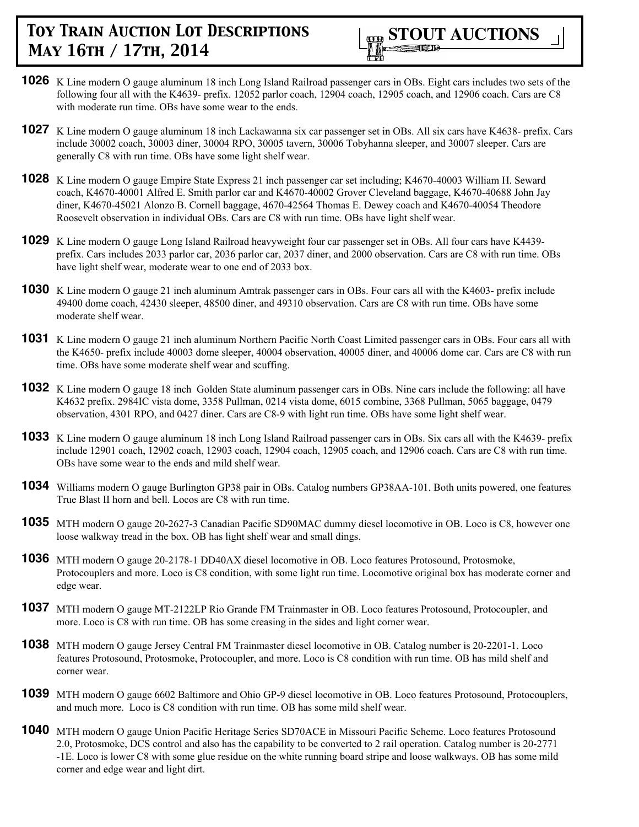

- **1026** K Line modern O gauge aluminum 18 inch Long Island Railroad passenger cars in OBs. Eight cars includes two sets of the following four all with the K4639- prefix. 12052 parlor coach, 12904 coach, 12905 coach, and 12906 coach. Cars are C8 with moderate run time. OBs have some wear to the ends.
- **1027** K Line modern O gauge aluminum 18 inch Lackawanna six car passenger set in OBs. All six cars have K4638- prefix. Cars include 30002 coach, 30003 diner, 30004 RPO, 30005 tavern, 30006 Tobyhanna sleeper, and 30007 sleeper. Cars are generally C8 with run time. OBs have some light shelf wear.
- **1028** K Line modern O gauge Empire State Express 21 inch passenger car set including; K4670-40003 William H. Seward coach, K4670-40001 Alfred E. Smith parlor car and K4670-40002 Grover Cleveland baggage, K4670-40688 John Jay diner, K4670-45021 Alonzo B. Cornell baggage, 4670-42564 Thomas E. Dewey coach and K4670-40054 Theodore Roosevelt observation in individual OBs. Cars are C8 with run time. OBs have light shelf wear.
- **1029** K Line modern O gauge Long Island Railroad heavyweight four car passenger set in OBs. All four cars have K4439 prefix. Cars includes 2033 parlor car, 2036 parlor car, 2037 diner, and 2000 observation. Cars are C8 with run time. OBs have light shelf wear, moderate wear to one end of 2033 box.
- **1030** K Line modern O gauge 21 inch aluminum Amtrak passenger cars in OBs. Four cars all with the K4603- prefix include 49400 dome coach, 42430 sleeper, 48500 diner, and 49310 observation. Cars are C8 with run time. OBs have some moderate shelf wear.
- **1031** K Line modern O gauge 21 inch aluminum Northern Pacific North Coast Limited passenger cars in OBs. Four cars all with the K4650- prefix include 40003 dome sleeper, 40004 observation, 40005 diner, and 40006 dome car. Cars are C8 with run time. OBs have some moderate shelf wear and scuffing.
- **1032** K Line modern O gauge 18 inch Golden State aluminum passenger cars in OBs. Nine cars include the following: all have K4632 prefix. 2984IC vista dome, 3358 Pullman, 0214 vista dome, 6015 combine, 3368 Pullman, 5065 baggage, 0479 observation, 4301 RPO, and 0427 diner. Cars are C8-9 with light run time. OBs have some light shelf wear.
- **1033** K Line modern O gauge aluminum 18 inch Long Island Railroad passenger cars in OBs. Six cars all with the K4639- prefix include 12901 coach, 12902 coach, 12903 coach, 12904 coach, 12905 coach, and 12906 coach. Cars are C8 with run time. OBs have some wear to the ends and mild shelf wear.
- **1034** Williams modern O gauge Burlington GP38 pair in OBs. Catalog numbers GP38AA-101. Both units powered, one features True Blast II horn and bell. Locos are C8 with run time.
- **1035** MTH modern O gauge 20-2627-3 Canadian Pacific SD90MAC dummy diesel locomotive in OB. Loco is C8, however one loose walkway tread in the box. OB has light shelf wear and small dings.
- **1036** MTH modern O gauge 20-2178-1 DD40AX diesel locomotive in OB. Loco features Protosound, Protosmoke, Protocouplers and more. Loco is C8 condition, with some light run time. Locomotive original box has moderate corner and edge wear.
- **1037** MTH modern O gauge MT-2122LP Rio Grande FM Trainmaster in OB. Loco features Protosound, Protocoupler, and more. Loco is C8 with run time. OB has some creasing in the sides and light corner wear.
- **1038** MTH modern O gauge Jersey Central FM Trainmaster diesel locomotive in OB. Catalog number is 20-2201-1. Loco features Protosound, Protosmoke, Protocoupler, and more. Loco is C8 condition with run time. OB has mild shelf and corner wear.
- **1039** MTH modern O gauge 6602 Baltimore and Ohio GP-9 diesel locomotive in OB. Loco features Protosound, Protocouplers, and much more. Loco is C8 condition with run time. OB has some mild shelf wear.
- **1040** MTH modern O gauge Union Pacific Heritage Series SD70ACE in Missouri Pacific Scheme. Loco features Protosound 2.0, Protosmoke, DCS control and also has the capability to be converted to 2 rail operation. Catalog number is 20-2771 -1E. Loco is lower C8 with some glue residue on the white running board stripe and loose walkways. OB has some mild corner and edge wear and light dirt.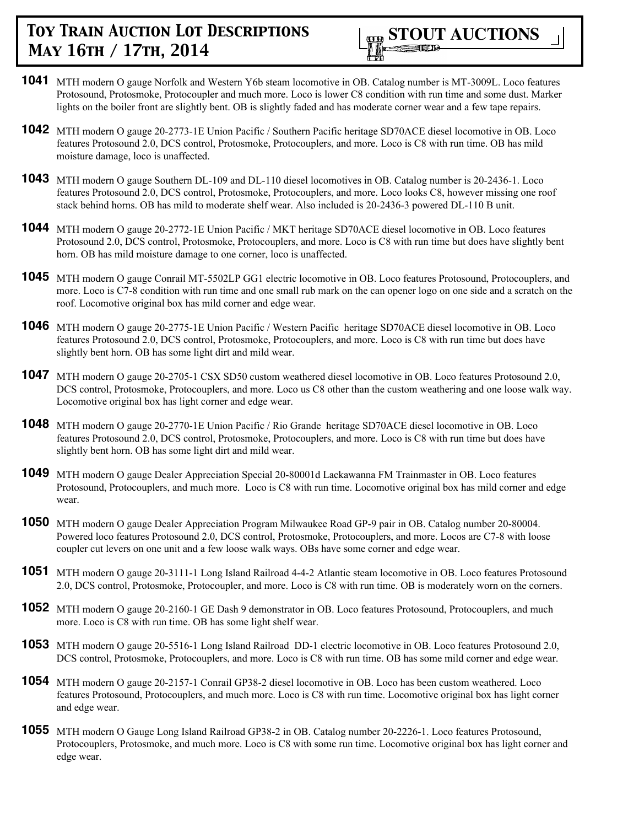

- **1041** MTH modern O gauge Norfolk and Western Y6b steam locomotive in OB. Catalog number is MT-3009L. Loco features Protosound, Protosmoke, Protocoupler and much more. Loco is lower C8 condition with run time and some dust. Marker lights on the boiler front are slightly bent. OB is slightly faded and has moderate corner wear and a few tape repairs.
- **1042** MTH modern O gauge 20-2773-1E Union Pacific / Southern Pacific heritage SD70ACE diesel locomotive in OB. Loco features Protosound 2.0, DCS control, Protosmoke, Protocouplers, and more. Loco is C8 with run time. OB has mild moisture damage, loco is unaffected.
- **1043** MTH modern O gauge Southern DL-109 and DL-110 diesel locomotives in OB. Catalog number is 20-2436-1. Loco features Protosound 2.0, DCS control, Protosmoke, Protocouplers, and more. Loco looks C8, however missing one roof stack behind horns. OB has mild to moderate shelf wear. Also included is 20-2436-3 powered DL-110 B unit.
- **1044** MTH modern O gauge 20-2772-1E Union Pacific / MKT heritage SD70ACE diesel locomotive in OB. Loco features Protosound 2.0, DCS control, Protosmoke, Protocouplers, and more. Loco is C8 with run time but does have slightly bent horn. OB has mild moisture damage to one corner, loco is unaffected.
- **1045** MTH modern O gauge Conrail MT-5502LP GG1 electric locomotive in OB. Loco features Protosound, Protocouplers, and more. Loco is C7-8 condition with run time and one small rub mark on the can opener logo on one side and a scratch on the roof. Locomotive original box has mild corner and edge wear.
- **1046** MTH modern O gauge 20-2775-1E Union Pacific / Western Pacific heritage SD70ACE diesel locomotive in OB. Loco features Protosound 2.0, DCS control, Protosmoke, Protocouplers, and more. Loco is C8 with run time but does have slightly bent horn. OB has some light dirt and mild wear.
- **1047** MTH modern O gauge 20-2705-1 CSX SD50 custom weathered diesel locomotive in OB. Loco features Protosound 2.0, DCS control, Protosmoke, Protocouplers, and more. Loco us C8 other than the custom weathering and one loose walk way. Locomotive original box has light corner and edge wear.
- **1048** MTH modern O gauge 20-2770-1E Union Pacific / Rio Grande heritage SD70ACE diesel locomotive in OB. Loco features Protosound 2.0, DCS control, Protosmoke, Protocouplers, and more. Loco is C8 with run time but does have slightly bent horn. OB has some light dirt and mild wear.
- **1049** MTH modern O gauge Dealer Appreciation Special 20-80001d Lackawanna FM Trainmaster in OB. Loco features Protosound, Protocouplers, and much more. Loco is C8 with run time. Locomotive original box has mild corner and edge wear.
- **1050** MTH modern O gauge Dealer Appreciation Program Milwaukee Road GP-9 pair in OB. Catalog number 20-80004. Powered loco features Protosound 2.0, DCS control, Protosmoke, Protocouplers, and more. Locos are C7-8 with loose coupler cut levers on one unit and a few loose walk ways. OBs have some corner and edge wear.
- **1051** MTH modern O gauge 20-3111-1 Long Island Railroad 4-4-2 Atlantic steam locomotive in OB. Loco features Protosound 2.0, DCS control, Protosmoke, Protocoupler, and more. Loco is C8 with run time. OB is moderately worn on the corners.
- **1052** MTH modern O gauge 20-2160-1 GE Dash 9 demonstrator in OB. Loco features Protosound, Protocouplers, and much more. Loco is C8 with run time. OB has some light shelf wear.
- **1053** MTH modern O gauge 20-5516-1 Long Island Railroad DD-1 electric locomotive in OB. Loco features Protosound 2.0, DCS control, Protosmoke, Protocouplers, and more. Loco is C8 with run time. OB has some mild corner and edge wear.
- **1054** MTH modern O gauge 20-2157-1 Conrail GP38-2 diesel locomotive in OB. Loco has been custom weathered. Loco features Protosound, Protocouplers, and much more. Loco is C8 with run time. Locomotive original box has light corner and edge wear.
- **1055** MTH modern O Gauge Long Island Railroad GP38-2 in OB. Catalog number 20-2226-1. Loco features Protosound, Protocouplers, Protosmoke, and much more. Loco is C8 with some run time. Locomotive original box has light corner and edge wear.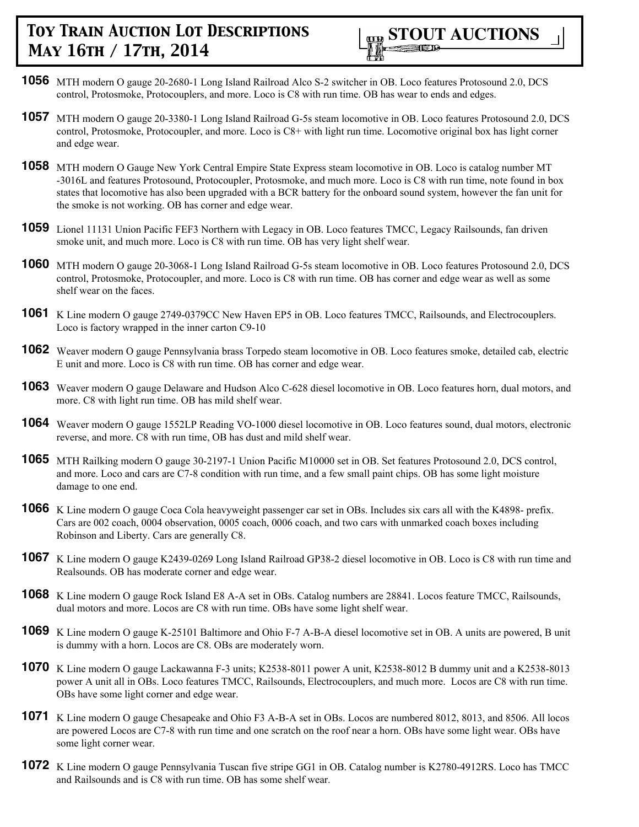

- **1056** MTH modern O gauge 20-2680-1 Long Island Railroad Alco S-2 switcher in OB. Loco features Protosound 2.0, DCS control, Protosmoke, Protocouplers, and more. Loco is C8 with run time. OB has wear to ends and edges.
- **1057** MTH modern O gauge 20-3380-1 Long Island Railroad G-5s steam locomotive in OB. Loco features Protosound 2.0, DCS control, Protosmoke, Protocoupler, and more. Loco is C8+ with light run time. Locomotive original box has light corner and edge wear.
- **1058** MTH modern O Gauge New York Central Empire State Express steam locomotive in OB. Loco is catalog number MT -3016L and features Protosound, Protocoupler, Protosmoke, and much more. Loco is C8 with run time, note found in box states that locomotive has also been upgraded with a BCR battery for the onboard sound system, however the fan unit for the smoke is not working. OB has corner and edge wear.
- **1059** Lionel 11131 Union Pacific FEF3 Northern with Legacy in OB. Loco features TMCC, Legacy Railsounds, fan driven smoke unit, and much more. Loco is C8 with run time. OB has very light shelf wear.
- **1060** MTH modern O gauge 20-3068-1 Long Island Railroad G-5s steam locomotive in OB. Loco features Protosound 2.0, DCS control, Protosmoke, Protocoupler, and more. Loco is C8 with run time. OB has corner and edge wear as well as some shelf wear on the faces.
- **1061** K Line modern O gauge 2749-0379CC New Haven EP5 in OB. Loco features TMCC, Railsounds, and Electrocouplers. Loco is factory wrapped in the inner carton C9-10
- **1062** Weaver modern O gauge Pennsylvania brass Torpedo steam locomotive in OB. Loco features smoke, detailed cab, electric E unit and more. Loco is C8 with run time. OB has corner and edge wear.
- **1063** Weaver modern O gauge Delaware and Hudson Alco C-628 diesel locomotive in OB. Loco features horn, dual motors, and more. C8 with light run time. OB has mild shelf wear.
- **1064** Weaver modern O gauge 1552LP Reading VO-1000 diesel locomotive in OB. Loco features sound, dual motors, electronic reverse, and more. C8 with run time, OB has dust and mild shelf wear.
- **1065** MTH Railking modern O gauge 30-2197-1 Union Pacific M10000 set in OB. Set features Protosound 2.0, DCS control, and more. Loco and cars are C7-8 condition with run time, and a few small paint chips. OB has some light moisture damage to one end.
- **1066** K Line modern O gauge Coca Cola heavyweight passenger car set in OBs. Includes six cars all with the K4898- prefix. Cars are 002 coach, 0004 observation, 0005 coach, 0006 coach, and two cars with unmarked coach boxes including Robinson and Liberty. Cars are generally C8.
- **1067** K Line modern O gauge K2439-0269 Long Island Railroad GP38-2 diesel locomotive in OB. Loco is C8 with run time and Realsounds. OB has moderate corner and edge wear.
- **1068** K Line modern O gauge Rock Island E8 A-A set in OBs. Catalog numbers are 28841. Locos feature TMCC, Railsounds, dual motors and more. Locos are C8 with run time. OBs have some light shelf wear.
- **1069** K Line modern O gauge K-25101 Baltimore and Ohio F-7 A-B-A diesel locomotive set in OB. A units are powered, B unit is dummy with a horn. Locos are C8. OBs are moderately worn.
- **1070** K Line modern O gauge Lackawanna F-3 units; K2538-8011 power A unit, K2538-8012 B dummy unit and a K2538-8013 power A unit all in OBs. Loco features TMCC, Railsounds, Electrocouplers, and much more. Locos are C8 with run time. OBs have some light corner and edge wear.
- **1071** K Line modern O gauge Chesapeake and Ohio F3 A-B-A set in OBs. Locos are numbered 8012, 8013, and 8506. All locos are powered Locos are C7-8 with run time and one scratch on the roof near a horn. OBs have some light wear. OBs have some light corner wear.
- **1072** K Line modern O gauge Pennsylvania Tuscan five stripe GG1 in OB. Catalog number is K2780-4912RS. Loco has TMCC and Railsounds and is C8 with run time. OB has some shelf wear.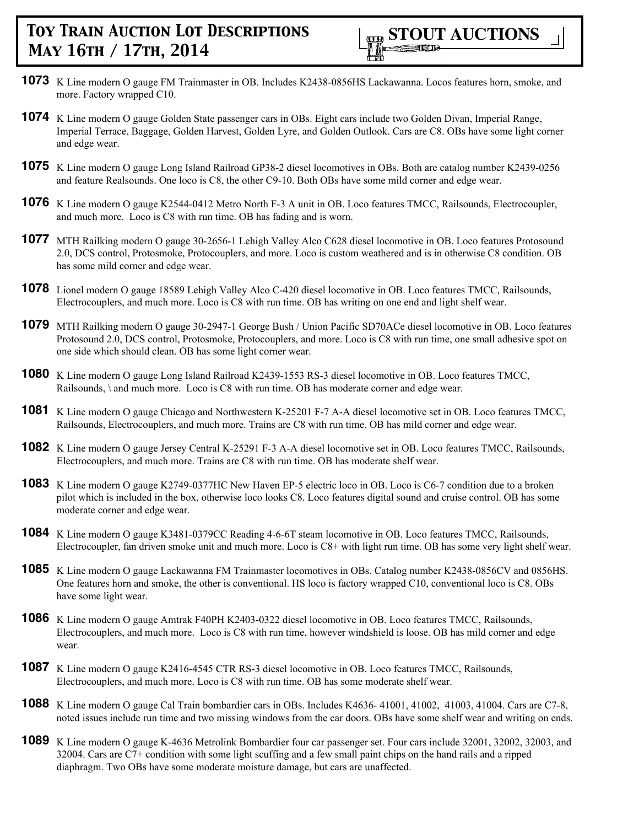- **1073** K Line modern O gauge FM Trainmaster in OB. Includes K2438-0856HS Lackawanna. Locos features horn, smoke, and more. Factory wrapped C10.
- **1074** K Line modern O gauge Golden State passenger cars in OBs. Eight cars include two Golden Divan, Imperial Range, Imperial Terrace, Baggage, Golden Harvest, Golden Lyre, and Golden Outlook. Cars are C8. OBs have some light corner and edge wear.
- **1075** K Line modern O gauge Long Island Railroad GP38-2 diesel locomotives in OBs. Both are catalog number K2439-0256 and feature Realsounds. One loco is C8, the other C9-10. Both OBs have some mild corner and edge wear.
- **1076** K Line modern O gauge K2544-0412 Metro North F-3 A unit in OB. Loco features TMCC, Railsounds, Electrocoupler, and much more. Loco is C8 with run time. OB has fading and is worn.
- **1077** MTH Railking modern O gauge 30-2656-1 Lehigh Valley Alco C628 diesel locomotive in OB. Loco features Protosound 2.0, DCS control, Protosmoke, Protocouplers, and more. Loco is custom weathered and is in otherwise C8 condition. OB has some mild corner and edge wear.
- **1078** Lionel modern O gauge 18589 Lehigh Valley Alco C-420 diesel locomotive in OB. Loco features TMCC, Railsounds, Electrocouplers, and much more. Loco is C8 with run time. OB has writing on one end and light shelf wear.
- **1079** MTH Railking modern O gauge 30-2947-1 George Bush / Union Pacific SD70ACe diesel locomotive in OB. Loco features Protosound 2.0, DCS control, Protosmoke, Protocouplers, and more. Loco is C8 with run time, one small adhesive spot on one side which should clean. OB has some light corner wear.
- **1080** K Line modern O gauge Long Island Railroad K2439-1553 RS-3 diesel locomotive in OB. Loco features TMCC, Railsounds, \ and much more. Loco is C8 with run time. OB has moderate corner and edge wear.
- **1081** K Line modern O gauge Chicago and Northwestern K-25201 F-7 A-A diesel locomotive set in OB. Loco features TMCC, Railsounds, Electrocouplers, and much more. Trains are C8 with run time. OB has mild corner and edge wear.
- **1082** K Line modern O gauge Jersey Central K-25291 F-3 A-A diesel locomotive set in OB. Loco features TMCC, Railsounds, Electrocouplers, and much more. Trains are C8 with run time. OB has moderate shelf wear.
- **1083** K Line modern O gauge K2749-0377HC New Haven EP-5 electric loco in OB. Loco is C6-7 condition due to a broken pilot which is included in the box, otherwise loco looks C8. Loco features digital sound and cruise control. OB has some moderate corner and edge wear.
- **1084** K Line modern O gauge K3481-0379CC Reading 4-6-6T steam locomotive in OB. Loco features TMCC, Railsounds, Electrocoupler, fan driven smoke unit and much more. Loco is C8+ with light run time. OB has some very light shelf wear.
- **1085** K Line modern O gauge Lackawanna FM Trainmaster locomotives in OBs. Catalog number K2438-0856CV and 0856HS. One features horn and smoke, the other is conventional. HS loco is factory wrapped C10, conventional loco is C8. OBs have some light wear.
- **1086** K Line modern O gauge Amtrak F40PH K2403-0322 diesel locomotive in OB. Loco features TMCC, Railsounds, Electrocouplers, and much more. Loco is C8 with run time, however windshield is loose. OB has mild corner and edge wear.
- **1087** K Line modern O gauge K2416-4545 CTR RS-3 diesel locomotive in OB. Loco features TMCC, Railsounds, Electrocouplers, and much more. Loco is C8 with run time. OB has some moderate shelf wear.
- **1088** K Line modern O gauge Cal Train bombardier cars in OBs. Includes K4636- 41001, 41002, 41003, 41004. Cars are C7-8, noted issues include run time and two missing windows from the car doors. OBs have some shelf wear and writing on ends.
- **1089** K Line modern O gauge K-4636 Metrolink Bombardier four car passenger set. Four cars include 32001, 32002, 32003, and 32004. Cars are C7+ condition with some light scuffing and a few small paint chips on the hand rails and a ripped diaphragm. Two OBs have some moderate moisture damage, but cars are unaffected.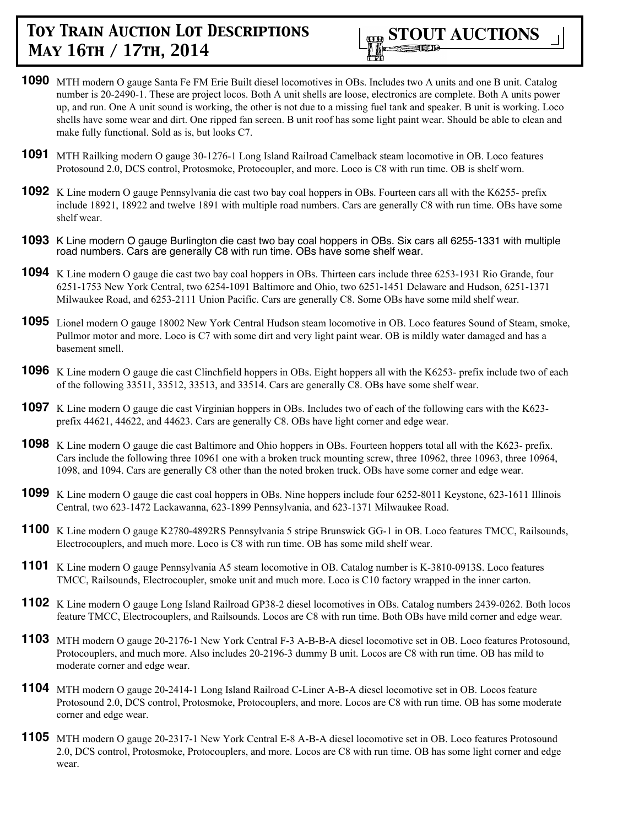

- **1090** MTH modern O gauge Santa Fe FM Erie Built diesel locomotives in OBs. Includes two A units and one B unit. Catalog number is 20-2490-1. These are project locos. Both A unit shells are loose, electronics are complete. Both A units power up, and run. One A unit sound is working, the other is not due to a missing fuel tank and speaker. B unit is working. Loco shells have some wear and dirt. One ripped fan screen. B unit roof has some light paint wear. Should be able to clean and make fully functional. Sold as is, but looks C7.
- **1091** MTH Railking modern O gauge 30-1276-1 Long Island Railroad Camelback steam locomotive in OB. Loco features Protosound 2.0, DCS control, Protosmoke, Protocoupler, and more. Loco is C8 with run time. OB is shelf worn.
- **1092** K Line modern O gauge Pennsylvania die cast two bay coal hoppers in OBs. Fourteen cars all with the K6255- prefix include 18921, 18922 and twelve 1891 with multiple road numbers. Cars are generally C8 with run time. OBs have some shelf wear.
- **1093** K Line modern O gauge Burlington die cast two bay coal hoppers in OBs. Six cars all 6255-1331 with multiple road numbers. Cars are generally C8 with run time. OBs have some shelf wear.
- **1094** K Line modern O gauge die cast two bay coal hoppers in OBs. Thirteen cars include three 6253-1931 Rio Grande, four 6251-1753 New York Central, two 6254-1091 Baltimore and Ohio, two 6251-1451 Delaware and Hudson, 6251-1371 Milwaukee Road, and 6253-2111 Union Pacific. Cars are generally C8. Some OBs have some mild shelf wear.
- **1095** Lionel modern O gauge 18002 New York Central Hudson steam locomotive in OB. Loco features Sound of Steam, smoke, Pullmor motor and more. Loco is C7 with some dirt and very light paint wear. OB is mildly water damaged and has a basement smell.
- **1096** K Line modern O gauge die cast Clinchfield hoppers in OBs. Eight hoppers all with the K6253- prefix include two of each of the following 33511, 33512, 33513, and 33514. Cars are generally C8. OBs have some shelf wear.
- **1097** K Line modern O gauge die cast Virginian hoppers in OBs. Includes two of each of the following cars with the K623prefix 44621, 44622, and 44623. Cars are generally C8. OBs have light corner and edge wear.
- **1098** K Line modern O gauge die cast Baltimore and Ohio hoppers in OBs. Fourteen hoppers total all with the K623- prefix. Cars include the following three 10961 one with a broken truck mounting screw, three 10962, three 10963, three 10964, 1098, and 1094. Cars are generally C8 other than the noted broken truck. OBs have some corner and edge wear.
- **1099** K Line modern O gauge die cast coal hoppers in OBs. Nine hoppers include four 6252-8011 Keystone, 623-1611 Illinois Central, two 623-1472 Lackawanna, 623-1899 Pennsylvania, and 623-1371 Milwaukee Road.
- **1100** K Line modern O gauge K2780-4892RS Pennsylvania 5 stripe Brunswick GG-1 in OB. Loco features TMCC, Railsounds, Electrocouplers, and much more. Loco is C8 with run time. OB has some mild shelf wear.
- **1101** K Line modern O gauge Pennsylvania A5 steam locomotive in OB. Catalog number is K-3810-0913S. Loco features TMCC, Railsounds, Electrocoupler, smoke unit and much more. Loco is C10 factory wrapped in the inner carton.
- **1102** K Line modern O gauge Long Island Railroad GP38-2 diesel locomotives in OBs. Catalog numbers 2439-0262. Both locos feature TMCC, Electrocouplers, and Railsounds. Locos are C8 with run time. Both OBs have mild corner and edge wear.
- **1103** MTH modern O gauge 20-2176-1 New York Central F-3 A-B-B-A diesel locomotive set in OB. Loco features Protosound, Protocouplers, and much more. Also includes 20-2196-3 dummy B unit. Locos are C8 with run time. OB has mild to moderate corner and edge wear.
- **1104** MTH modern O gauge 20-2414-1 Long Island Railroad C-Liner A-B-A diesel locomotive set in OB. Locos feature Protosound 2.0, DCS control, Protosmoke, Protocouplers, and more. Locos are C8 with run time. OB has some moderate corner and edge wear.
- **1105** MTH modern O gauge 20-2317-1 New York Central E-8 A-B-A diesel locomotive set in OB. Loco features Protosound 2.0, DCS control, Protosmoke, Protocouplers, and more. Locos are C8 with run time. OB has some light corner and edge wear.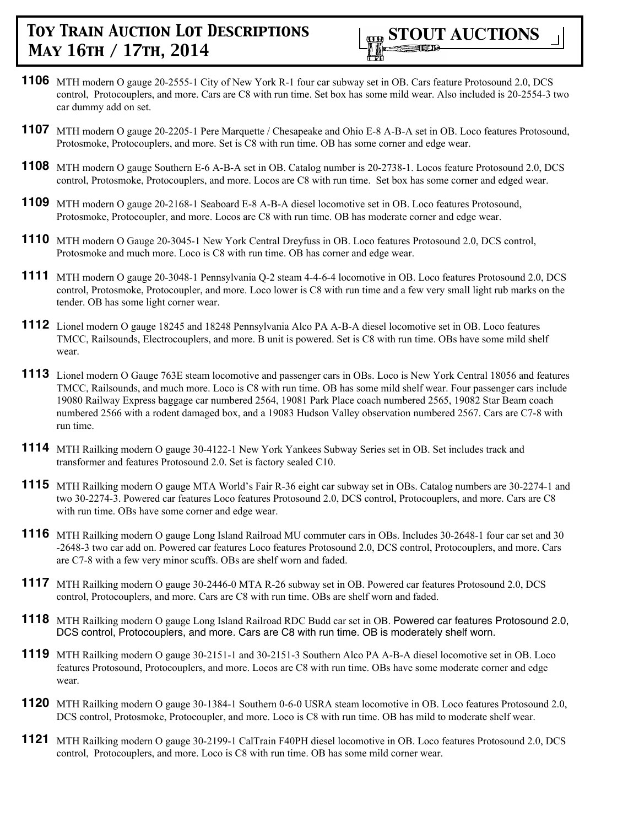

- **1106** MTH modern O gauge 20-2555-1 City of New York R-1 four car subway set in OB. Cars feature Protosound 2.0, DCS control, Protocouplers, and more. Cars are C8 with run time. Set box has some mild wear. Also included is 20-2554-3 two car dummy add on set.
- **1107** MTH modern O gauge 20-2205-1 Pere Marquette / Chesapeake and Ohio E-8 A-B-A set in OB. Loco features Protosound, Protosmoke, Protocouplers, and more. Set is C8 with run time. OB has some corner and edge wear.
- **1108** MTH modern O gauge Southern E-6 A-B-A set in OB. Catalog number is 20-2738-1. Locos feature Protosound 2.0, DCS control, Protosmoke, Protocouplers, and more. Locos are C8 with run time. Set box has some corner and edged wear.
- **1109** MTH modern O gauge 20-2168-1 Seaboard E-8 A-B-A diesel locomotive set in OB. Loco features Protosound, Protosmoke, Protocoupler, and more. Locos are C8 with run time. OB has moderate corner and edge wear.
- **1110** MTH modern O Gauge 20-3045-1 New York Central Dreyfuss in OB. Loco features Protosound 2.0, DCS control, Protosmoke and much more. Loco is C8 with run time. OB has corner and edge wear.
- **1111** MTH modern O gauge 20-3048-1 Pennsylvania Q-2 steam 4-4-6-4 locomotive in OB. Loco features Protosound 2.0, DCS control, Protosmoke, Protocoupler, and more. Loco lower is C8 with run time and a few very small light rub marks on the tender. OB has some light corner wear.
- **1112** Lionel modern O gauge 18245 and 18248 Pennsylvania Alco PA A-B-A diesel locomotive set in OB. Loco features TMCC, Railsounds, Electrocouplers, and more. B unit is powered. Set is C8 with run time. OBs have some mild shelf wear.
- **1113** Lionel modern O Gauge 763E steam locomotive and passenger cars in OBs. Loco is New York Central 18056 and features TMCC, Railsounds, and much more. Loco is C8 with run time. OB has some mild shelf wear. Four passenger cars include 19080 Railway Express baggage car numbered 2564, 19081 Park Place coach numbered 2565, 19082 Star Beam coach numbered 2566 with a rodent damaged box, and a 19083 Hudson Valley observation numbered 2567. Cars are C7-8 with run time.
- **1114** MTH Railking modern O gauge 30-4122-1 New York Yankees Subway Series set in OB. Set includes track and transformer and features Protosound 2.0. Set is factory sealed C10.
- **1115** MTH Railking modern O gauge MTA World's Fair R-36 eight car subway set in OBs. Catalog numbers are 30-2274-1 and two 30-2274-3. Powered car features Loco features Protosound 2.0, DCS control, Protocouplers, and more. Cars are C8 with run time. OBs have some corner and edge wear.
- **1116** MTH Railking modern O gauge Long Island Railroad MU commuter cars in OBs. Includes 30-2648-1 four car set and 30 -2648-3 two car add on. Powered car features Loco features Protosound 2.0, DCS control, Protocouplers, and more. Cars are C7-8 with a few very minor scuffs. OBs are shelf worn and faded.
- **1117** MTH Railking modern O gauge 30-2446-0 MTA R-26 subway set in OB. Powered car features Protosound 2.0, DCS control, Protocouplers, and more. Cars are C8 with run time. OBs are shelf worn and faded.
- **1118** MTH Railking modern O gauge Long Island Railroad RDC Budd car set in OB. Powered car features Protosound 2.0, DCS control, Protocouplers, and more. Cars are C8 with run time. OB is moderately shelf worn.
- **1119** MTH Railking modern O gauge 30-2151-1 and 30-2151-3 Southern Alco PA A-B-A diesel locomotive set in OB. Loco features Protosound, Protocouplers, and more. Locos are C8 with run time. OBs have some moderate corner and edge wear.
- **1120** MTH Railking modern O gauge 30-1384-1 Southern 0-6-0 USRA steam locomotive in OB. Loco features Protosound 2.0, DCS control, Protosmoke, Protocoupler, and more. Loco is C8 with run time. OB has mild to moderate shelf wear.
- **1121** MTH Railking modern O gauge 30-2199-1 CalTrain F40PH diesel locomotive in OB. Loco features Protosound 2.0, DCS control, Protocouplers, and more. Loco is C8 with run time. OB has some mild corner wear.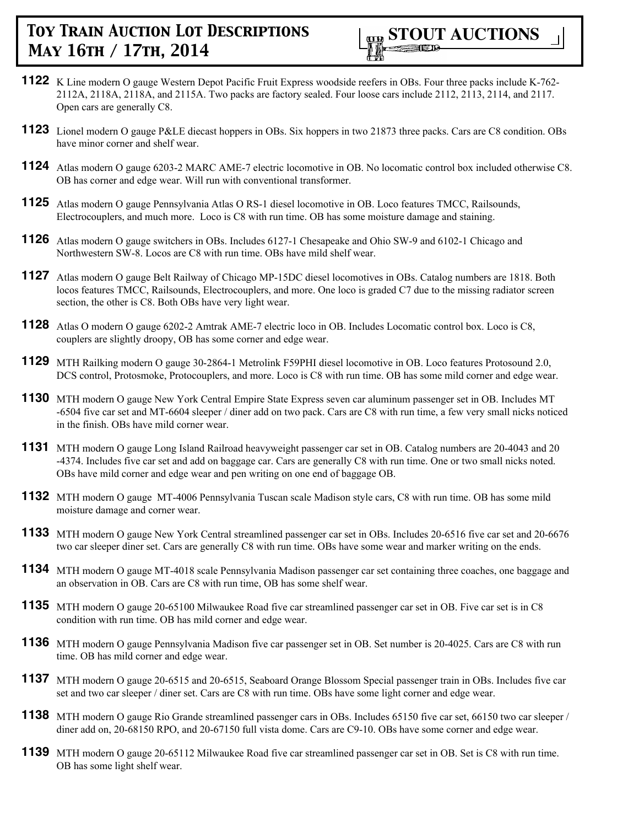

- **1122** K Line modern O gauge Western Depot Pacific Fruit Express woodside reefers in OBs. Four three packs include K-762- 2112A, 2118A, 2118A, and 2115A. Two packs are factory sealed. Four loose cars include 2112, 2113, 2114, and 2117. Open cars are generally C8.
- **1123** Lionel modern O gauge P&LE diecast hoppers in OBs. Six hoppers in two 21873 three packs. Cars are C8 condition. OBs have minor corner and shelf wear.
- **1124** Atlas modern O gauge 6203-2 MARC AME-7 electric locomotive in OB. No locomatic control box included otherwise C8. OB has corner and edge wear. Will run with conventional transformer.
- **1125** Atlas modern O gauge Pennsylvania Atlas O RS-1 diesel locomotive in OB. Loco features TMCC, Railsounds, Electrocouplers, and much more. Loco is C8 with run time. OB has some moisture damage and staining.
- **1126** Atlas modern O gauge switchers in OBs. Includes 6127-1 Chesapeake and Ohio SW-9 and 6102-1 Chicago and Northwestern SW-8. Locos are C8 with run time. OBs have mild shelf wear.
- **1127** Atlas modern O gauge Belt Railway of Chicago MP-15DC diesel locomotives in OBs. Catalog numbers are 1818. Both locos features TMCC, Railsounds, Electrocouplers, and more. One loco is graded C7 due to the missing radiator screen section, the other is C8. Both OBs have very light wear.
- **1128** Atlas O modern O gauge 6202-2 Amtrak AME-7 electric loco in OB. Includes Locomatic control box. Loco is C8, couplers are slightly droopy, OB has some corner and edge wear.
- **1129** MTH Railking modern O gauge 30-2864-1 Metrolink F59PHI diesel locomotive in OB. Loco features Protosound 2.0, DCS control, Protosmoke, Protocouplers, and more. Loco is C8 with run time. OB has some mild corner and edge wear.
- **1130** MTH modern O gauge New York Central Empire State Express seven car aluminum passenger set in OB. Includes MT -6504 five car set and MT-6604 sleeper / diner add on two pack. Cars are C8 with run time, a few very small nicks noticed in the finish. OBs have mild corner wear.
- **1131** MTH modern O gauge Long Island Railroad heavyweight passenger car set in OB. Catalog numbers are 20-4043 and 20 -4374. Includes five car set and add on baggage car. Cars are generally C8 with run time. One or two small nicks noted. OBs have mild corner and edge wear and pen writing on one end of baggage OB.
- **1132** MTH modern O gauge MT-4006 Pennsylvania Tuscan scale Madison style cars, C8 with run time. OB has some mild moisture damage and corner wear.
- **1133** MTH modern O gauge New York Central streamlined passenger car set in OBs. Includes 20-6516 five car set and 20-6676 two car sleeper diner set. Cars are generally C8 with run time. OBs have some wear and marker writing on the ends.
- **1134** MTH modern O gauge MT-4018 scale Pennsylvania Madison passenger car set containing three coaches, one baggage and an observation in OB. Cars are C8 with run time, OB has some shelf wear.
- **1135** MTH modern O gauge 20-65100 Milwaukee Road five car streamlined passenger car set in OB. Five car set is in C8 condition with run time. OB has mild corner and edge wear.
- **1136** MTH modern O gauge Pennsylvania Madison five car passenger set in OB. Set number is 20-4025. Cars are C8 with run time. OB has mild corner and edge wear.
- **1137** MTH modern O gauge 20-6515 and 20-6515, Seaboard Orange Blossom Special passenger train in OBs. Includes five car set and two car sleeper / diner set. Cars are C8 with run time. OBs have some light corner and edge wear.
- **1138** MTH modern O gauge Rio Grande streamlined passenger cars in OBs. Includes 65150 five car set, 66150 two car sleeper / diner add on, 20-68150 RPO, and 20-67150 full vista dome. Cars are C9-10. OBs have some corner and edge wear.
- **1139** MTH modern O gauge 20-65112 Milwaukee Road five car streamlined passenger car set in OB. Set is C8 with run time. OB has some light shelf wear.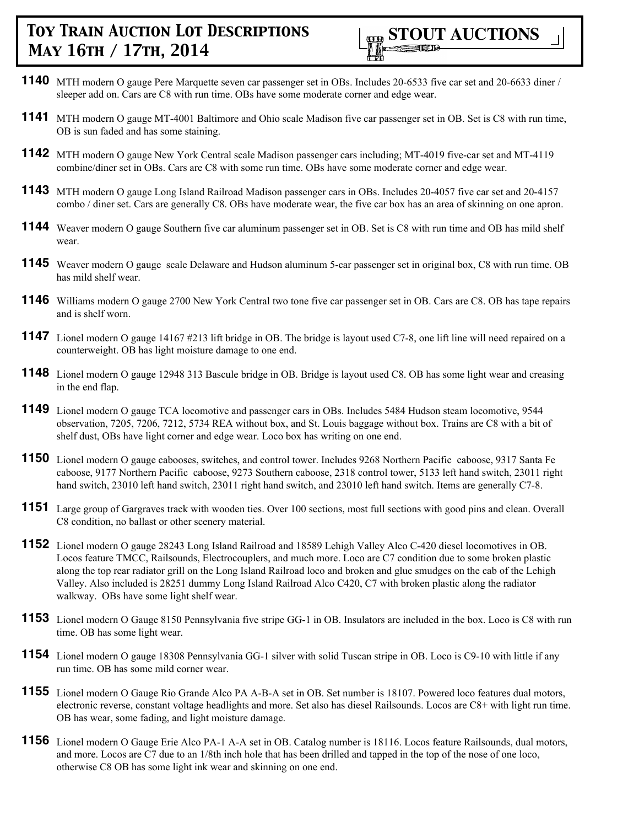- **1140** MTH modern O gauge Pere Marquette seven car passenger set in OBs. Includes 20-6533 five car set and 20-6633 diner / sleeper add on. Cars are C8 with run time. OBs have some moderate corner and edge wear.
- **1141** MTH modern O gauge MT-4001 Baltimore and Ohio scale Madison five car passenger set in OB. Set is C8 with run time, OB is sun faded and has some staining.
- **1142** MTH modern O gauge New York Central scale Madison passenger cars including; MT-4019 five-car set and MT-4119 combine/diner set in OBs. Cars are C8 with some run time. OBs have some moderate corner and edge wear.
- **1143** MTH modern O gauge Long Island Railroad Madison passenger cars in OBs. Includes 20-4057 five car set and 20-4157 combo / diner set. Cars are generally C8. OBs have moderate wear, the five car box has an area of skinning on one apron.
- **1144** Weaver modern O gauge Southern five car aluminum passenger set in OB. Set is C8 with run time and OB has mild shelf wear.
- **1145** Weaver modern O gauge scale Delaware and Hudson aluminum 5-car passenger set in original box, C8 with run time. OB has mild shelf wear.
- **1146** Williams modern O gauge 2700 New York Central two tone five car passenger set in OB. Cars are C8. OB has tape repairs and is shelf worn.
- **1147** Lionel modern O gauge 14167 #213 lift bridge in OB. The bridge is layout used C7-8, one lift line will need repaired on a counterweight. OB has light moisture damage to one end.
- **1148** Lionel modern O gauge 12948 313 Bascule bridge in OB. Bridge is layout used C8. OB has some light wear and creasing in the end flap.
- **1149** Lionel modern O gauge TCA locomotive and passenger cars in OBs. Includes 5484 Hudson steam locomotive, 9544 observation, 7205, 7206, 7212, 5734 REA without box, and St. Louis baggage without box. Trains are C8 with a bit of shelf dust, OBs have light corner and edge wear. Loco box has writing on one end.
- **1150** Lionel modern O gauge cabooses, switches, and control tower. Includes 9268 Northern Pacific caboose, 9317 Santa Fe caboose, 9177 Northern Pacific caboose, 9273 Southern caboose, 2318 control tower, 5133 left hand switch, 23011 right hand switch, 23010 left hand switch, 23011 right hand switch, and 23010 left hand switch. Items are generally C7-8.
- **1151** Large group of Gargraves track with wooden ties. Over 100 sections, most full sections with good pins and clean. Overall C8 condition, no ballast or other scenery material.
- **1152** Lionel modern O gauge 28243 Long Island Railroad and 18589 Lehigh Valley Alco C-420 diesel locomotives in OB. Locos feature TMCC, Railsounds, Electrocouplers, and much more. Loco are C7 condition due to some broken plastic along the top rear radiator grill on the Long Island Railroad loco and broken and glue smudges on the cab of the Lehigh Valley. Also included is 28251 dummy Long Island Railroad Alco C420, C7 with broken plastic along the radiator walkway. OBs have some light shelf wear.
- **1153** Lionel modern O Gauge 8150 Pennsylvania five stripe GG-1 in OB. Insulators are included in the box. Loco is C8 with run time. OB has some light wear.
- **1154** Lionel modern O gauge 18308 Pennsylvania GG-1 silver with solid Tuscan stripe in OB. Loco is C9-10 with little if any run time. OB has some mild corner wear.
- **1155** Lionel modern O Gauge Rio Grande Alco PA A-B-A set in OB. Set number is 18107. Powered loco features dual motors, electronic reverse, constant voltage headlights and more. Set also has diesel Railsounds. Locos are C8+ with light run time. OB has wear, some fading, and light moisture damage.
- **1156** Lionel modern O Gauge Erie Alco PA-1 A-A set in OB. Catalog number is 18116. Locos feature Railsounds, dual motors, and more. Locos are C7 due to an 1/8th inch hole that has been drilled and tapped in the top of the nose of one loco, otherwise C8 OB has some light ink wear and skinning on one end.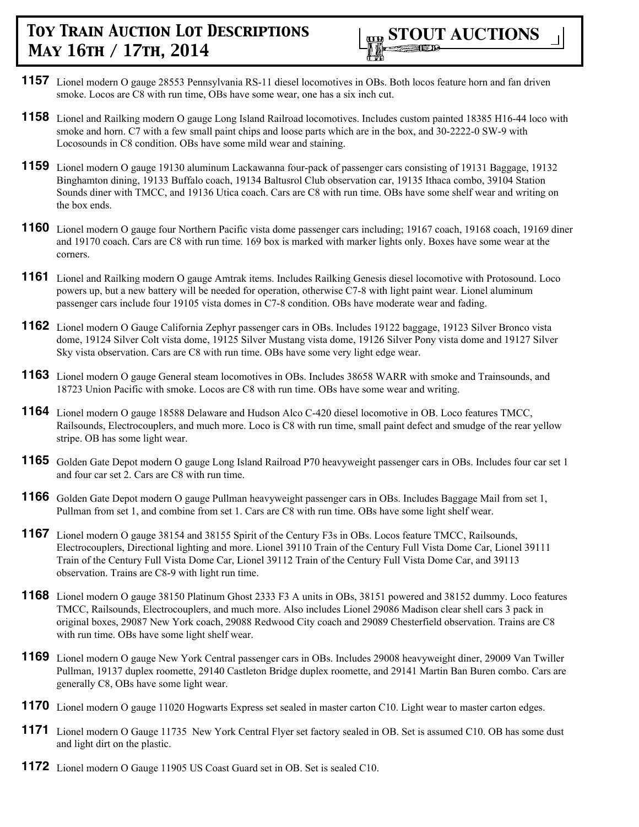

- **1157** Lionel modern O gauge 28553 Pennsylvania RS-11 diesel locomotives in OBs. Both locos feature horn and fan driven smoke. Locos are C8 with run time, OBs have some wear, one has a six inch cut.
- **1158** Lionel and Railking modern O gauge Long Island Railroad locomotives. Includes custom painted 18385 H16-44 loco with smoke and horn. C7 with a few small paint chips and loose parts which are in the box, and 30-2222-0 SW-9 with Locosounds in C8 condition. OBs have some mild wear and staining.
- **1159** Lionel modern O gauge 19130 aluminum Lackawanna four-pack of passenger cars consisting of 19131 Baggage, 19132 Binghamton dining, 19133 Buffalo coach, 19134 Baltusrol Club observation car, 19135 Ithaca combo, 39104 Station Sounds diner with TMCC, and 19136 Utica coach. Cars are C8 with run time. OBs have some shelf wear and writing on the box ends.
- **1160** Lionel modern O gauge four Northern Pacific vista dome passenger cars including; 19167 coach, 19168 coach, 19169 diner and 19170 coach. Cars are C8 with run time. 169 box is marked with marker lights only. Boxes have some wear at the corners.
- **1161** Lionel and Railking modern O gauge Amtrak items. Includes Railking Genesis diesel locomotive with Protosound. Loco powers up, but a new battery will be needed for operation, otherwise C7-8 with light paint wear. Lionel aluminum passenger cars include four 19105 vista domes in C7-8 condition. OBs have moderate wear and fading.
- **1162** Lionel modern O Gauge California Zephyr passenger cars in OBs. Includes 19122 baggage, 19123 Silver Bronco vista dome, 19124 Silver Colt vista dome, 19125 Silver Mustang vista dome, 19126 Silver Pony vista dome and 19127 Silver Sky vista observation. Cars are C8 with run time. OBs have some very light edge wear.
- **1163** Lionel modern O gauge General steam locomotives in OBs. Includes 38658 WARR with smoke and Trainsounds, and 18723 Union Pacific with smoke. Locos are C8 with run time. OBs have some wear and writing.
- **1164** Lionel modern O gauge 18588 Delaware and Hudson Alco C-420 diesel locomotive in OB. Loco features TMCC, Railsounds, Electrocouplers, and much more. Loco is C8 with run time, small paint defect and smudge of the rear yellow stripe. OB has some light wear.
- 1165 Golden Gate Depot modern O gauge Long Island Railroad P70 heavyweight passenger cars in OBs. Includes four car set 1 and four car set 2. Cars are C8 with run time.
- **1166** Golden Gate Depot modern O gauge Pullman heavyweight passenger cars in OBs. Includes Baggage Mail from set 1, Pullman from set 1, and combine from set 1. Cars are C8 with run time. OBs have some light shelf wear.
- **1167** Lionel modern O gauge 38154 and 38155 Spirit of the Century F3s in OBs. Locos feature TMCC, Railsounds, Electrocouplers, Directional lighting and more. Lionel 39110 Train of the Century Full Vista Dome Car, Lionel 39111 Train of the Century Full Vista Dome Car, Lionel 39112 Train of the Century Full Vista Dome Car, and 39113 observation. Trains are C8-9 with light run time.
- **1168** Lionel modern O gauge 38150 Platinum Ghost 2333 F3 A units in OBs, 38151 powered and 38152 dummy. Loco features TMCC, Railsounds, Electrocouplers, and much more. Also includes Lionel 29086 Madison clear shell cars 3 pack in original boxes, 29087 New York coach, 29088 Redwood City coach and 29089 Chesterfield observation. Trains are C8 with run time. OBs have some light shelf wear.
- **1169** Lionel modern O gauge New York Central passenger cars in OBs. Includes 29008 heavyweight diner, 29009 Van Twiller Pullman, 19137 duplex roomette, 29140 Castleton Bridge duplex roomette, and 29141 Martin Ban Buren combo. Cars are generally C8, OBs have some light wear.
- **1170** Lionel modern O gauge 11020 Hogwarts Express set sealed in master carton C10. Light wear to master carton edges.
- **1171** Lionel modern O Gauge 11735 New York Central Flyer set factory sealed in OB. Set is assumed C10. OB has some dust and light dirt on the plastic.
- **1172** Lionel modern O Gauge 11905 US Coast Guard set in OB. Set is sealed C10.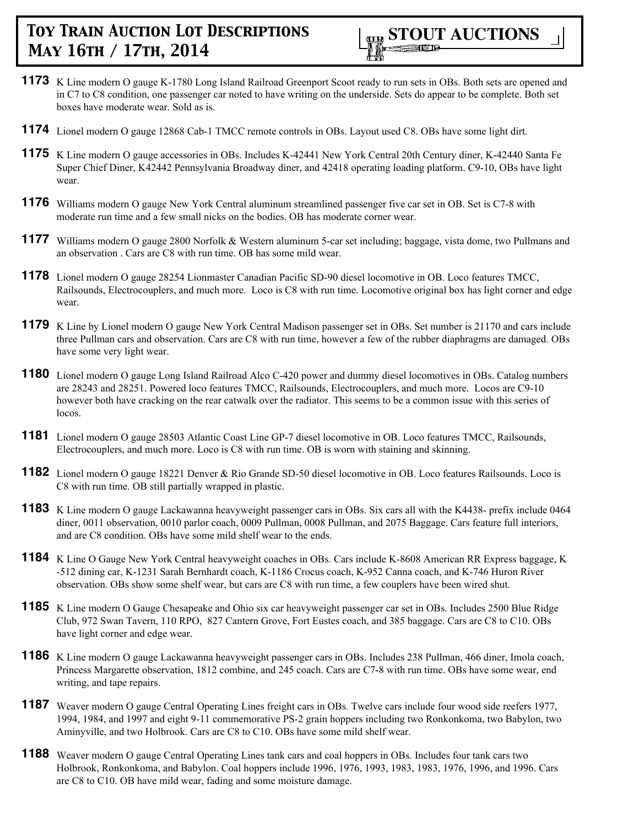

- **1173** K Line modern O gauge K-1780 Long Island Railroad Greenport Scoot ready to run sets in OBs. Both sets are opened and in C7 to C8 condition, one passenger car noted to have writing on the underside. Sets do appear to be complete. Both set boxes have moderate wear. Sold as is.
- **1174** Lionel modern O gauge 12868 Cab-1 TMCC remote controls in OBs. Layout used C8. OBs have some light dirt.
- **1175** K Line modern O gauge accessories in OBs. Includes K-42441 New York Central 20th Century diner, K-42440 Santa Fe Super Chief Diner, K42442 Pennsylvania Broadway diner, and 42418 operating loading platform. C9-10, OBs have light wear.
- **1176** Williams modern O gauge New York Central aluminum streamlined passenger five car set in OB. Set is C7-8 with moderate run time and a few small nicks on the bodies. OB has moderate corner wear.
- **1177** Williams modern O gauge 2800 Norfolk & Western aluminum 5-car set including; baggage, vista dome, two Pullmans and an observation . Cars are C8 with run time. OB has some mild wear.
- **1178** Lionel modern O gauge 28254 Lionmaster Canadian Pacific SD-90 diesel locomotive in OB. Loco features TMCC, Railsounds, Electrocouplers, and much more. Loco is C8 with run time. Locomotive original box has light corner and edge wear.
- **1179** K Line by Lionel modern O gauge New York Central Madison passenger set in OBs. Set number is 21170 and cars include three Pullman cars and observation. Cars are C8 with run time, however a few of the rubber diaphragms are damaged. OBs have some very light wear.
- **1180** Lionel modern O gauge Long Island Railroad Alco C-420 power and dummy diesel locomotives in OBs. Catalog numbers are 28243 and 28251. Powered loco features TMCC, Railsounds, Electrocouplers, and much more. Locos are C9-10 however both have cracking on the rear catwalk over the radiator. This seems to be a common issue with this series of locos.
- **1181** Lionel modern O gauge 28503 Atlantic Coast Line GP-7 diesel locomotive in OB. Loco features TMCC, Railsounds, Electrocouplers, and much more. Loco is C8 with run time. OB is worn with staining and skinning.
- **1182** Lionel modern O gauge 18221 Denver & Rio Grande SD-50 diesel locomotive in OB. Loco features Railsounds. Loco is C8 with run time. OB still partially wrapped in plastic.
- **1183** K Line modern O gauge Lackawanna heavyweight passenger cars in OBs. Six cars all with the K4438- prefix include 0464 diner, 0011 observation, 0010 parlor coach, 0009 Pullman, 0008 Pullman, and 2075 Baggage. Cars feature full interiors, and are C8 condition. OBs have some mild shelf wear to the ends.
- **1184** K Line O Gauge New York Central heavyweight coaches in OBs. Cars include K-8608 American RR Express baggage, K -512 dining car, K-1231 Sarah Bernhardt coach, K-1186 Crocus coach, K-952 Canna coach, and K-746 Huron River observation. OBs show some shelf wear, but cars are C8 with run time, a few couplers have been wired shut.
- **1185** K Line modern O Gauge Chesapeake and Ohio six car heavyweight passenger car set in OBs. Includes 2500 Blue Ridge Club, 972 Swan Tavern, 110 RPO, 827 Cantern Grove, Fort Eustes coach, and 385 baggage. Cars are C8 to C10. OBs have light corner and edge wear.
- **1186** K Line modern O gauge Lackawanna heavyweight passenger cars in OBs. Includes 238 Pullman, 466 diner, Imola coach, Princess Margarette observation, 1812 combine, and 245 coach. Cars are C7-8 with run time. OBs have some wear, end writing, and tape repairs.
- **1187** Weaver modern O gauge Central Operating Lines freight cars in OBs. Twelve cars include four wood side reefers 1977, 1994, 1984, and 1997 and eight 9-11 commemorative PS-2 grain hoppers including two Ronkonkoma, two Babylon, two Aminyville, and two Holbrook. Cars are C8 to C10. OBs have some mild shelf wear.
- **1188** Weaver modern O gauge Central Operating Lines tank cars and coal hoppers in OBs. Includes four tank cars two Holbrook, Ronkonkoma, and Babylon. Coal hoppers include 1996, 1976, 1993, 1983, 1983, 1976, 1996, and 1996. Cars are C8 to C10. OB have mild wear, fading and some moisture damage.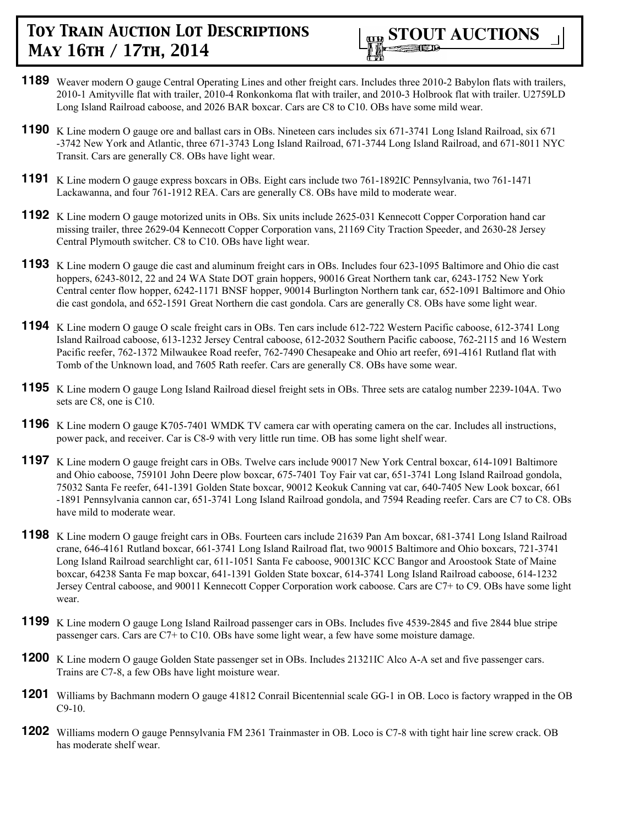- **1189** Weaver modern O gauge Central Operating Lines and other freight cars. Includes three 2010-2 Babylon flats with trailers, 2010-1 Amityville flat with trailer, 2010-4 Ronkonkoma flat with trailer, and 2010-3 Holbrook flat with trailer. U2759LD Long Island Railroad caboose, and 2026 BAR boxcar. Cars are C8 to C10. OBs have some mild wear.
- **1190** K Line modern O gauge ore and ballast cars in OBs. Nineteen cars includes six 671-3741 Long Island Railroad, six 671 -3742 New York and Atlantic, three 671-3743 Long Island Railroad, 671-3744 Long Island Railroad, and 671-8011 NYC Transit. Cars are generally C8. OBs have light wear.
- **1191** K Line modern O gauge express boxcars in OBs. Eight cars include two 761-1892IC Pennsylvania, two 761-1471 Lackawanna, and four 761-1912 REA. Cars are generally C8. OBs have mild to moderate wear.
- **1192** K Line modern O gauge motorized units in OBs. Six units include 2625-031 Kennecott Copper Corporation hand car missing trailer, three 2629-04 Kennecott Copper Corporation vans, 21169 City Traction Speeder, and 2630-28 Jersey Central Plymouth switcher. C8 to C10. OBs have light wear.
- **1193** K Line modern O gauge die cast and aluminum freight cars in OBs. Includes four 623-1095 Baltimore and Ohio die cast hoppers, 6243-8012, 22 and 24 WA State DOT grain hoppers, 90016 Great Northern tank car, 6243-1752 New York Central center flow hopper, 6242-1171 BNSF hopper, 90014 Burlington Northern tank car, 652-1091 Baltimore and Ohio die cast gondola, and 652-1591 Great Northern die cast gondola. Cars are generally C8. OBs have some light wear.
- **1194** K Line modern O gauge O scale freight cars in OBs. Ten cars include 612-722 Western Pacific caboose, 612-3741 Long Island Railroad caboose, 613-1232 Jersey Central caboose, 612-2032 Southern Pacific caboose, 762-2115 and 16 Western Pacific reefer, 762-1372 Milwaukee Road reefer, 762-7490 Chesapeake and Ohio art reefer, 691-4161 Rutland flat with Tomb of the Unknown load, and 7605 Rath reefer. Cars are generally C8. OBs have some wear.
- **1195** K Line modern O gauge Long Island Railroad diesel freight sets in OBs. Three sets are catalog number 2239-104A. Two sets are C8, one is C10.
- **1196** K Line modern O gauge K705-7401 WMDK TV camera car with operating camera on the car. Includes all instructions, power pack, and receiver. Car is C8-9 with very little run time. OB has some light shelf wear.
- **1197** K Line modern O gauge freight cars in OBs. Twelve cars include 90017 New York Central boxcar, 614-1091 Baltimore and Ohio caboose, 759101 John Deere plow boxcar, 675-7401 Toy Fair vat car, 651-3741 Long Island Railroad gondola, 75032 Santa Fe reefer, 641-1391 Golden State boxcar, 90012 Keokuk Canning vat car, 640-7405 New Look boxcar, 661 -1891 Pennsylvania cannon car, 651-3741 Long Island Railroad gondola, and 7594 Reading reefer. Cars are C7 to C8. OBs have mild to moderate wear.
- **1198** K Line modern O gauge freight cars in OBs. Fourteen cars include 21639 Pan Am boxcar, 681-3741 Long Island Railroad crane, 646-4161 Rutland boxcar, 661-3741 Long Island Railroad flat, two 90015 Baltimore and Ohio boxcars, 721-3741 Long Island Railroad searchlight car, 611-1051 Santa Fe caboose, 90013IC KCC Bangor and Aroostook State of Maine boxcar, 64238 Santa Fe map boxcar, 641-1391 Golden State boxcar, 614-3741 Long Island Railroad caboose, 614-1232 Jersey Central caboose, and 90011 Kennecott Copper Corporation work caboose. Cars are C7+ to C9. OBs have some light wear.
- **1199** K Line modern O gauge Long Island Railroad passenger cars in OBs. Includes five 4539-2845 and five 2844 blue stripe passenger cars. Cars are C7+ to C10. OBs have some light wear, a few have some moisture damage.
- **1200** K Line modern O gauge Golden State passenger set in OBs. Includes 21321IC Alco A-A set and five passenger cars. Trains are C7-8, a few OBs have light moisture wear.
- **1201** Williams by Bachmann modern O gauge 41812 Conrail Bicentennial scale GG-1 in OB. Loco is factory wrapped in the OB C9-10.
- **1202** Williams modern O gauge Pennsylvania FM 2361 Trainmaster in OB. Loco is C7-8 with tight hair line screw crack. OB has moderate shelf wear.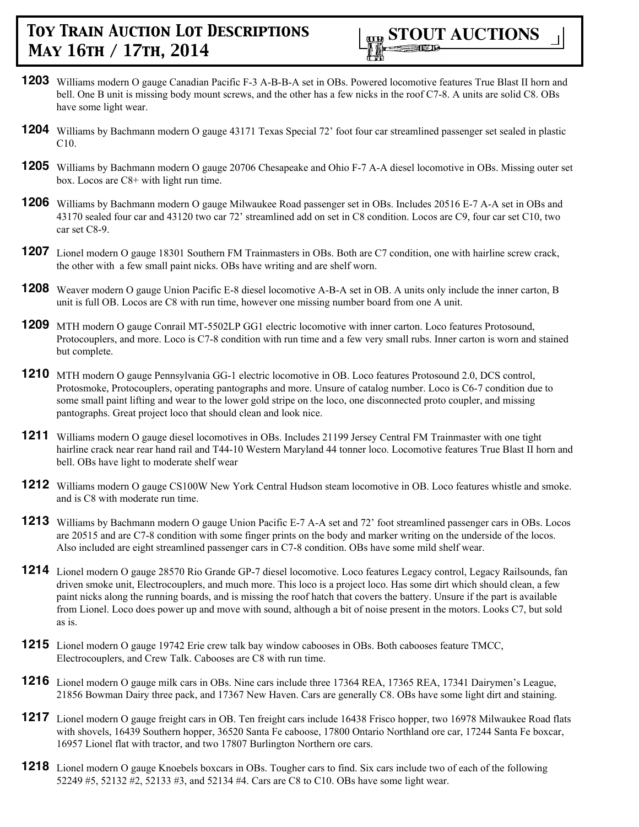

- **1203** Williams modern O gauge Canadian Pacific F-3 A-B-B-A set in OBs. Powered locomotive features True Blast II horn and bell. One B unit is missing body mount screws, and the other has a few nicks in the roof C7-8. A units are solid C8. OBs have some light wear.
- **1204** Williams by Bachmann modern O gauge 43171 Texas Special 72' foot four car streamlined passenger set sealed in plastic C10.
- **1205** Williams by Bachmann modern O gauge 20706 Chesapeake and Ohio F-7 A-A diesel locomotive in OBs. Missing outer set box. Locos are C8+ with light run time.
- **1206** Williams by Bachmann modern O gauge Milwaukee Road passenger set in OBs. Includes 20516 E-7 A-A set in OBs and 43170 sealed four car and 43120 two car 72' streamlined add on set in C8 condition. Locos are C9, four car set C10, two car set C8-9.
- **1207** Lionel modern O gauge 18301 Southern FM Trainmasters in OBs. Both are C7 condition, one with hairline screw crack, the other with a few small paint nicks. OBs have writing and are shelf worn.
- **1208** Weaver modern O gauge Union Pacific E-8 diesel locomotive A-B-A set in OB. A units only include the inner carton, B unit is full OB. Locos are C8 with run time, however one missing number board from one A unit.
- **1209** MTH modern O gauge Conrail MT-5502LP GG1 electric locomotive with inner carton. Loco features Protosound, Protocouplers, and more. Loco is C7-8 condition with run time and a few very small rubs. Inner carton is worn and stained but complete.
- **1210** MTH modern O gauge Pennsylvania GG-1 electric locomotive in OB. Loco features Protosound 2.0, DCS control, Protosmoke, Protocouplers, operating pantographs and more. Unsure of catalog number. Loco is C6-7 condition due to some small paint lifting and wear to the lower gold stripe on the loco, one disconnected proto coupler, and missing pantographs. Great project loco that should clean and look nice.
- 1211 Williams modern O gauge diesel locomotives in OBs. Includes 21199 Jersey Central FM Trainmaster with one tight hairline crack near rear hand rail and T44-10 Western Maryland 44 tonner loco. Locomotive features True Blast II horn and bell. OBs have light to moderate shelf wear
- **1212** Williams modern O gauge CS100W New York Central Hudson steam locomotive in OB. Loco features whistle and smoke. and is C8 with moderate run time.
- **1213** Williams by Bachmann modern O gauge Union Pacific E-7 A-A set and 72' foot streamlined passenger cars in OBs. Locos are 20515 and are C7-8 condition with some finger prints on the body and marker writing on the underside of the locos. Also included are eight streamlined passenger cars in C7-8 condition. OBs have some mild shelf wear.
- **1214** Lionel modern O gauge 28570 Rio Grande GP-7 diesel locomotive. Loco features Legacy control, Legacy Railsounds, fan driven smoke unit, Electrocouplers, and much more. This loco is a project loco. Has some dirt which should clean, a few paint nicks along the running boards, and is missing the roof hatch that covers the battery. Unsure if the part is available from Lionel. Loco does power up and move with sound, although a bit of noise present in the motors. Looks C7, but sold as is.
- **1215** Lionel modern O gauge 19742 Erie crew talk bay window cabooses in OBs. Both cabooses feature TMCC, Electrocouplers, and Crew Talk. Cabooses are C8 with run time.
- **1216** Lionel modern O gauge milk cars in OBs. Nine cars include three 17364 REA, 17365 REA, 17341 Dairymen's League, 21856 Bowman Dairy three pack, and 17367 New Haven. Cars are generally C8. OBs have some light dirt and staining.
- **1217** Lionel modern O gauge freight cars in OB. Ten freight cars include 16438 Frisco hopper, two 16978 Milwaukee Road flats with shovels, 16439 Southern hopper, 36520 Santa Fe caboose, 17800 Ontario Northland ore car, 17244 Santa Fe boxcar, 16957 Lionel flat with tractor, and two 17807 Burlington Northern ore cars.
- **1218** Lionel modern O gauge Knoebels boxcars in OBs. Tougher cars to find. Six cars include two of each of the following 52249 #5, 52132 #2, 52133 #3, and 52134 #4. Cars are C8 to C10. OBs have some light wear.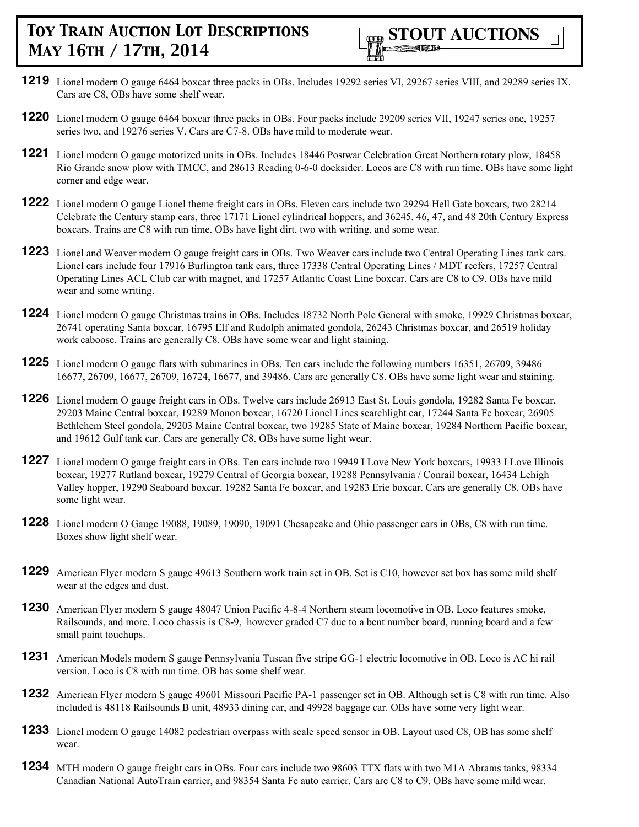

- **1219** Lionel modern O gauge 6464 boxcar three packs in OBs. Includes 19292 series VI, 29267 series VIII, and 29289 series IX. Cars are C8, OBs have some shelf wear.
- **1220** Lionel modern O gauge 6464 boxcar three packs in OBs. Four packs include 29209 series VII, 19247 series one, 19257 series two, and 19276 series V. Cars are C7-8. OBs have mild to moderate wear.
- **1221** Lionel modern O gauge motorized units in OBs. Includes 18446 Postwar Celebration Great Northern rotary plow, 18458 Rio Grande snow plow with TMCC, and 28613 Reading 0-6-0 docksider. Locos are C8 with run time. OBs have some light corner and edge wear.
- **1222** Lionel modern O gauge Lionel theme freight cars in OBs. Eleven cars include two 29294 Hell Gate boxcars, two 28214 Celebrate the Century stamp cars, three 17171 Lionel cylindrical hoppers, and 36245. 46, 47, and 48 20th Century Express boxcars. Trains are C8 with run time. OBs have light dirt, two with writing, and some wear.
- **1223** Lionel and Weaver modern O gauge freight cars in OBs. Two Weaver cars include two Central Operating Lines tank cars. Lionel cars include four 17916 Burlington tank cars, three 17338 Central Operating Lines / MDT reefers, 17257 Central Operating Lines ACL Club car with magnet, and 17257 Atlantic Coast Line boxcar. Cars are C8 to C9. OBs have mild wear and some writing.
- **1224** Lionel modern O gauge Christmas trains in OBs. Includes 18732 North Pole General with smoke, 19929 Christmas boxcar, 26741 operating Santa boxcar, 16795 Elf and Rudolph animated gondola, 26243 Christmas boxcar, and 26519 holiday work caboose. Trains are generally C8. OBs have some wear and light staining.
- **1225** Lionel modern O gauge flats with submarines in OBs. Ten cars include the following numbers 16351, 26709, 39486 16677, 26709, 16677, 26709, 16724, 16677, and 39486. Cars are generally C8. OBs have some light wear and staining.
- **1226** Lionel modern O gauge freight cars in OBs. Twelve cars include 26913 East St. Louis gondola, 19282 Santa Fe boxcar, 29203 Maine Central boxcar, 19289 Monon boxcar, 16720 Lionel Lines searchlight car, 17244 Santa Fe boxcar, 26905 Bethlehem Steel gondola, 29203 Maine Central boxcar, two 19285 State of Maine boxcar, 19284 Northern Pacific boxcar, and 19612 Gulf tank car. Cars are generally C8. OBs have some light wear.
- **1227** Lionel modern O gauge freight cars in OBs. Ten cars include two 19949 I Love New York boxcars, 19933 I Love Illinois boxcar, 19277 Rutland boxcar, 19279 Central of Georgia boxcar, 19288 Pennsylvania / Conrail boxcar, 16434 Lehigh Valley hopper, 19290 Seaboard boxcar, 19282 Santa Fe boxcar, and 19283 Erie boxcar. Cars are generally C8. OBs have some light wear.
- **1228** Lionel modern O Gauge 19088, 19089, 19090, 19091 Chesapeake and Ohio passenger cars in OBs, C8 with run time. Boxes show light shelf wear.
- **1229** American Flyer modern S gauge 49613 Southern work train set in OB. Set is C10, however set box has some mild shelf wear at the edges and dust.
- **1230** American Flyer modern S gauge 48047 Union Pacific 4-8-4 Northern steam locomotive in OB. Loco features smoke, Railsounds, and more. Loco chassis is C8-9, however graded C7 due to a bent number board, running board and a few small paint touchups.
- **1231** American Models modern S gauge Pennsylvania Tuscan five stripe GG-1 electric locomotive in OB. Loco is AC hi rail version. Loco is C8 with run time. OB has some shelf wear.
- **1232** American Flyer modern S gauge 49601 Missouri Pacific PA-1 passenger set in OB. Although set is C8 with run time. Also included is 48118 Railsounds B unit, 48933 dining car, and 49928 baggage car. OBs have some very light wear.
- **1233** Lionel modern O gauge 14082 pedestrian overpass with scale speed sensor in OB. Layout used C8, OB has some shelf wear.
- **1234** MTH modern O gauge freight cars in OBs. Four cars include two 98603 TTX flats with two M1A Abrams tanks, 98334 Canadian National AutoTrain carrier, and 98354 Santa Fe auto carrier. Cars are C8 to C9. OBs have some mild wear.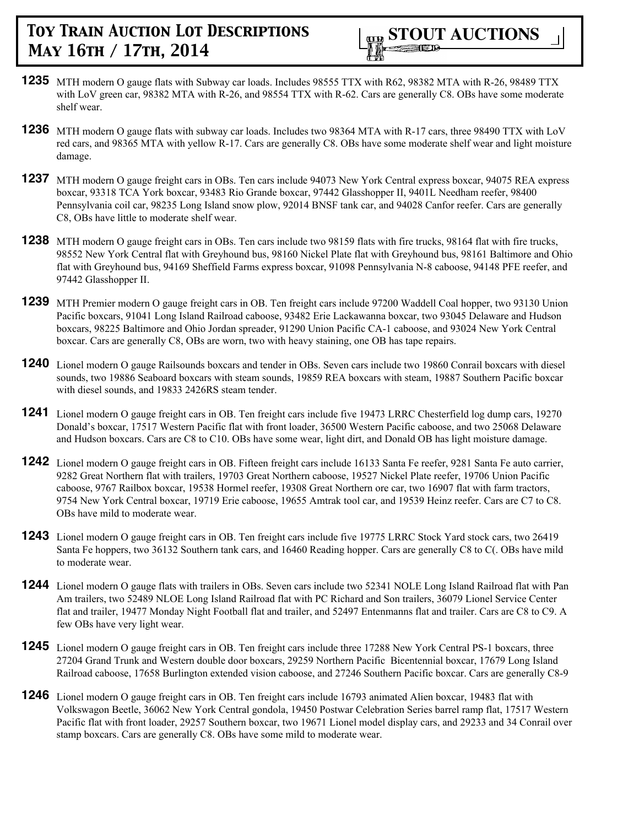- **1235** MTH modern O gauge flats with Subway car loads. Includes 98555 TTX with R62, 98382 MTA with R-26, 98489 TTX with LoV green car, 98382 MTA with R-26, and 98554 TTX with R-62. Cars are generally C8. OBs have some moderate shelf wear.
- **1236** MTH modern O gauge flats with subway car loads. Includes two 98364 MTA with R-17 cars, three 98490 TTX with LoV red cars, and 98365 MTA with yellow R-17. Cars are generally C8. OBs have some moderate shelf wear and light moisture damage.
- **1237** MTH modern O gauge freight cars in OBs. Ten cars include 94073 New York Central express boxcar, 94075 REA express boxcar, 93318 TCA York boxcar, 93483 Rio Grande boxcar, 97442 Glasshopper II, 9401L Needham reefer, 98400 Pennsylvania coil car, 98235 Long Island snow plow, 92014 BNSF tank car, and 94028 Canfor reefer. Cars are generally C8, OBs have little to moderate shelf wear.
- **1238** MTH modern O gauge freight cars in OBs. Ten cars include two 98159 flats with fire trucks, 98164 flat with fire trucks, 98552 New York Central flat with Greyhound bus, 98160 Nickel Plate flat with Greyhound bus, 98161 Baltimore and Ohio flat with Greyhound bus, 94169 Sheffield Farms express boxcar, 91098 Pennsylvania N-8 caboose, 94148 PFE reefer, and 97442 Glasshopper II.
- **1239** MTH Premier modern O gauge freight cars in OB. Ten freight cars include 97200 Waddell Coal hopper, two 93130 Union Pacific boxcars, 91041 Long Island Railroad caboose, 93482 Erie Lackawanna boxcar, two 93045 Delaware and Hudson boxcars, 98225 Baltimore and Ohio Jordan spreader, 91290 Union Pacific CA-1 caboose, and 93024 New York Central boxcar. Cars are generally C8, OBs are worn, two with heavy staining, one OB has tape repairs.
- **1240** Lionel modern O gauge Railsounds boxcars and tender in OBs. Seven cars include two 19860 Conrail boxcars with diesel sounds, two 19886 Seaboard boxcars with steam sounds, 19859 REA boxcars with steam, 19887 Southern Pacific boxcar with diesel sounds, and 19833 2426RS steam tender.
- **1241** Lionel modern O gauge freight cars in OB. Ten freight cars include five 19473 LRRC Chesterfield log dump cars, 19270 Donald's boxcar, 17517 Western Pacific flat with front loader, 36500 Western Pacific caboose, and two 25068 Delaware and Hudson boxcars. Cars are C8 to C10. OBs have some wear, light dirt, and Donald OB has light moisture damage.
- **1242** Lionel modern O gauge freight cars in OB. Fifteen freight cars include 16133 Santa Fe reefer, 9281 Santa Fe auto carrier, 9282 Great Northern flat with trailers, 19703 Great Northern caboose, 19527 Nickel Plate reefer, 19706 Union Pacific caboose, 9767 Railbox boxcar, 19538 Hormel reefer, 19308 Great Northern ore car, two 16907 flat with farm tractors, 9754 New York Central boxcar, 19719 Erie caboose, 19655 Amtrak tool car, and 19539 Heinz reefer. Cars are C7 to C8. OBs have mild to moderate wear.
- **1243** Lionel modern O gauge freight cars in OB. Ten freight cars include five 19775 LRRC Stock Yard stock cars, two 26419 Santa Fe hoppers, two 36132 Southern tank cars, and 16460 Reading hopper. Cars are generally C8 to C(. OBs have mild to moderate wear.
- **1244** Lionel modern O gauge flats with trailers in OBs. Seven cars include two 52341 NOLE Long Island Railroad flat with Pan Am trailers, two 52489 NLOE Long Island Railroad flat with PC Richard and Son trailers, 36079 Lionel Service Center flat and trailer, 19477 Monday Night Football flat and trailer, and 52497 Entenmanns flat and trailer. Cars are C8 to C9. A few OBs have very light wear.
- **1245** Lionel modern O gauge freight cars in OB. Ten freight cars include three 17288 New York Central PS-1 boxcars, three 27204 Grand Trunk and Western double door boxcars, 29259 Northern Pacific Bicentennial boxcar, 17679 Long Island Railroad caboose, 17658 Burlington extended vision caboose, and 27246 Southern Pacific boxcar. Cars are generally C8-9
- **1246** Lionel modern O gauge freight cars in OB. Ten freight cars include 16793 animated Alien boxcar, 19483 flat with Volkswagon Beetle, 36062 New York Central gondola, 19450 Postwar Celebration Series barrel ramp flat, 17517 Western Pacific flat with front loader, 29257 Southern boxcar, two 19671 Lionel model display cars, and 29233 and 34 Conrail over stamp boxcars. Cars are generally C8. OBs have some mild to moderate wear.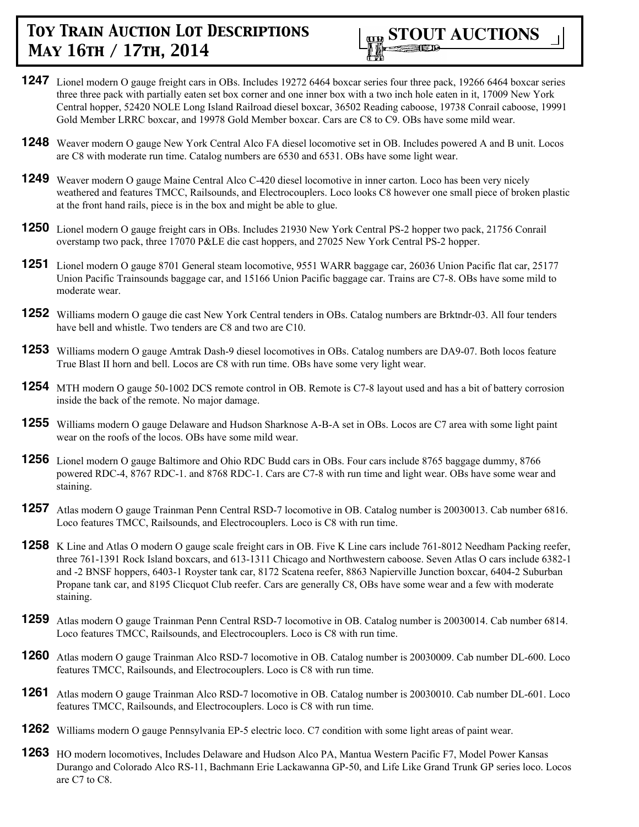

- **1247** Lionel modern O gauge freight cars in OBs. Includes 19272 6464 boxcar series four three pack, 19266 6464 boxcar series three three pack with partially eaten set box corner and one inner box with a two inch hole eaten in it, 17009 New York Central hopper, 52420 NOLE Long Island Railroad diesel boxcar, 36502 Reading caboose, 19738 Conrail caboose, 19991 Gold Member LRRC boxcar, and 19978 Gold Member boxcar. Cars are C8 to C9. OBs have some mild wear.
- **1248** Weaver modern O gauge New York Central Alco FA diesel locomotive set in OB. Includes powered A and B unit. Locos are C8 with moderate run time. Catalog numbers are 6530 and 6531. OBs have some light wear.
- **1249** Weaver modern O gauge Maine Central Alco C-420 diesel locomotive in inner carton. Loco has been very nicely weathered and features TMCC, Railsounds, and Electrocouplers. Loco looks C8 however one small piece of broken plastic at the front hand rails, piece is in the box and might be able to glue.
- **1250** Lionel modern O gauge freight cars in OBs. Includes 21930 New York Central PS-2 hopper two pack, 21756 Conrail overstamp two pack, three 17070 P&LE die cast hoppers, and 27025 New York Central PS-2 hopper.
- **1251** Lionel modern O gauge 8701 General steam locomotive, 9551 WARR baggage car, 26036 Union Pacific flat car, 25177 Union Pacific Trainsounds baggage car, and 15166 Union Pacific baggage car. Trains are C7-8. OBs have some mild to moderate wear.
- **1252** Williams modern O gauge die cast New York Central tenders in OBs. Catalog numbers are Brktndr-03. All four tenders have bell and whistle. Two tenders are C8 and two are C10.
- **1253** Williams modern O gauge Amtrak Dash-9 diesel locomotives in OBs. Catalog numbers are DA9-07. Both locos feature True Blast II horn and bell. Locos are C8 with run time. OBs have some very light wear.
- **1254** MTH modern O gauge 50-1002 DCS remote control in OB. Remote is C7-8 layout used and has a bit of battery corrosion inside the back of the remote. No major damage.
- **1255** Williams modern O gauge Delaware and Hudson Sharknose A-B-A set in OBs. Locos are C7 area with some light paint wear on the roofs of the locos. OBs have some mild wear.
- **1256** Lionel modern O gauge Baltimore and Ohio RDC Budd cars in OBs. Four cars include 8765 baggage dummy, 8766 powered RDC-4, 8767 RDC-1. and 8768 RDC-1. Cars are C7-8 with run time and light wear. OBs have some wear and staining.
- **1257** Atlas modern O gauge Trainman Penn Central RSD-7 locomotive in OB. Catalog number is 20030013. Cab number 6816. Loco features TMCC, Railsounds, and Electrocouplers. Loco is C8 with run time.
- **1258** K Line and Atlas O modern O gauge scale freight cars in OB. Five K Line cars include 761-8012 Needham Packing reefer, three 761-1391 Rock Island boxcars, and 613-1311 Chicago and Northwestern caboose. Seven Atlas O cars include 6382-1 and -2 BNSF hoppers, 6403-1 Royster tank car, 8172 Scatena reefer, 8863 Napierville Junction boxcar, 6404-2 Suburban Propane tank car, and 8195 Clicquot Club reefer. Cars are generally C8, OBs have some wear and a few with moderate staining.
- **1259** Atlas modern O gauge Trainman Penn Central RSD-7 locomotive in OB. Catalog number is 20030014. Cab number 6814. Loco features TMCC, Railsounds, and Electrocouplers. Loco is C8 with run time.
- **1260** Atlas modern O gauge Trainman Alco RSD-7 locomotive in OB. Catalog number is 20030009. Cab number DL-600. Loco features TMCC, Railsounds, and Electrocouplers. Loco is C8 with run time.
- **1261** Atlas modern O gauge Trainman Alco RSD-7 locomotive in OB. Catalog number is 20030010. Cab number DL-601. Loco features TMCC, Railsounds, and Electrocouplers. Loco is C8 with run time.
- **1262** Williams modern O gauge Pennsylvania EP-5 electric loco. C7 condition with some light areas of paint wear.
- **1263** HO modern locomotives, Includes Delaware and Hudson Alco PA, Mantua Western Pacific F7, Model Power Kansas Durango and Colorado Alco RS-11, Bachmann Erie Lackawanna GP-50, and Life Like Grand Trunk GP series loco. Locos are C7 to C8.